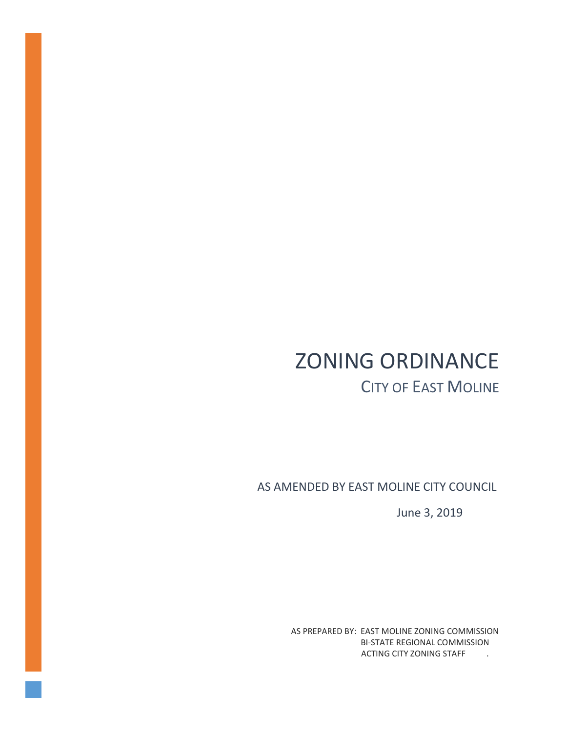# ZONING ORDINANCE CITY OF EAST MOLINE

AS AMENDED BY EAST MOLINE CITY COUNCIL

June 3, 2019

AS PREPARED BY: EAST MOLINE ZONING COMMISSION BI-STATE REGIONAL COMMISSION ACTING CITY ZONING STAFF ...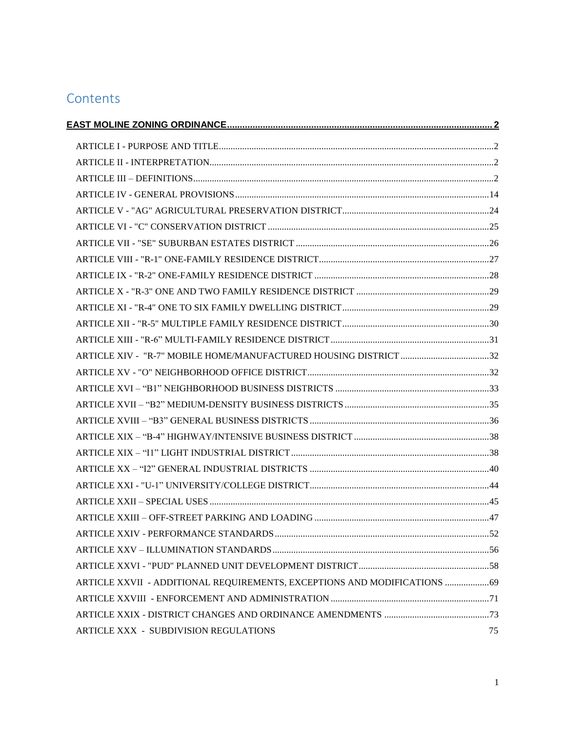# **Contents**

| ARTICLE XIV - "R-7" MOBILE HOME/MANUFACTURED HOUSING DISTRICT 32          |    |
|---------------------------------------------------------------------------|----|
|                                                                           |    |
|                                                                           |    |
|                                                                           |    |
|                                                                           |    |
|                                                                           |    |
|                                                                           |    |
|                                                                           |    |
|                                                                           |    |
|                                                                           |    |
|                                                                           |    |
|                                                                           |    |
|                                                                           |    |
|                                                                           |    |
| ARTICLE XXVII - ADDITIONAL REQUIREMENTS, EXCEPTIONS AND MODIFICATIONS  69 |    |
|                                                                           |    |
|                                                                           |    |
| ARTICLE XXX - SUBDIVISION REGULATIONS                                     | 75 |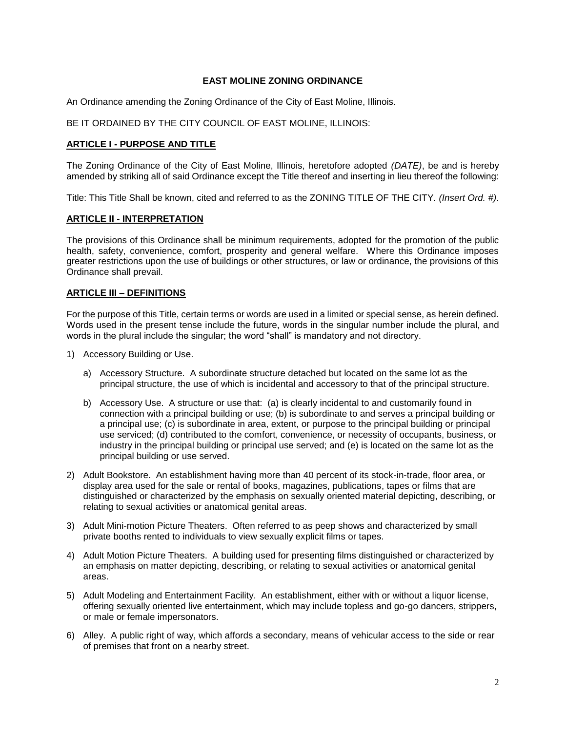# **EAST MOLINE ZONING ORDINANCE**

<span id="page-2-0"></span>An Ordinance amending the Zoning Ordinance of the City of East Moline, Illinois.

BE IT ORDAINED BY THE CITY COUNCIL OF EAST MOLINE, ILLINOIS:

# <span id="page-2-1"></span>**ARTICLE I - PURPOSE AND TITLE**

The Zoning Ordinance of the City of East Moline, Illinois, heretofore adopted *(DATE)*, be and is hereby amended by striking all of said Ordinance except the Title thereof and inserting in lieu thereof the following:

Title: This Title Shall be known, cited and referred to as the ZONING TITLE OF THE CITY. *(Insert Ord. #)*.

#### <span id="page-2-2"></span>**ARTICLE II - INTERPRETATION**

The provisions of this Ordinance shall be minimum requirements, adopted for the promotion of the public health, safety, convenience, comfort, prosperity and general welfare. Where this Ordinance imposes greater restrictions upon the use of buildings or other structures, or law or ordinance, the provisions of this Ordinance shall prevail.

# <span id="page-2-3"></span>**ARTICLE III – DEFINITIONS**

For the purpose of this Title, certain terms or words are used in a limited or special sense, as herein defined. Words used in the present tense include the future, words in the singular number include the plural, and words in the plural include the singular; the word "shall" is mandatory and not directory.

- 1) Accessory Building or Use.
	- a) Accessory Structure. A subordinate structure detached but located on the same lot as the principal structure, the use of which is incidental and accessory to that of the principal structure.
	- b) Accessory Use. A structure or use that: (a) is clearly incidental to and customarily found in connection with a principal building or use; (b) is subordinate to and serves a principal building or a principal use; (c) is subordinate in area, extent, or purpose to the principal building or principal use serviced; (d) contributed to the comfort, convenience, or necessity of occupants, business, or industry in the principal building or principal use served; and (e) is located on the same lot as the principal building or use served.
- 2) Adult Bookstore. An establishment having more than 40 percent of its stock-in-trade, floor area, or display area used for the sale or rental of books, magazines, publications, tapes or films that are distinguished or characterized by the emphasis on sexually oriented material depicting, describing, or relating to sexual activities or anatomical genital areas.
- 3) Adult Mini-motion Picture Theaters. Often referred to as peep shows and characterized by small private booths rented to individuals to view sexually explicit films or tapes.
- 4) Adult Motion Picture Theaters. A building used for presenting films distinguished or characterized by an emphasis on matter depicting, describing, or relating to sexual activities or anatomical genital areas.
- 5) Adult Modeling and Entertainment Facility. An establishment, either with or without a liquor license, offering sexually oriented live entertainment, which may include topless and go-go dancers, strippers, or male or female impersonators.
- 6) Alley. A public right of way, which affords a secondary, means of vehicular access to the side or rear of premises that front on a nearby street.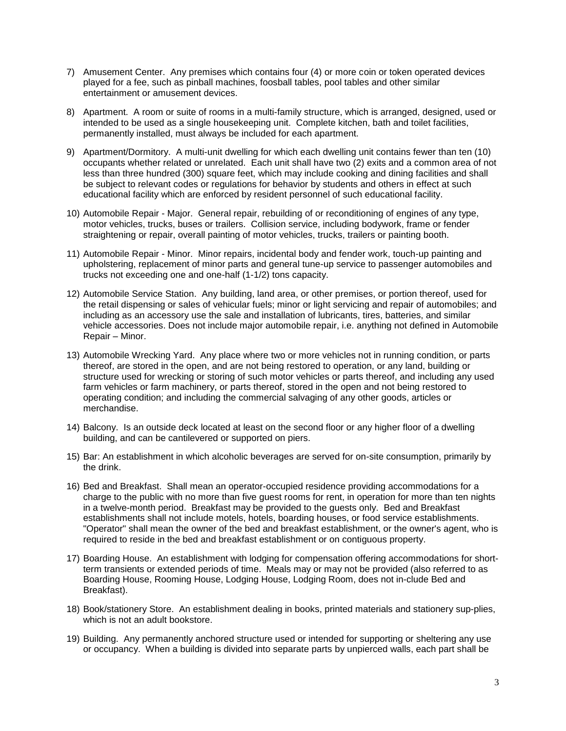- 7) Amusement Center. Any premises which contains four (4) or more coin or token operated devices played for a fee, such as pinball machines, foosball tables, pool tables and other similar entertainment or amusement devices.
- 8) Apartment. A room or suite of rooms in a multi-family structure, which is arranged, designed, used or intended to be used as a single housekeeping unit. Complete kitchen, bath and toilet facilities, permanently installed, must always be included for each apartment.
- 9) Apartment/Dormitory. A multi-unit dwelling for which each dwelling unit contains fewer than ten (10) occupants whether related or unrelated. Each unit shall have two (2) exits and a common area of not less than three hundred (300) square feet, which may include cooking and dining facilities and shall be subject to relevant codes or regulations for behavior by students and others in effect at such educational facility which are enforced by resident personnel of such educational facility.
- 10) Automobile Repair Major. General repair, rebuilding of or reconditioning of engines of any type, motor vehicles, trucks, buses or trailers. Collision service, including bodywork, frame or fender straightening or repair, overall painting of motor vehicles, trucks, trailers or painting booth.
- 11) Automobile Repair Minor. Minor repairs, incidental body and fender work, touch-up painting and upholstering, replacement of minor parts and general tune-up service to passenger automobiles and trucks not exceeding one and one-half (1-1/2) tons capacity.
- 12) Automobile Service Station. Any building, land area, or other premises, or portion thereof, used for the retail dispensing or sales of vehicular fuels; minor or light servicing and repair of automobiles; and including as an accessory use the sale and installation of lubricants, tires, batteries, and similar vehicle accessories. Does not include major automobile repair, i.e. anything not defined in Automobile Repair – Minor.
- 13) Automobile Wrecking Yard. Any place where two or more vehicles not in running condition, or parts thereof, are stored in the open, and are not being restored to operation, or any land, building or structure used for wrecking or storing of such motor vehicles or parts thereof, and including any used farm vehicles or farm machinery, or parts thereof, stored in the open and not being restored to operating condition; and including the commercial salvaging of any other goods, articles or merchandise.
- 14) Balcony. Is an outside deck located at least on the second floor or any higher floor of a dwelling building, and can be cantilevered or supported on piers.
- 15) Bar: An establishment in which alcoholic beverages are served for on-site consumption, primarily by the drink.
- 16) Bed and Breakfast. Shall mean an operator-occupied residence providing accommodations for a charge to the public with no more than five guest rooms for rent, in operation for more than ten nights in a twelve-month period. Breakfast may be provided to the guests only. Bed and Breakfast establishments shall not include motels, hotels, boarding houses, or food service establishments. "Operator" shall mean the owner of the bed and breakfast establishment, or the owner's agent, who is required to reside in the bed and breakfast establishment or on contiguous property.
- 17) Boarding House. An establishment with lodging for compensation offering accommodations for shortterm transients or extended periods of time. Meals may or may not be provided (also referred to as Boarding House, Rooming House, Lodging House, Lodging Room, does not in-clude Bed and Breakfast).
- 18) Book/stationery Store. An establishment dealing in books, printed materials and stationery sup-plies, which is not an adult bookstore.
- 19) Building. Any permanently anchored structure used or intended for supporting or sheltering any use or occupancy. When a building is divided into separate parts by unpierced walls, each part shall be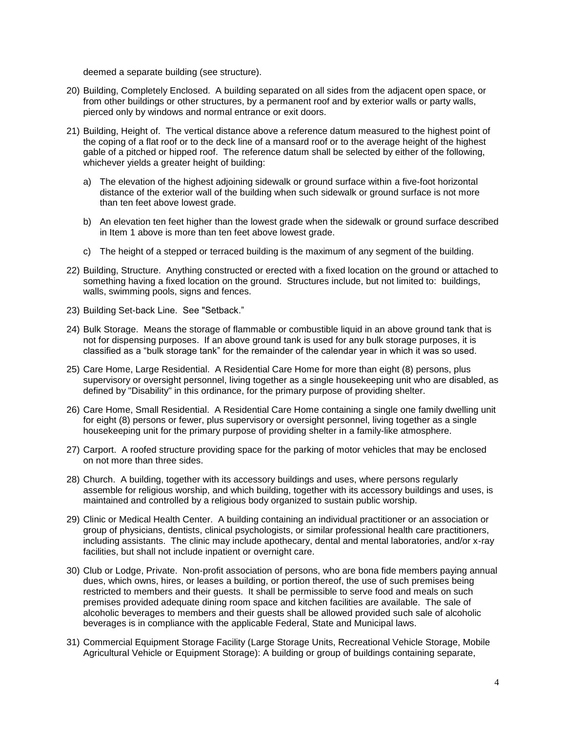deemed a separate building (see structure).

- 20) Building, Completely Enclosed. A building separated on all sides from the adjacent open space, or from other buildings or other structures, by a permanent roof and by exterior walls or party walls, pierced only by windows and normal entrance or exit doors.
- 21) Building, Height of. The vertical distance above a reference datum measured to the highest point of the coping of a flat roof or to the deck line of a mansard roof or to the average height of the highest gable of a pitched or hipped roof. The reference datum shall be selected by either of the following, whichever yields a greater height of building:
	- a) The elevation of the highest adjoining sidewalk or ground surface within a five-foot horizontal distance of the exterior wall of the building when such sidewalk or ground surface is not more than ten feet above lowest grade.
	- b) An elevation ten feet higher than the lowest grade when the sidewalk or ground surface described in Item 1 above is more than ten feet above lowest grade.
	- c) The height of a stepped or terraced building is the maximum of any segment of the building.
- 22) Building, Structure. Anything constructed or erected with a fixed location on the ground or attached to something having a fixed location on the ground. Structures include, but not limited to: buildings, walls, swimming pools, signs and fences.
- 23) Building Set-back Line. See "Setback."
- 24) Bulk Storage. Means the storage of flammable or combustible liquid in an above ground tank that is not for dispensing purposes. If an above ground tank is used for any bulk storage purposes, it is classified as a "bulk storage tank" for the remainder of the calendar year in which it was so used.
- 25) Care Home, Large Residential. A Residential Care Home for more than eight (8) persons, plus supervisory or oversight personnel, living together as a single housekeeping unit who are disabled, as defined by "Disability" in this ordinance, for the primary purpose of providing shelter.
- 26) Care Home, Small Residential. A Residential Care Home containing a single one family dwelling unit for eight (8) persons or fewer, plus supervisory or oversight personnel, living together as a single housekeeping unit for the primary purpose of providing shelter in a family-like atmosphere.
- 27) Carport. A roofed structure providing space for the parking of motor vehicles that may be enclosed on not more than three sides.
- 28) Church. A building, together with its accessory buildings and uses, where persons regularly assemble for religious worship, and which building, together with its accessory buildings and uses, is maintained and controlled by a religious body organized to sustain public worship.
- 29) Clinic or Medical Health Center. A building containing an individual practitioner or an association or group of physicians, dentists, clinical psychologists, or similar professional health care practitioners, including assistants. The clinic may include apothecary, dental and mental laboratories, and/or x-ray facilities, but shall not include inpatient or overnight care.
- 30) Club or Lodge, Private. Non-profit association of persons, who are bona fide members paying annual dues, which owns, hires, or leases a building, or portion thereof, the use of such premises being restricted to members and their guests. It shall be permissible to serve food and meals on such premises provided adequate dining room space and kitchen facilities are available. The sale of alcoholic beverages to members and their guests shall be allowed provided such sale of alcoholic beverages is in compliance with the applicable Federal, State and Municipal laws.
- 31) Commercial Equipment Storage Facility (Large Storage Units, Recreational Vehicle Storage, Mobile Agricultural Vehicle or Equipment Storage): A building or group of buildings containing separate,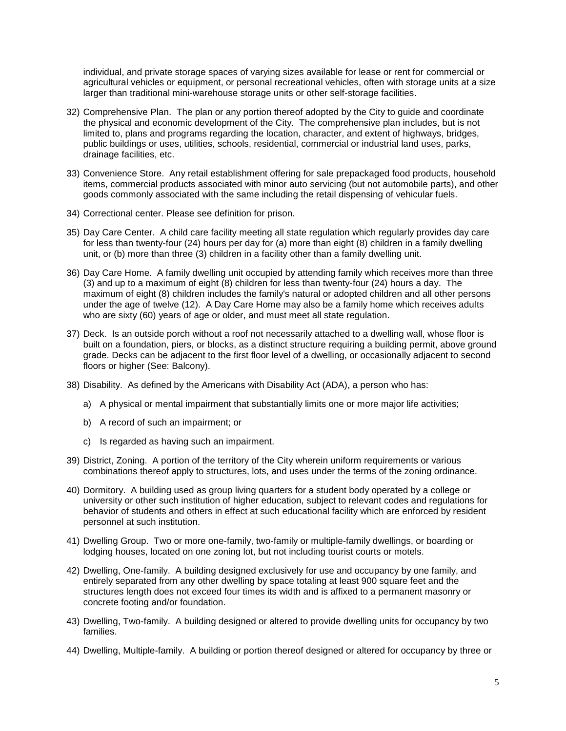individual, and private storage spaces of varying sizes available for lease or rent for commercial or agricultural vehicles or equipment, or personal recreational vehicles, often with storage units at a size larger than traditional mini-warehouse storage units or other self-storage facilities.

- 32) Comprehensive Plan. The plan or any portion thereof adopted by the City to guide and coordinate the physical and economic development of the City. The comprehensive plan includes, but is not limited to, plans and programs regarding the location, character, and extent of highways, bridges, public buildings or uses, utilities, schools, residential, commercial or industrial land uses, parks, drainage facilities, etc.
- 33) Convenience Store. Any retail establishment offering for sale prepackaged food products, household items, commercial products associated with minor auto servicing (but not automobile parts), and other goods commonly associated with the same including the retail dispensing of vehicular fuels.
- 34) Correctional center. Please see definition for prison.
- 35) Day Care Center. A child care facility meeting all state regulation which regularly provides day care for less than twenty-four (24) hours per day for (a) more than eight (8) children in a family dwelling unit, or (b) more than three (3) children in a facility other than a family dwelling unit.
- 36) Day Care Home. A family dwelling unit occupied by attending family which receives more than three (3) and up to a maximum of eight (8) children for less than twenty-four (24) hours a day. The maximum of eight (8) children includes the family's natural or adopted children and all other persons under the age of twelve (12). A Day Care Home may also be a family home which receives adults who are sixty (60) years of age or older, and must meet all state regulation.
- 37) Deck. Is an outside porch without a roof not necessarily attached to a dwelling wall, whose floor is built on a foundation, piers, or blocks, as a distinct structure requiring a building permit, above ground grade. Decks can be adjacent to the first floor level of a dwelling, or occasionally adjacent to second floors or higher (See: Balcony).
- 38) Disability. As defined by the Americans with Disability Act (ADA), a person who has:
	- a) A physical or mental impairment that substantially limits one or more major life activities;
	- b) A record of such an impairment; or
	- c) Is regarded as having such an impairment.
- 39) District, Zoning. A portion of the territory of the City wherein uniform requirements or various combinations thereof apply to structures, lots, and uses under the terms of the zoning ordinance.
- 40) Dormitory. A building used as group living quarters for a student body operated by a college or university or other such institution of higher education, subject to relevant codes and regulations for behavior of students and others in effect at such educational facility which are enforced by resident personnel at such institution.
- 41) Dwelling Group. Two or more one-family, two-family or multiple-family dwellings, or boarding or lodging houses, located on one zoning lot, but not including tourist courts or motels.
- 42) Dwelling, One-family. A building designed exclusively for use and occupancy by one family, and entirely separated from any other dwelling by space totaling at least 900 square feet and the structures length does not exceed four times its width and is affixed to a permanent masonry or concrete footing and/or foundation.
- 43) Dwelling, Two-family. A building designed or altered to provide dwelling units for occupancy by two families.
- 44) Dwelling, Multiple-family. A building or portion thereof designed or altered for occupancy by three or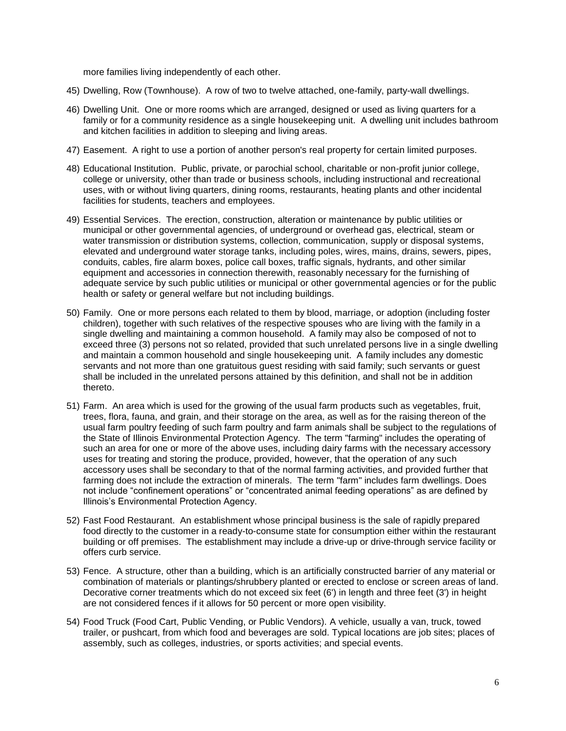more families living independently of each other.

- 45) Dwelling, Row (Townhouse). A row of two to twelve attached, one-family, party-wall dwellings.
- 46) Dwelling Unit. One or more rooms which are arranged, designed or used as living quarters for a family or for a community residence as a single housekeeping unit. A dwelling unit includes bathroom and kitchen facilities in addition to sleeping and living areas.
- 47) Easement. A right to use a portion of another person's real property for certain limited purposes.
- 48) Educational Institution. Public, private, or parochial school, charitable or non-profit junior college, college or university, other than trade or business schools, including instructional and recreational uses, with or without living quarters, dining rooms, restaurants, heating plants and other incidental facilities for students, teachers and employees.
- 49) Essential Services. The erection, construction, alteration or maintenance by public utilities or municipal or other governmental agencies, of underground or overhead gas, electrical, steam or water transmission or distribution systems, collection, communication, supply or disposal systems, elevated and underground water storage tanks, including poles, wires, mains, drains, sewers, pipes, conduits, cables, fire alarm boxes, police call boxes, traffic signals, hydrants, and other similar equipment and accessories in connection therewith, reasonably necessary for the furnishing of adequate service by such public utilities or municipal or other governmental agencies or for the public health or safety or general welfare but not including buildings.
- 50) Family. One or more persons each related to them by blood, marriage, or adoption (including foster children), together with such relatives of the respective spouses who are living with the family in a single dwelling and maintaining a common household. A family may also be composed of not to exceed three (3) persons not so related, provided that such unrelated persons live in a single dwelling and maintain a common household and single housekeeping unit. A family includes any domestic servants and not more than one gratuitous guest residing with said family; such servants or guest shall be included in the unrelated persons attained by this definition, and shall not be in addition thereto.
- 51) Farm. An area which is used for the growing of the usual farm products such as vegetables, fruit, trees, flora, fauna, and grain, and their storage on the area, as well as for the raising thereon of the usual farm poultry feeding of such farm poultry and farm animals shall be subject to the regulations of the State of Illinois Environmental Protection Agency. The term "farming" includes the operating of such an area for one or more of the above uses, including dairy farms with the necessary accessory uses for treating and storing the produce, provided, however, that the operation of any such accessory uses shall be secondary to that of the normal farming activities, and provided further that farming does not include the extraction of minerals. The term "farm" includes farm dwellings. Does not include "confinement operations" or "concentrated animal feeding operations" as are defined by Illinois's Environmental Protection Agency.
- 52) Fast Food Restaurant. An establishment whose principal business is the sale of rapidly prepared food directly to the customer in a ready-to-consume state for consumption either within the restaurant building or off premises. The establishment may include a drive-up or drive-through service facility or offers curb service.
- 53) Fence. A structure, other than a building, which is an artificially constructed barrier of any material or combination of materials or plantings/shrubbery planted or erected to enclose or screen areas of land. Decorative corner treatments which do not exceed six feet (6') in length and three feet (3') in height are not considered fences if it allows for 50 percent or more open visibility.
- 54) Food Truck (Food Cart, Public Vending, or Public Vendors). A vehicle, usually a van, truck, towed trailer, or pushcart, from which food and beverages are sold. Typical locations are job sites; places of assembly, such as colleges, industries, or sports activities; and special events.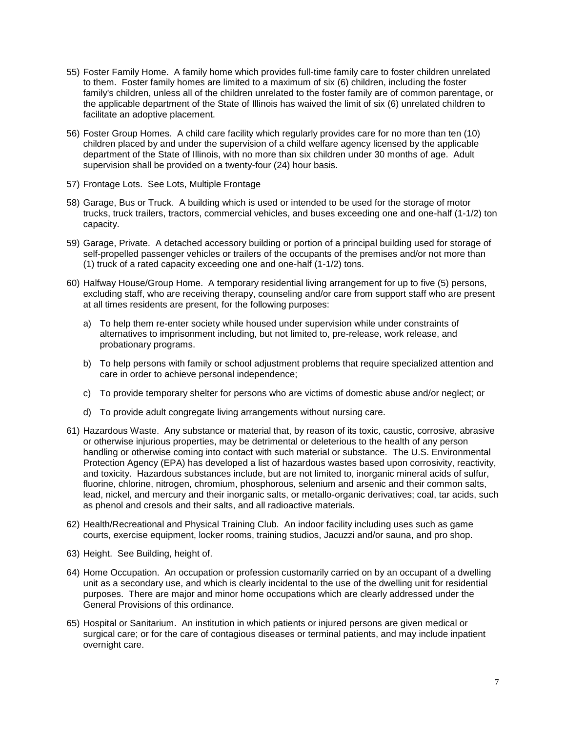- 55) Foster Family Home. A family home which provides full-time family care to foster children unrelated to them. Foster family homes are limited to a maximum of six (6) children, including the foster family's children, unless all of the children unrelated to the foster family are of common parentage, or the applicable department of the State of Illinois has waived the limit of six (6) unrelated children to facilitate an adoptive placement.
- 56) Foster Group Homes. A child care facility which regularly provides care for no more than ten (10) children placed by and under the supervision of a child welfare agency licensed by the applicable department of the State of Illinois, with no more than six children under 30 months of age. Adult supervision shall be provided on a twenty-four (24) hour basis.
- 57) Frontage Lots. See Lots, Multiple Frontage
- 58) Garage, Bus or Truck. A building which is used or intended to be used for the storage of motor trucks, truck trailers, tractors, commercial vehicles, and buses exceeding one and one-half (1-1/2) ton capacity.
- 59) Garage, Private. A detached accessory building or portion of a principal building used for storage of self-propelled passenger vehicles or trailers of the occupants of the premises and/or not more than (1) truck of a rated capacity exceeding one and one-half (1-1/2) tons.
- 60) Halfway House/Group Home. A temporary residential living arrangement for up to five (5) persons, excluding staff, who are receiving therapy, counseling and/or care from support staff who are present at all times residents are present, for the following purposes:
	- a) To help them re-enter society while housed under supervision while under constraints of alternatives to imprisonment including, but not limited to, pre-release, work release, and probationary programs.
	- b) To help persons with family or school adjustment problems that require specialized attention and care in order to achieve personal independence;
	- c) To provide temporary shelter for persons who are victims of domestic abuse and/or neglect; or
	- d) To provide adult congregate living arrangements without nursing care.
- 61) Hazardous Waste. Any substance or material that, by reason of its toxic, caustic, corrosive, abrasive or otherwise injurious properties, may be detrimental or deleterious to the health of any person handling or otherwise coming into contact with such material or substance. The U.S. Environmental Protection Agency (EPA) has developed a list of hazardous wastes based upon corrosivity, reactivity, and toxicity. Hazardous substances include, but are not limited to, inorganic mineral acids of sulfur, fluorine, chlorine, nitrogen, chromium, phosphorous, selenium and arsenic and their common salts, lead, nickel, and mercury and their inorganic salts, or metallo-organic derivatives; coal, tar acids, such as phenol and cresols and their salts, and all radioactive materials.
- 62) Health/Recreational and Physical Training Club. An indoor facility including uses such as game courts, exercise equipment, locker rooms, training studios, Jacuzzi and/or sauna, and pro shop.
- 63) Height. See Building, height of.
- 64) Home Occupation. An occupation or profession customarily carried on by an occupant of a dwelling unit as a secondary use, and which is clearly incidental to the use of the dwelling unit for residential purposes. There are major and minor home occupations which are clearly addressed under the General Provisions of this ordinance.
- 65) Hospital or Sanitarium. An institution in which patients or injured persons are given medical or surgical care; or for the care of contagious diseases or terminal patients, and may include inpatient overnight care.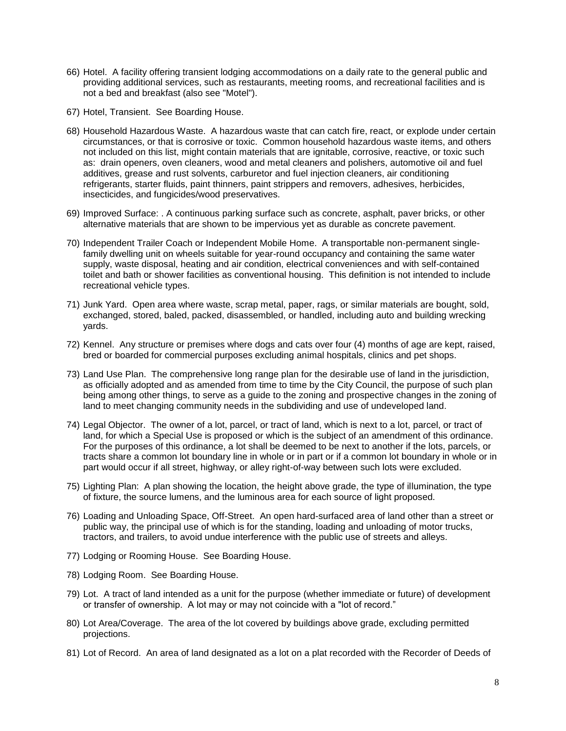- 66) Hotel. A facility offering transient lodging accommodations on a daily rate to the general public and providing additional services, such as restaurants, meeting rooms, and recreational facilities and is not a bed and breakfast (also see "Motel").
- 67) Hotel, Transient. See Boarding House.
- 68) Household Hazardous Waste. A hazardous waste that can catch fire, react, or explode under certain circumstances, or that is corrosive or toxic. Common household hazardous waste items, and others not included on this list, might contain materials that are ignitable, corrosive, reactive, or toxic such as: drain openers, oven cleaners, wood and metal cleaners and polishers, automotive oil and fuel additives, grease and rust solvents, carburetor and fuel injection cleaners, air conditioning refrigerants, starter fluids, paint thinners, paint strippers and removers, adhesives, herbicides, insecticides, and fungicides/wood preservatives.
- 69) Improved Surface: . A continuous parking surface such as concrete, asphalt, paver bricks, or other alternative materials that are shown to be impervious yet as durable as concrete pavement.
- 70) Independent Trailer Coach or Independent Mobile Home. A transportable non-permanent singlefamily dwelling unit on wheels suitable for year-round occupancy and containing the same water supply, waste disposal, heating and air condition, electrical conveniences and with self-contained toilet and bath or shower facilities as conventional housing. This definition is not intended to include recreational vehicle types.
- 71) Junk Yard. Open area where waste, scrap metal, paper, rags, or similar materials are bought, sold, exchanged, stored, baled, packed, disassembled, or handled, including auto and building wrecking yards.
- 72) Kennel. Any structure or premises where dogs and cats over four (4) months of age are kept, raised, bred or boarded for commercial purposes excluding animal hospitals, clinics and pet shops.
- 73) Land Use Plan. The comprehensive long range plan for the desirable use of land in the jurisdiction, as officially adopted and as amended from time to time by the City Council, the purpose of such plan being among other things, to serve as a guide to the zoning and prospective changes in the zoning of land to meet changing community needs in the subdividing and use of undeveloped land.
- 74) Legal Objector. The owner of a lot, parcel, or tract of land, which is next to a lot, parcel, or tract of land, for which a Special Use is proposed or which is the subject of an amendment of this ordinance. For the purposes of this ordinance, a lot shall be deemed to be next to another if the lots, parcels, or tracts share a common lot boundary line in whole or in part or if a common lot boundary in whole or in part would occur if all street, highway, or alley right-of-way between such lots were excluded.
- 75) Lighting Plan: A plan showing the location, the height above grade, the type of illumination, the type of fixture, the source lumens, and the luminous area for each source of light proposed.
- 76) Loading and Unloading Space, Off-Street. An open hard-surfaced area of land other than a street or public way, the principal use of which is for the standing, loading and unloading of motor trucks, tractors, and trailers, to avoid undue interference with the public use of streets and alleys.
- 77) Lodging or Rooming House. See Boarding House.
- 78) Lodging Room. See Boarding House.
- 79) Lot. A tract of land intended as a unit for the purpose (whether immediate or future) of development or transfer of ownership. A lot may or may not coincide with a "lot of record."
- 80) Lot Area/Coverage. The area of the lot covered by buildings above grade, excluding permitted projections.
- 81) Lot of Record. An area of land designated as a lot on a plat recorded with the Recorder of Deeds of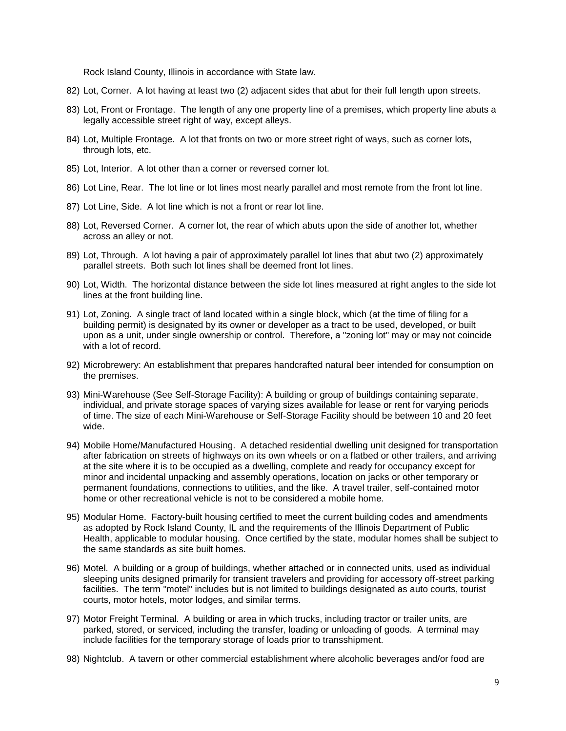Rock Island County, Illinois in accordance with State law.

- 82) Lot, Corner. A lot having at least two (2) adjacent sides that abut for their full length upon streets.
- 83) Lot, Front or Frontage. The length of any one property line of a premises, which property line abuts a legally accessible street right of way, except alleys.
- 84) Lot, Multiple Frontage. A lot that fronts on two or more street right of ways, such as corner lots, through lots, etc.
- 85) Lot, Interior. A lot other than a corner or reversed corner lot.
- 86) Lot Line, Rear. The lot line or lot lines most nearly parallel and most remote from the front lot line.
- 87) Lot Line, Side. A lot line which is not a front or rear lot line.
- 88) Lot, Reversed Corner. A corner lot, the rear of which abuts upon the side of another lot, whether across an alley or not.
- 89) Lot, Through. A lot having a pair of approximately parallel lot lines that abut two (2) approximately parallel streets. Both such lot lines shall be deemed front lot lines.
- 90) Lot, Width. The horizontal distance between the side lot lines measured at right angles to the side lot lines at the front building line.
- 91) Lot, Zoning. A single tract of land located within a single block, which (at the time of filing for a building permit) is designated by its owner or developer as a tract to be used, developed, or built upon as a unit, under single ownership or control. Therefore, a "zoning lot" may or may not coincide with a lot of record.
- 92) Microbrewery: An establishment that prepares handcrafted natural beer intended for consumption on the premises.
- 93) Mini-Warehouse (See Self-Storage Facility): A building or group of buildings containing separate, individual, and private storage spaces of varying sizes available for lease or rent for varying periods of time. The size of each Mini-Warehouse or Self-Storage Facility should be between 10 and 20 feet wide.
- 94) Mobile Home/Manufactured Housing. A detached residential dwelling unit designed for transportation after fabrication on streets of highways on its own wheels or on a flatbed or other trailers, and arriving at the site where it is to be occupied as a dwelling, complete and ready for occupancy except for minor and incidental unpacking and assembly operations, location on jacks or other temporary or permanent foundations, connections to utilities, and the like. A travel trailer, self-contained motor home or other recreational vehicle is not to be considered a mobile home.
- 95) Modular Home. Factory-built housing certified to meet the current building codes and amendments as adopted by Rock Island County, IL and the requirements of the Illinois Department of Public Health, applicable to modular housing. Once certified by the state, modular homes shall be subject to the same standards as site built homes.
- 96) Motel. A building or a group of buildings, whether attached or in connected units, used as individual sleeping units designed primarily for transient travelers and providing for accessory off-street parking facilities. The term "motel" includes but is not limited to buildings designated as auto courts, tourist courts, motor hotels, motor lodges, and similar terms.
- 97) Motor Freight Terminal. A building or area in which trucks, including tractor or trailer units, are parked, stored, or serviced, including the transfer, loading or unloading of goods. A terminal may include facilities for the temporary storage of loads prior to transshipment.
- 98) Nightclub. A tavern or other commercial establishment where alcoholic beverages and/or food are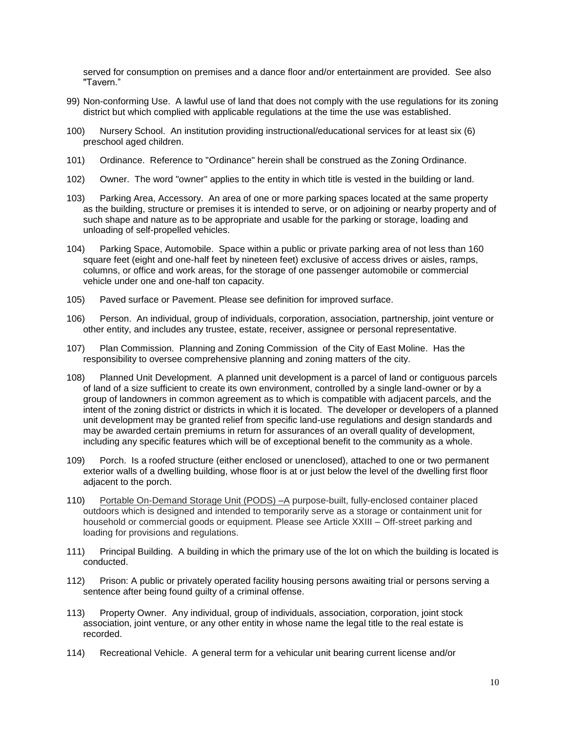served for consumption on premises and a dance floor and/or entertainment are provided. See also "Tavern."

- 99) Non-conforming Use. A lawful use of land that does not comply with the use regulations for its zoning district but which complied with applicable regulations at the time the use was established.
- 100) Nursery School. An institution providing instructional/educational services for at least six (6) preschool aged children.
- 101) Ordinance. Reference to "Ordinance" herein shall be construed as the Zoning Ordinance.
- 102) Owner. The word "owner" applies to the entity in which title is vested in the building or land.
- 103) Parking Area, Accessory. An area of one or more parking spaces located at the same property as the building, structure or premises it is intended to serve, or on adjoining or nearby property and of such shape and nature as to be appropriate and usable for the parking or storage, loading and unloading of self-propelled vehicles.
- 104) Parking Space, Automobile. Space within a public or private parking area of not less than 160 square feet (eight and one-half feet by nineteen feet) exclusive of access drives or aisles, ramps, columns, or office and work areas, for the storage of one passenger automobile or commercial vehicle under one and one-half ton capacity.
- 105) Paved surface or Pavement. Please see definition for improved surface.
- 106) Person. An individual, group of individuals, corporation, association, partnership, joint venture or other entity, and includes any trustee, estate, receiver, assignee or personal representative.
- 107) Plan Commission. Planning and Zoning Commission of the City of East Moline. Has the responsibility to oversee comprehensive planning and zoning matters of the city.
- 108) Planned Unit Development. A planned unit development is a parcel of land or contiguous parcels of land of a size sufficient to create its own environment, controlled by a single land-owner or by a group of landowners in common agreement as to which is compatible with adjacent parcels, and the intent of the zoning district or districts in which it is located. The developer or developers of a planned unit development may be granted relief from specific land-use regulations and design standards and may be awarded certain premiums in return for assurances of an overall quality of development, including any specific features which will be of exceptional benefit to the community as a whole.
- 109) Porch. Is a roofed structure (either enclosed or unenclosed), attached to one or two permanent exterior walls of a dwelling building, whose floor is at or just below the level of the dwelling first floor adjacent to the porch.
- 110) Portable On-Demand Storage Unit (PODS) –A purpose-built, fully-enclosed container placed outdoors which is designed and intended to temporarily serve as a storage or containment unit for household or commercial goods or equipment. Please see Article XXIII – Off-street parking and loading for provisions and regulations.
- 111) Principal Building. A building in which the primary use of the lot on which the building is located is conducted.
- 112) Prison: A public or privately operated facility housing persons awaiting trial or persons serving a sentence after being found guilty of a criminal offense.
- 113) Property Owner. Any individual, group of individuals, association, corporation, joint stock association, joint venture, or any other entity in whose name the legal title to the real estate is recorded.
- 114) Recreational Vehicle. A general term for a vehicular unit bearing current license and/or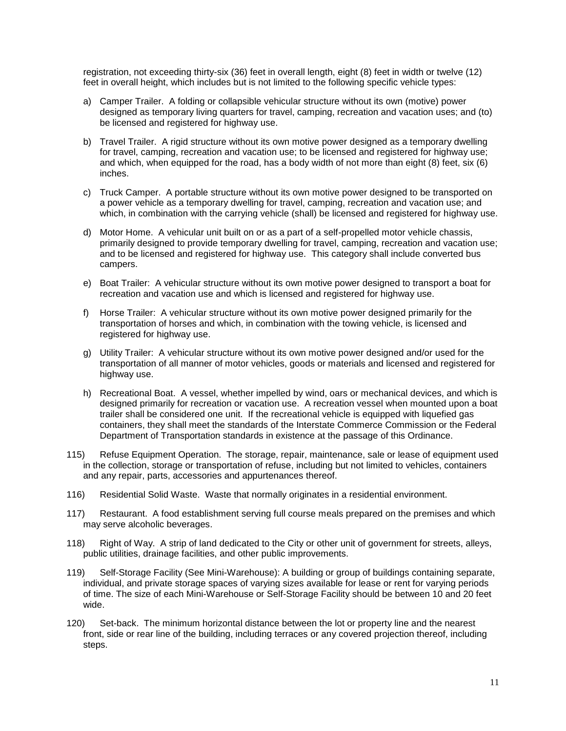registration, not exceeding thirty-six (36) feet in overall length, eight (8) feet in width or twelve (12) feet in overall height, which includes but is not limited to the following specific vehicle types:

- a) Camper Trailer. A folding or collapsible vehicular structure without its own (motive) power designed as temporary living quarters for travel, camping, recreation and vacation uses; and (to) be licensed and registered for highway use.
- b) Travel Trailer. A rigid structure without its own motive power designed as a temporary dwelling for travel, camping, recreation and vacation use; to be licensed and registered for highway use; and which, when equipped for the road, has a body width of not more than eight (8) feet, six (6) inches.
- c) Truck Camper. A portable structure without its own motive power designed to be transported on a power vehicle as a temporary dwelling for travel, camping, recreation and vacation use; and which, in combination with the carrying vehicle (shall) be licensed and registered for highway use.
- d) Motor Home. A vehicular unit built on or as a part of a self-propelled motor vehicle chassis, primarily designed to provide temporary dwelling for travel, camping, recreation and vacation use; and to be licensed and registered for highway use. This category shall include converted bus campers.
- e) Boat Trailer: A vehicular structure without its own motive power designed to transport a boat for recreation and vacation use and which is licensed and registered for highway use.
- f) Horse Trailer: A vehicular structure without its own motive power designed primarily for the transportation of horses and which, in combination with the towing vehicle, is licensed and registered for highway use.
- g) Utility Trailer: A vehicular structure without its own motive power designed and/or used for the transportation of all manner of motor vehicles, goods or materials and licensed and registered for highway use.
- h) Recreational Boat. A vessel, whether impelled by wind, oars or mechanical devices, and which is designed primarily for recreation or vacation use. A recreation vessel when mounted upon a boat trailer shall be considered one unit. If the recreational vehicle is equipped with liquefied gas containers, they shall meet the standards of the Interstate Commerce Commission or the Federal Department of Transportation standards in existence at the passage of this Ordinance.
- 115) Refuse Equipment Operation. The storage, repair, maintenance, sale or lease of equipment used in the collection, storage or transportation of refuse, including but not limited to vehicles, containers and any repair, parts, accessories and appurtenances thereof.
- 116) Residential Solid Waste. Waste that normally originates in a residential environment.
- 117) Restaurant. A food establishment serving full course meals prepared on the premises and which may serve alcoholic beverages.
- 118) Right of Way. A strip of land dedicated to the City or other unit of government for streets, alleys, public utilities, drainage facilities, and other public improvements.
- 119) Self-Storage Facility (See Mini-Warehouse): A building or group of buildings containing separate, individual, and private storage spaces of varying sizes available for lease or rent for varying periods of time. The size of each Mini-Warehouse or Self-Storage Facility should be between 10 and 20 feet wide.
- 120) Set-back. The minimum horizontal distance between the lot or property line and the nearest front, side or rear line of the building, including terraces or any covered projection thereof, including steps.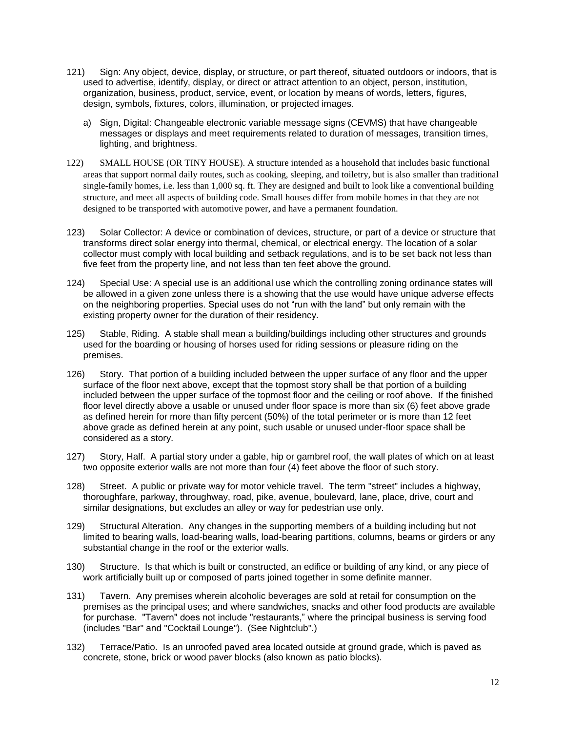- 121) Sign: Any object, device, display, or structure, or part thereof, situated outdoors or indoors, that is used to advertise, identify, display, or direct or attract attention to an object, person, institution, organization, business, product, service, event, or location by means of words, letters, figures, design, symbols, fixtures, colors, illumination, or projected images.
	- a) Sign, Digital: Changeable electronic variable message signs (CEVMS) that have changeable messages or displays and meet requirements related to duration of messages, transition times, lighting, and brightness.
- 122) SMALL HOUSE (OR TINY HOUSE). A structure intended as a household that includes basic functional areas that support normal daily routes, such as cooking, sleeping, and toiletry, but is also smaller than traditional single-family homes, i.e. less than 1,000 sq. ft. They are designed and built to look like a conventional building structure, and meet all aspects of building code. Small houses differ from mobile homes in that they are not designed to be transported with automotive power, and have a permanent foundation.
- 123) Solar Collector: A device or combination of devices, structure, or part of a device or structure that transforms direct solar energy into thermal, chemical, or electrical energy. The location of a solar collector must comply with local building and setback regulations, and is to be set back not less than five feet from the property line, and not less than ten feet above the ground.
- 124) Special Use: A special use is an additional use which the controlling zoning ordinance states will be allowed in a given zone unless there is a showing that the use would have unique adverse effects on the neighboring properties. Special uses do not "run with the land" but only remain with the existing property owner for the duration of their residency.
- 125) Stable, Riding. A stable shall mean a building/buildings including other structures and grounds used for the boarding or housing of horses used for riding sessions or pleasure riding on the premises.
- 126) Story. That portion of a building included between the upper surface of any floor and the upper surface of the floor next above, except that the topmost story shall be that portion of a building included between the upper surface of the topmost floor and the ceiling or roof above. If the finished floor level directly above a usable or unused under floor space is more than six (6) feet above grade as defined herein for more than fifty percent (50%) of the total perimeter or is more than 12 feet above grade as defined herein at any point, such usable or unused under-floor space shall be considered as a story.
- 127) Story, Half. A partial story under a gable, hip or gambrel roof, the wall plates of which on at least two opposite exterior walls are not more than four (4) feet above the floor of such story.
- 128) Street. A public or private way for motor vehicle travel. The term "street" includes a highway, thoroughfare, parkway, throughway, road, pike, avenue, boulevard, lane, place, drive, court and similar designations, but excludes an alley or way for pedestrian use only.
- 129) Structural Alteration. Any changes in the supporting members of a building including but not limited to bearing walls, load-bearing walls, load-bearing partitions, columns, beams or girders or any substantial change in the roof or the exterior walls.
- 130) Structure. Is that which is built or constructed, an edifice or building of any kind, or any piece of work artificially built up or composed of parts joined together in some definite manner.
- 131) Tavern. Any premises wherein alcoholic beverages are sold at retail for consumption on the premises as the principal uses; and where sandwiches, snacks and other food products are available for purchase. "Tavern" does not include "restaurants," where the principal business is serving food (includes "Bar" and "Cocktail Lounge"). (See Nightclub".)
- 132) Terrace/Patio. Is an unroofed paved area located outside at ground grade, which is paved as concrete, stone, brick or wood paver blocks (also known as patio blocks).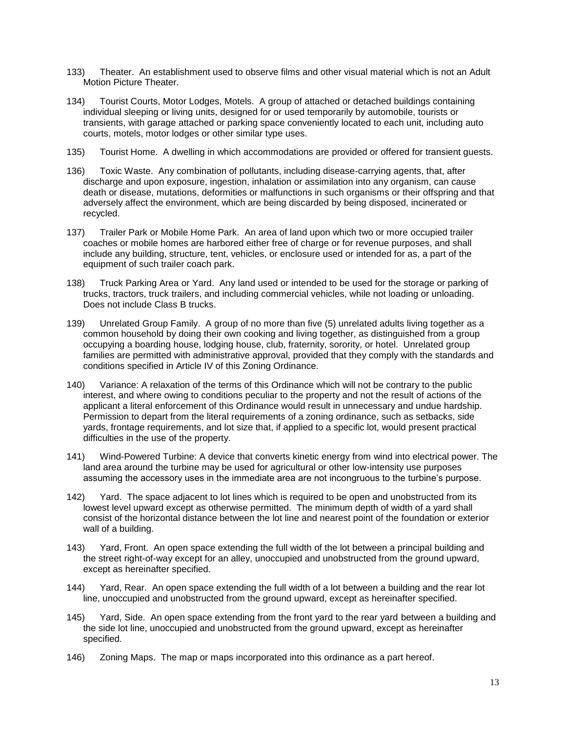- 133) Theater. An establishment used to observe films and other visual material which is not an Adult Motion Picture Theater.
- 134) Tourist Courts, Motor Lodges, Motels. A group of attached or detached buildings containing individual sleeping or living units, designed for or used temporarily by automobile, tourists or transients, with garage attached or parking space conveniently located to each unit, including auto courts, motels, motor lodges or other similar type uses.
- 135) Tourist Home. A dwelling in which accommodations are provided or offered for transient guests.
- 136) Toxic Waste. Any combination of pollutants, including disease-carrying agents, that, after discharge and upon exposure, ingestion, inhalation or assimilation into any organism, can cause death or disease, mutations, deformities or malfunctions in such organisms or their offspring and that adversely affect the environment, which are being discarded by being disposed, incinerated or recycled.
- 137) Trailer Park or Mobile Home Park. An area of land upon which two or more occupied trailer coaches or mobile homes are harbored either free of charge or for revenue purposes, and shall include any building, structure, tent, vehicles, or enclosure used or intended for as, a part of the equipment of such trailer coach park.
- 138) Truck Parking Area or Yard. Any land used or intended to be used for the storage or parking of trucks, tractors, truck trailers, and including commercial vehicles, while not loading or unloading. Does not include Class B trucks.
- 139) Unrelated Group Family. A group of no more than five (5) unrelated adults living together as a common household by doing their own cooking and living together, as distinguished from a group occupying a boarding house, lodging house, club, fraternity, sorority, or hotel. Unrelated group families are permitted with administrative approval, provided that they comply with the standards and conditions specified in Article IV of this Zoning Ordinance.
- 140) Variance: A relaxation of the terms of this Ordinance which will not be contrary to the public interest, and where owing to conditions peculiar to the property and not the result of actions of the applicant a literal enforcement of this Ordinance would result in unnecessary and undue hardship. Permission to depart from the literal requirements of a zoning ordinance, such as setbacks, side yards, frontage requirements, and lot size that, if applied to a specific lot, would present practical difficulties in the use of the property.
- 141) Wind-Powered Turbine: A device that converts kinetic energy from wind into electrical power. The land area around the turbine may be used for agricultural or other low-intensity use purposes assuming the accessory uses in the immediate area are not incongruous to the turbine's purpose.
- 142) Yard. The space adjacent to lot lines which is required to be open and unobstructed from its lowest level upward except as otherwise permitted. The minimum depth of width of a yard shall consist of the horizontal distance between the lot line and nearest point of the foundation or exterior wall of a building.
- 143) Yard, Front. An open space extending the full width of the lot between a principal building and the street right-of-way except for an alley, unoccupied and unobstructed from the ground upward, except as hereinafter specified.
- 144) Yard, Rear. An open space extending the full width of a lot between a building and the rear lot line, unoccupied and unobstructed from the ground upward, except as hereinafter specified.
- 145) Yard, Side. An open space extending from the front yard to the rear yard between a building and the side lot line, unoccupied and unobstructed from the ground upward, except as hereinafter specified.
- 146) Zoning Maps. The map or maps incorporated into this ordinance as a part hereof.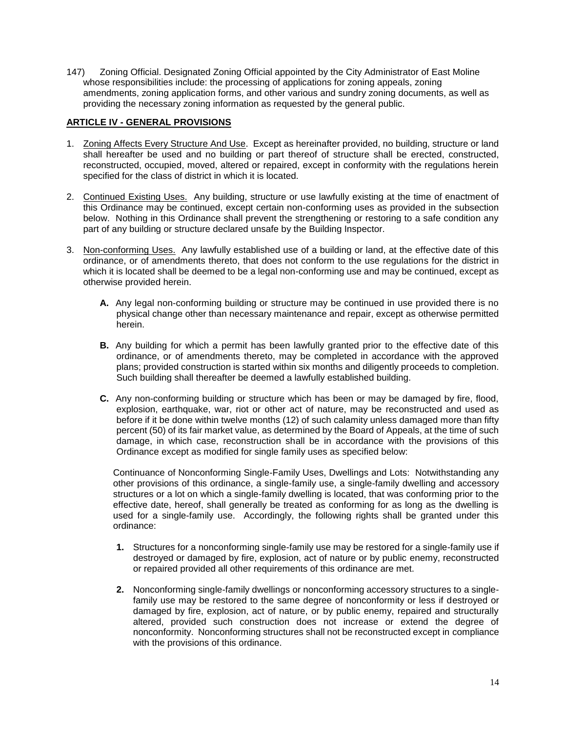147) Zoning Official. Designated Zoning Official appointed by the City Administrator of East Moline whose responsibilities include: the processing of applications for zoning appeals, zoning amendments, zoning application forms, and other various and sundry zoning documents, as well as providing the necessary zoning information as requested by the general public.

# <span id="page-14-0"></span>**ARTICLE IV - GENERAL PROVISIONS**

- 1. Zoning Affects Every Structure And Use. Except as hereinafter provided, no building, structure or land shall hereafter be used and no building or part thereof of structure shall be erected, constructed, reconstructed, occupied, moved, altered or repaired, except in conformity with the regulations herein specified for the class of district in which it is located.
- 2. Continued Existing Uses. Any building, structure or use lawfully existing at the time of enactment of this Ordinance may be continued, except certain non-conforming uses as provided in the subsection below. Nothing in this Ordinance shall prevent the strengthening or restoring to a safe condition any part of any building or structure declared unsafe by the Building Inspector.
- 3. Non-conforming Uses. Any lawfully established use of a building or land, at the effective date of this ordinance, or of amendments thereto, that does not conform to the use regulations for the district in which it is located shall be deemed to be a legal non-conforming use and may be continued, except as otherwise provided herein.
	- **A.** Any legal non-conforming building or structure may be continued in use provided there is no physical change other than necessary maintenance and repair, except as otherwise permitted herein.
	- **B.** Any building for which a permit has been lawfully granted prior to the effective date of this ordinance, or of amendments thereto, may be completed in accordance with the approved plans; provided construction is started within six months and diligently proceeds to completion. Such building shall thereafter be deemed a lawfully established building.
	- **C.** Any non-conforming building or structure which has been or may be damaged by fire, flood, explosion, earthquake, war, riot or other act of nature, may be reconstructed and used as before if it be done within twelve months (12) of such calamity unless damaged more than fifty percent (50) of its fair market value, as determined by the Board of Appeals, at the time of such damage, in which case, reconstruction shall be in accordance with the provisions of this Ordinance except as modified for single family uses as specified below:

Continuance of Nonconforming Single-Family Uses, Dwellings and Lots: Notwithstanding any other provisions of this ordinance, a single-family use, a single-family dwelling and accessory structures or a lot on which a single-family dwelling is located, that was conforming prior to the effective date, hereof, shall generally be treated as conforming for as long as the dwelling is used for a single-family use. Accordingly, the following rights shall be granted under this ordinance:

- **1.** Structures for a nonconforming single-family use may be restored for a single-family use if destroyed or damaged by fire, explosion, act of nature or by public enemy, reconstructed or repaired provided all other requirements of this ordinance are met.
- **2.** Nonconforming single-family dwellings or nonconforming accessory structures to a singlefamily use may be restored to the same degree of nonconformity or less if destroyed or damaged by fire, explosion, act of nature, or by public enemy, repaired and structurally altered, provided such construction does not increase or extend the degree of nonconformity. Nonconforming structures shall not be reconstructed except in compliance with the provisions of this ordinance.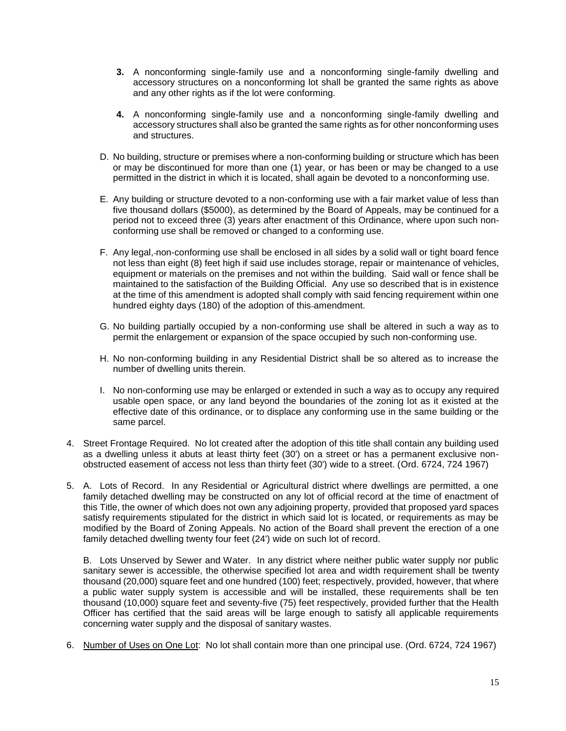- **3.** A nonconforming single-family use and a nonconforming single-family dwelling and accessory structures on a nonconforming lot shall be granted the same rights as above and any other rights as if the lot were conforming.
- **4.** A nonconforming single-family use and a nonconforming single-family dwelling and accessory structures shall also be granted the same rights as for other nonconforming uses and structures.
- D. No building, structure or premises where a non-conforming building or structure which has been or may be discontinued for more than one (1) year, or has been or may be changed to a use permitted in the district in which it is located, shall again be devoted to a nonconforming use.
- E. Any building or structure devoted to a non-conforming use with a fair market value of less than five thousand dollars (\$5000), as determined by the Board of Appeals, may be continued for a period not to exceed three (3) years after enactment of this Ordinance, where upon such nonconforming use shall be removed or changed to a conforming use.
- F. Any legal, non-conforming use shall be enclosed in all sides by a solid wall or tight board fence not less than eight (8) feet high if said use includes storage, repair or maintenance of vehicles, equipment or materials on the premises and not within the building. Said wall or fence shall be maintained to the satisfaction of the Building Official. Any use so described that is in existence at the time of this amendment is adopted shall comply with said fencing requirement within one hundred eighty days (180) of the adoption of this-amendment.
- G. No building partially occupied by a non-conforming use shall be altered in such a way as to permit the enlargement or expansion of the space occupied by such non-conforming use.
- H. No non-conforming building in any Residential District shall be so altered as to increase the number of dwelling units therein.
- I. No non-conforming use may be enlarged or extended in such a way as to occupy any required usable open space, or any land beyond the boundaries of the zoning lot as it existed at the effective date of this ordinance, or to displace any conforming use in the same building or the same parcel.
- 4. Street Frontage Required. No lot created after the adoption of this title shall contain any building used as a dwelling unless it abuts at least thirty feet (30') on a street or has a permanent exclusive nonobstructed easement of access not less than thirty feet (30') wide to a street. (Ord. 6724, 724 1967)
- 5. A. Lots of Record. In any Residential or Agricultural district where dwellings are permitted, a one family detached dwelling may be constructed on any lot of official record at the time of enactment of this Title, the owner of which does not own any adjoining property, provided that proposed yard spaces satisfy requirements stipulated for the district in which said lot is located, or requirements as may be modified by the Board of Zoning Appeals. No action of the Board shall prevent the erection of a one family detached dwelling twenty four feet (24') wide on such lot of record.

B. Lots Unserved by Sewer and Water. In any district where neither public water supply nor public sanitary sewer is accessible, the otherwise specified lot area and width requirement shall be twenty thousand (20,000) square feet and one hundred (100) feet; respectively, provided, however, that where a public water supply system is accessible and will be installed, these requirements shall be ten thousand (10,000) square feet and seventy-five (75) feet respectively, provided further that the Health Officer has certified that the said areas will be large enough to satisfy all applicable requirements concerning water supply and the disposal of sanitary wastes.

6. Number of Uses on One Lot: No lot shall contain more than one principal use. (Ord. 6724, 724 1967)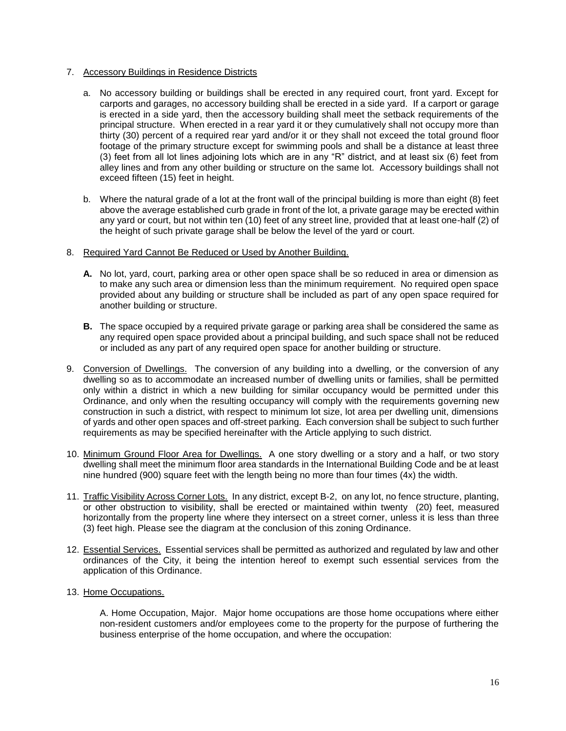# 7. Accessory Buildings in Residence Districts

- a. No accessory building or buildings shall be erected in any required court, front yard. Except for carports and garages, no accessory building shall be erected in a side yard. If a carport or garage is erected in a side yard, then the accessory building shall meet the setback requirements of the principal structure. When erected in a rear yard it or they cumulatively shall not occupy more than thirty (30) percent of a required rear yard and/or it or they shall not exceed the total ground floor footage of the primary structure except for swimming pools and shall be a distance at least three (3) feet from all lot lines adjoining lots which are in any "R" district, and at least six (6) feet from alley lines and from any other building or structure on the same lot. Accessory buildings shall not exceed fifteen (15) feet in height.
- b. Where the natural grade of a lot at the front wall of the principal building is more than eight (8) feet above the average established curb grade in front of the lot, a private garage may be erected within any yard or court, but not within ten (10) feet of any street line, provided that at least one-half (2) of the height of such private garage shall be below the level of the yard or court.

# 8. Required Yard Cannot Be Reduced or Used by Another Building.

- **A.** No lot, yard, court, parking area or other open space shall be so reduced in area or dimension as to make any such area or dimension less than the minimum requirement. No required open space provided about any building or structure shall be included as part of any open space required for another building or structure.
- **B.** The space occupied by a required private garage or parking area shall be considered the same as any required open space provided about a principal building, and such space shall not be reduced or included as any part of any required open space for another building or structure.
- 9. Conversion of Dwellings. The conversion of any building into a dwelling, or the conversion of any dwelling so as to accommodate an increased number of dwelling units or families, shall be permitted only within a district in which a new building for similar occupancy would be permitted under this Ordinance, and only when the resulting occupancy will comply with the requirements governing new construction in such a district, with respect to minimum lot size, lot area per dwelling unit, dimensions of yards and other open spaces and off-street parking. Each conversion shall be subject to such further requirements as may be specified hereinafter with the Article applying to such district.
- 10. Minimum Ground Floor Area for Dwellings. A one story dwelling or a story and a half, or two story dwelling shall meet the minimum floor area standards in the International Building Code and be at least nine hundred (900) square feet with the length being no more than four times (4x) the width.
- 11. Traffic Visibility Across Corner Lots. In any district, except B-2, on any lot, no fence structure, planting, or other obstruction to visibility, shall be erected or maintained within twenty (20) feet, measured horizontally from the property line where they intersect on a street corner, unless it is less than three (3) feet high. Please see the diagram at the conclusion of this zoning Ordinance.
- 12. Essential Services. Essential services shall be permitted as authorized and regulated by law and other ordinances of the City, it being the intention hereof to exempt such essential services from the application of this Ordinance.

#### 13. Home Occupations.

A. Home Occupation, Major. Major home occupations are those home occupations where either non-resident customers and/or employees come to the property for the purpose of furthering the business enterprise of the home occupation, and where the occupation: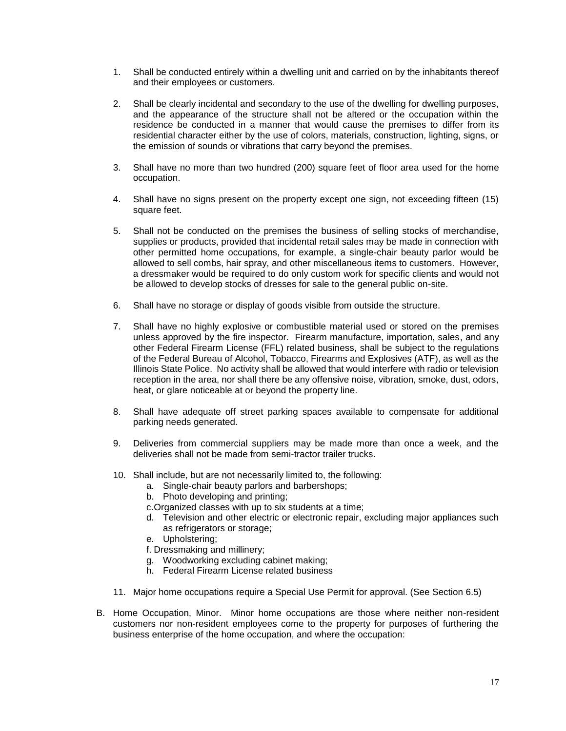- 1. Shall be conducted entirely within a dwelling unit and carried on by the inhabitants thereof and their employees or customers.
- 2. Shall be clearly incidental and secondary to the use of the dwelling for dwelling purposes, and the appearance of the structure shall not be altered or the occupation within the residence be conducted in a manner that would cause the premises to differ from its residential character either by the use of colors, materials, construction, lighting, signs, or the emission of sounds or vibrations that carry beyond the premises.
- 3. Shall have no more than two hundred (200) square feet of floor area used for the home occupation.
- 4. Shall have no signs present on the property except one sign, not exceeding fifteen (15) square feet.
- 5. Shall not be conducted on the premises the business of selling stocks of merchandise, supplies or products, provided that incidental retail sales may be made in connection with other permitted home occupations, for example, a single-chair beauty parlor would be allowed to sell combs, hair spray, and other miscellaneous items to customers. However, a dressmaker would be required to do only custom work for specific clients and would not be allowed to develop stocks of dresses for sale to the general public on-site.
- 6. Shall have no storage or display of goods visible from outside the structure.
- 7. Shall have no highly explosive or combustible material used or stored on the premises unless approved by the fire inspector. Firearm manufacture, importation, sales, and any other Federal Firearm License (FFL) related business, shall be subject to the regulations of the Federal Bureau of Alcohol, Tobacco, Firearms and Explosives (ATF), as well as the Illinois State Police. No activity shall be allowed that would interfere with radio or television reception in the area, nor shall there be any offensive noise, vibration, smoke, dust, odors, heat, or glare noticeable at or beyond the property line.
- 8. Shall have adequate off street parking spaces available to compensate for additional parking needs generated.
- 9. Deliveries from commercial suppliers may be made more than once a week, and the deliveries shall not be made from semi-tractor trailer trucks.
- 10. Shall include, but are not necessarily limited to, the following:
	- a. Single-chair beauty parlors and barbershops;
	- b. Photo developing and printing;
	- c.Organized classes with up to six students at a time;
	- d. Television and other electric or electronic repair, excluding major appliances such as refrigerators or storage;
	- e. Upholstering;
	- f. Dressmaking and millinery;
	- g. Woodworking excluding cabinet making;
	- h. Federal Firearm License related business
- 11. Major home occupations require a Special Use Permit for approval. (See Section 6.5)
- B. Home Occupation, Minor. Minor home occupations are those where neither non-resident customers nor non-resident employees come to the property for purposes of furthering the business enterprise of the home occupation, and where the occupation: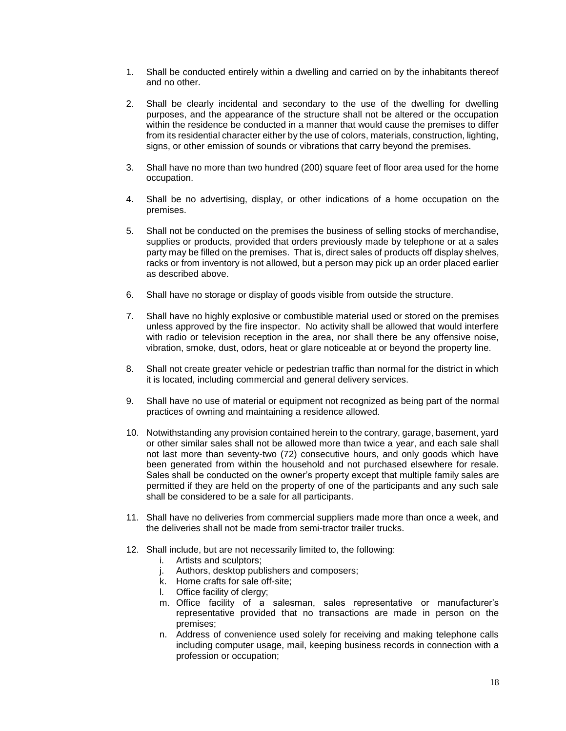- 1. Shall be conducted entirely within a dwelling and carried on by the inhabitants thereof and no other.
- 2. Shall be clearly incidental and secondary to the use of the dwelling for dwelling purposes, and the appearance of the structure shall not be altered or the occupation within the residence be conducted in a manner that would cause the premises to differ from its residential character either by the use of colors, materials, construction, lighting, signs, or other emission of sounds or vibrations that carry beyond the premises.
- 3. Shall have no more than two hundred (200) square feet of floor area used for the home occupation.
- 4. Shall be no advertising, display, or other indications of a home occupation on the premises.
- 5. Shall not be conducted on the premises the business of selling stocks of merchandise, supplies or products, provided that orders previously made by telephone or at a sales party may be filled on the premises. That is, direct sales of products off display shelves, racks or from inventory is not allowed, but a person may pick up an order placed earlier as described above.
- 6. Shall have no storage or display of goods visible from outside the structure.
- 7. Shall have no highly explosive or combustible material used or stored on the premises unless approved by the fire inspector. No activity shall be allowed that would interfere with radio or television reception in the area, nor shall there be any offensive noise, vibration, smoke, dust, odors, heat or glare noticeable at or beyond the property line.
- 8. Shall not create greater vehicle or pedestrian traffic than normal for the district in which it is located, including commercial and general delivery services.
- 9. Shall have no use of material or equipment not recognized as being part of the normal practices of owning and maintaining a residence allowed.
- 10. Notwithstanding any provision contained herein to the contrary, garage, basement, yard or other similar sales shall not be allowed more than twice a year, and each sale shall not last more than seventy-two (72) consecutive hours, and only goods which have been generated from within the household and not purchased elsewhere for resale. Sales shall be conducted on the owner's property except that multiple family sales are permitted if they are held on the property of one of the participants and any such sale shall be considered to be a sale for all participants.
- 11. Shall have no deliveries from commercial suppliers made more than once a week, and the deliveries shall not be made from semi-tractor trailer trucks.
- 12. Shall include, but are not necessarily limited to, the following:
	- i. Artists and sculptors;
	- j. Authors, desktop publishers and composers;
	- k. Home crafts for sale off-site;
	- l. Office facility of clergy;
	- m. Office facility of a salesman, sales representative or manufacturer's representative provided that no transactions are made in person on the premises;
	- n. Address of convenience used solely for receiving and making telephone calls including computer usage, mail, keeping business records in connection with a profession or occupation;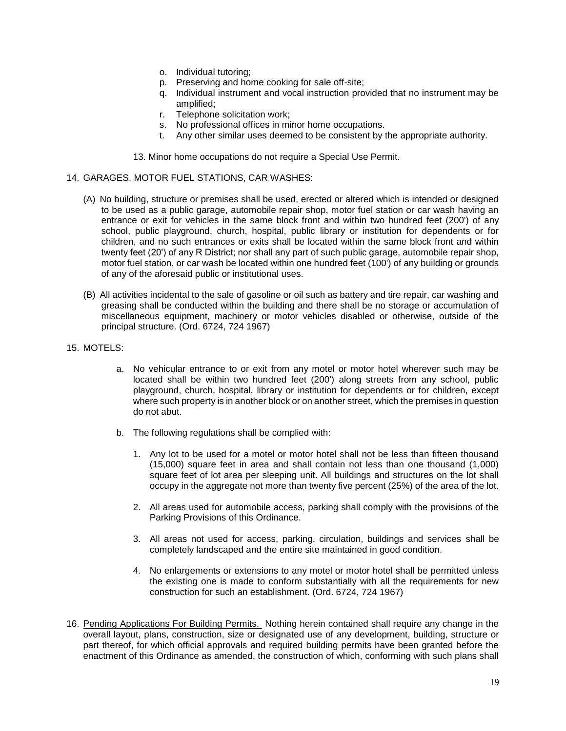- o. Individual tutoring;
- p. Preserving and home cooking for sale off-site;
- q. Individual instrument and vocal instruction provided that no instrument may be amplified;
- r. Telephone solicitation work;
- s. No professional offices in minor home occupations.
- t. Any other similar uses deemed to be consistent by the appropriate authority.

13. Minor home occupations do not require a Special Use Permit.

### 14. GARAGES, MOTOR FUEL STATIONS, CAR WASHES:

- (A) No building, structure or premises shall be used, erected or altered which is intended or designed to be used as a public garage, automobile repair shop, motor fuel station or car wash having an entrance or exit for vehicles in the same block front and within two hundred feet (200') of any school, public playground, church, hospital, public library or institution for dependents or for children, and no such entrances or exits shall be located within the same block front and within twenty feet (20') of any R District; nor shall any part of such public garage, automobile repair shop, motor fuel station, or car wash be located within one hundred feet (100') of any building or grounds of any of the aforesaid public or institutional uses.
- (B) All activities incidental to the sale of gasoline or oil such as battery and tire repair, car washing and greasing shall be conducted within the building and there shall be no storage or accumulation of miscellaneous equipment, machinery or motor vehicles disabled or otherwise, outside of the principal structure. (Ord. 6724, 724 1967)
- 15. MOTELS:
	- a. No vehicular entrance to or exit from any motel or motor hotel wherever such may be located shall be within two hundred feet (200') along streets from any school, public playground, church, hospital, library or institution for dependents or for children, except where such property is in another block or on another street, which the premises in question do not abut.
	- b. The following regulations shall be complied with:
		- 1. Any lot to be used for a motel or motor hotel shall not be less than fifteen thousand (15,000) square feet in area and shall contain not less than one thousand (1,000) square feet of lot area per sleeping unit. All buildings and structures on the lot shall occupy in the aggregate not more than twenty five percent (25%) of the area of the lot.
		- 2. All areas used for automobile access, parking shall comply with the provisions of the Parking Provisions of this Ordinance.
		- 3. All areas not used for access, parking, circulation, buildings and services shall be completely landscaped and the entire site maintained in good condition.
		- 4. No enlargements or extensions to any motel or motor hotel shall be permitted unless the existing one is made to conform substantially with all the requirements for new construction for such an establishment. (Ord. 6724, 724 1967)
- 16. Pending Applications For Building Permits. Nothing herein contained shall require any change in the overall layout, plans, construction, size or designated use of any development, building, structure or part thereof, for which official approvals and required building permits have been granted before the enactment of this Ordinance as amended, the construction of which, conforming with such plans shall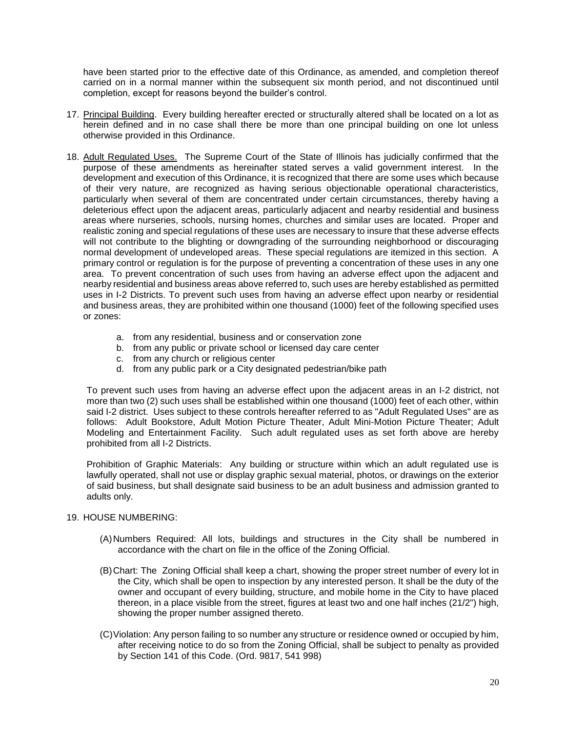have been started prior to the effective date of this Ordinance, as amended, and completion thereof carried on in a normal manner within the subsequent six month period, and not discontinued until completion, except for reasons beyond the builder's control.

- 17. Principal Building. Every building hereafter erected or structurally altered shall be located on a lot as herein defined and in no case shall there be more than one principal building on one lot unless otherwise provided in this Ordinance.
- 18. Adult Regulated Uses. The Supreme Court of the State of Illinois has judicially confirmed that the purpose of these amendments as hereinafter stated serves a valid government interest. In the development and execution of this Ordinance, it is recognized that there are some uses which because of their very nature, are recognized as having serious objectionable operational characteristics, particularly when several of them are concentrated under certain circumstances, thereby having a deleterious effect upon the adjacent areas, particularly adjacent and nearby residential and business areas where nurseries, schools, nursing homes, churches and similar uses are located. Proper and realistic zoning and special regulations of these uses are necessary to insure that these adverse effects will not contribute to the blighting or downgrading of the surrounding neighborhood or discouraging normal development of undeveloped areas. These special regulations are itemized in this section. A primary control or regulation is for the purpose of preventing a concentration of these uses in any one area. To prevent concentration of such uses from having an adverse effect upon the adjacent and nearby residential and business areas above referred to, such uses are hereby established as permitted uses in I-2 Districts. To prevent such uses from having an adverse effect upon nearby or residential and business areas, they are prohibited within one thousand (1000) feet of the following specified uses or zones:
	- a. from any residential, business and or conservation zone
	- b. from any public or private school or licensed day care center
	- c. from any church or religious center
	- d. from any public park or a City designated pedestrian/bike path

To prevent such uses from having an adverse effect upon the adjacent areas in an I-2 district, not more than two (2) such uses shall be established within one thousand (1000) feet of each other, within said I-2 district. Uses subject to these controls hereafter referred to as "Adult Regulated Uses" are as follows: Adult Bookstore, Adult Motion Picture Theater, Adult Mini-Motion Picture Theater; Adult Modeling and Entertainment Facility. Such adult regulated uses as set forth above are hereby prohibited from all I-2 Districts.

Prohibition of Graphic Materials: Any building or structure within which an adult regulated use is lawfully operated, shall not use or display graphic sexual material, photos, or drawings on the exterior of said business, but shall designate said business to be an adult business and admission granted to adults only.

# 19. HOUSE NUMBERING:

- (A)Numbers Required: All lots, buildings and structures in the City shall be numbered in accordance with the chart on file in the office of the Zoning Official.
- (B)Chart: The Zoning Official shall keep a chart, showing the proper street number of every lot in the City, which shall be open to inspection by any interested person. It shall be the duty of the owner and occupant of every building, structure, and mobile home in the City to have placed thereon, in a place visible from the street, figures at least two and one half inches (21/2") high, showing the proper number assigned thereto.
- (C)Violation: Any person failing to so number any structure or residence owned or occupied by him, after receiving notice to do so from the Zoning Official, shall be subject to penalty as provided by Section 141 of this Code. (Ord. 9817, 541 998)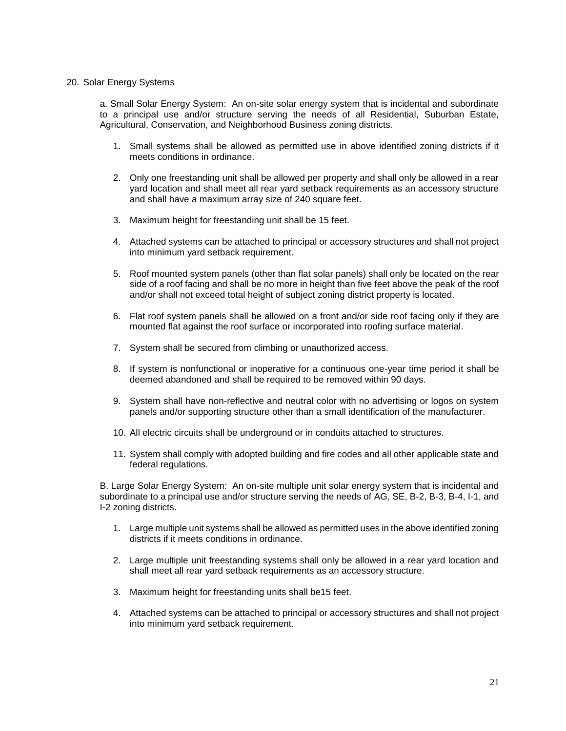# 20. Solar Energy Systems

a. Small Solar Energy System: An on-site solar energy system that is incidental and subordinate to a principal use and/or structure serving the needs of all Residential, Suburban Estate, Agricultural, Conservation, and Neighborhood Business zoning districts.

- 1. Small systems shall be allowed as permitted use in above identified zoning districts if it meets conditions in ordinance.
- 2. Only one freestanding unit shall be allowed per property and shall only be allowed in a rear yard location and shall meet all rear yard setback requirements as an accessory structure and shall have a maximum array size of 240 square feet.
- 3. Maximum height for freestanding unit shall be 15 feet.
- 4. Attached systems can be attached to principal or accessory structures and shall not project into minimum yard setback requirement.
- 5. Roof mounted system panels (other than flat solar panels) shall only be located on the rear side of a roof facing and shall be no more in height than five feet above the peak of the roof and/or shall not exceed total height of subject zoning district property is located.
- 6. Flat roof system panels shall be allowed on a front and/or side roof facing only if they are mounted flat against the roof surface or incorporated into roofing surface material.
- 7. System shall be secured from climbing or unauthorized access.
- 8. If system is nonfunctional or inoperative for a continuous one-year time period it shall be deemed abandoned and shall be required to be removed within 90 days.
- 9. System shall have non-reflective and neutral color with no advertising or logos on system panels and/or supporting structure other than a small identification of the manufacturer.
- 10. All electric circuits shall be underground or in conduits attached to structures.
- 11. System shall comply with adopted building and fire codes and all other applicable state and federal regulations.

B. Large Solar Energy System: An on-site multiple unit solar energy system that is incidental and subordinate to a principal use and/or structure serving the needs of AG, SE, B-2, B-3, B-4, I-1, and I-2 zoning districts.

- 1. Large multiple unit systems shall be allowed as permitted uses in the above identified zoning districts if it meets conditions in ordinance.
- 2. Large multiple unit freestanding systems shall only be allowed in a rear yard location and shall meet all rear yard setback requirements as an accessory structure.
- 3. Maximum height for freestanding units shall be15 feet.
- 4. Attached systems can be attached to principal or accessory structures and shall not project into minimum yard setback requirement.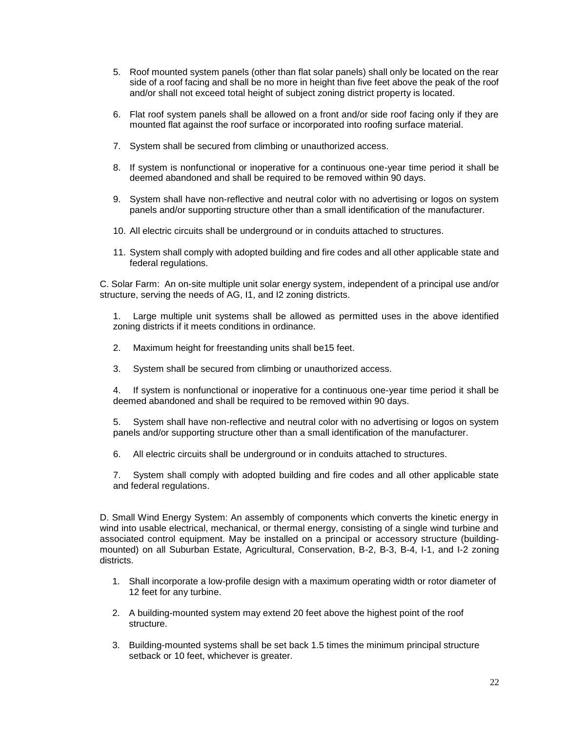- 5. Roof mounted system panels (other than flat solar panels) shall only be located on the rear side of a roof facing and shall be no more in height than five feet above the peak of the roof and/or shall not exceed total height of subject zoning district property is located.
- 6. Flat roof system panels shall be allowed on a front and/or side roof facing only if they are mounted flat against the roof surface or incorporated into roofing surface material.
- 7. System shall be secured from climbing or unauthorized access.
- 8. If system is nonfunctional or inoperative for a continuous one-year time period it shall be deemed abandoned and shall be required to be removed within 90 days.
- 9. System shall have non-reflective and neutral color with no advertising or logos on system panels and/or supporting structure other than a small identification of the manufacturer.
- 10. All electric circuits shall be underground or in conduits attached to structures.
- 11. System shall comply with adopted building and fire codes and all other applicable state and federal regulations.

C. Solar Farm: An on-site multiple unit solar energy system, independent of a principal use and/or structure, serving the needs of AG, I1, and I2 zoning districts.

1. Large multiple unit systems shall be allowed as permitted uses in the above identified zoning districts if it meets conditions in ordinance.

- 2. Maximum height for freestanding units shall be15 feet.
- 3. System shall be secured from climbing or unauthorized access.

4. If system is nonfunctional or inoperative for a continuous one-year time period it shall be deemed abandoned and shall be required to be removed within 90 days.

5. System shall have non-reflective and neutral color with no advertising or logos on system panels and/or supporting structure other than a small identification of the manufacturer.

6. All electric circuits shall be underground or in conduits attached to structures.

7. System shall comply with adopted building and fire codes and all other applicable state and federal regulations.

D. Small Wind Energy System: An assembly of components which converts the kinetic energy in wind into usable electrical, mechanical, or thermal energy, consisting of a single wind turbine and associated control equipment. May be installed on a principal or accessory structure (buildingmounted) on all Suburban Estate, Agricultural, Conservation, B-2, B-3, B-4, I-1, and I-2 zoning districts.

- 1. Shall incorporate a low-profile design with a maximum operating width or rotor diameter of 12 feet for any turbine.
- 2. A building-mounted system may extend 20 feet above the highest point of the roof structure.
- 3. Building-mounted systems shall be set back 1.5 times the minimum principal structure setback or 10 feet, whichever is greater.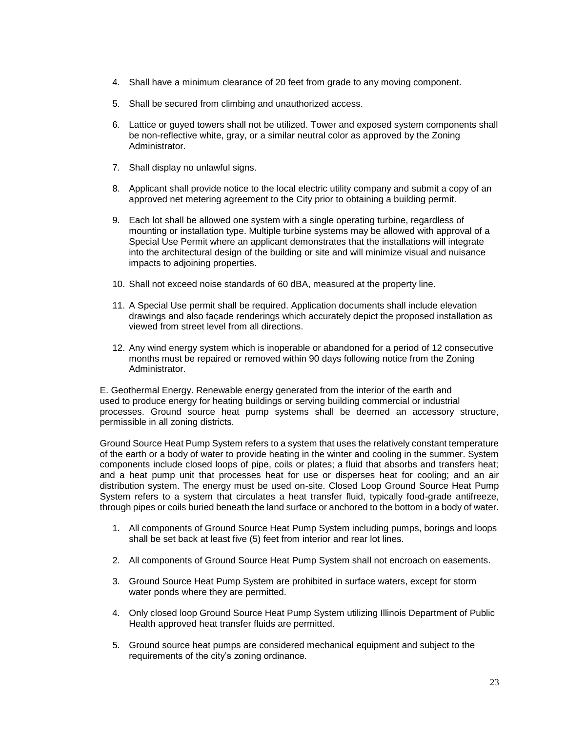- 4. Shall have a minimum clearance of 20 feet from grade to any moving component.
- 5. Shall be secured from climbing and unauthorized access.
- 6. Lattice or guyed towers shall not be utilized. Tower and exposed system components shall be non-reflective white, gray, or a similar neutral color as approved by the Zoning Administrator.
- 7. Shall display no unlawful signs.
- 8. Applicant shall provide notice to the local electric utility company and submit a copy of an approved net metering agreement to the City prior to obtaining a building permit.
- 9. Each lot shall be allowed one system with a single operating turbine, regardless of mounting or installation type. Multiple turbine systems may be allowed with approval of a Special Use Permit where an applicant demonstrates that the installations will integrate into the architectural design of the building or site and will minimize visual and nuisance impacts to adjoining properties.
- 10. Shall not exceed noise standards of 60 dBA, measured at the property line.
- 11. A Special Use permit shall be required. Application documents shall include elevation drawings and also façade renderings which accurately depict the proposed installation as viewed from street level from all directions.
- 12. Any wind energy system which is inoperable or abandoned for a period of 12 consecutive months must be repaired or removed within 90 days following notice from the Zoning Administrator.

E. Geothermal Energy. Renewable energy generated from the interior of the earth and used to produce energy for heating buildings or serving building commercial or industrial processes. Ground source heat pump systems shall be deemed an accessory structure, permissible in all zoning districts.

Ground Source Heat Pump System refers to a system that uses the relatively constant temperature of the earth or a body of water to provide heating in the winter and cooling in the summer. System components include closed loops of pipe, coils or plates; a fluid that absorbs and transfers heat; and a heat pump unit that processes heat for use or disperses heat for cooling; and an air distribution system. The energy must be used on-site. Closed Loop Ground Source Heat Pump System refers to a system that circulates a heat transfer fluid, typically food-grade antifreeze, through pipes or coils buried beneath the land surface or anchored to the bottom in a body of water.

- 1. All components of Ground Source Heat Pump System including pumps, borings and loops shall be set back at least five (5) feet from interior and rear lot lines.
- 2. All components of Ground Source Heat Pump System shall not encroach on easements.
- 3. Ground Source Heat Pump System are prohibited in surface waters, except for storm water ponds where they are permitted.
- 4. Only closed loop Ground Source Heat Pump System utilizing Illinois Department of Public Health approved heat transfer fluids are permitted.
- 5. Ground source heat pumps are considered mechanical equipment and subject to the requirements of the city's zoning ordinance.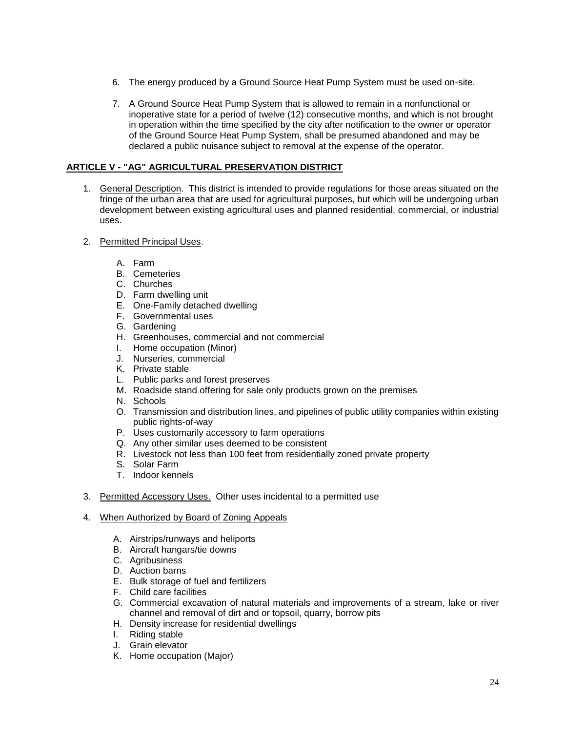- 6. The energy produced by a Ground Source Heat Pump System must be used on-site.
- 7. A Ground Source Heat Pump System that is allowed to remain in a nonfunctional or inoperative state for a period of twelve (12) consecutive months, and which is not brought in operation within the time specified by the city after notification to the owner or operator of the Ground Source Heat Pump System, shall be presumed abandoned and may be declared a public nuisance subject to removal at the expense of the operator.

# <span id="page-24-0"></span>**ARTICLE V - "AG" AGRICULTURAL PRESERVATION DISTRICT**

- 1. General Description. This district is intended to provide regulations for those areas situated on the fringe of the urban area that are used for agricultural purposes, but which will be undergoing urban development between existing agricultural uses and planned residential, commercial, or industrial uses.
- 2. Permitted Principal Uses.
	- A. Farm
	- B. Cemeteries
	- C. Churches
	- D. Farm dwelling unit
	- E. One-Family detached dwelling
	- F. Governmental uses
	- G. Gardening
	- H. Greenhouses, commercial and not commercial
	- I. Home occupation (Minor)
	- J. Nurseries, commercial
	- K. Private stable
	- L. Public parks and forest preserves
	- M. Roadside stand offering for sale only products grown on the premises
	- N. Schools
	- O. Transmission and distribution lines, and pipelines of public utility companies within existing public rights-of-way
	- P. Uses customarily accessory to farm operations
	- Q. Any other similar uses deemed to be consistent
	- R. Livestock not less than 100 feet from residentially zoned private property
	- S. Solar Farm
	- T. Indoor kennels
- 3. Permitted Accessory Uses. Other uses incidental to a permitted use
- 4. When Authorized by Board of Zoning Appeals
	- A. Airstrips/runways and heliports
	- B. Aircraft hangars/tie downs
	- C. Agribusiness
	- D. Auction barns
	- E. Bulk storage of fuel and fertilizers
	- F. Child care facilities
	- G. Commercial excavation of natural materials and improvements of a stream, lake or river channel and removal of dirt and or topsoil, quarry, borrow pits
	- H. Density increase for residential dwellings
	- I. Riding stable
	- J. Grain elevator
	- K. Home occupation (Major)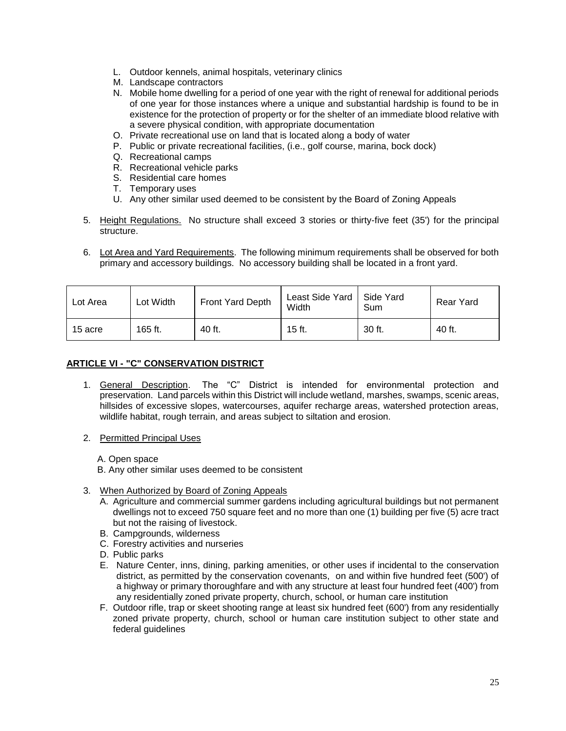- L. Outdoor kennels, animal hospitals, veterinary clinics
- M. Landscape contractors
- N. Mobile home dwelling for a period of one year with the right of renewal for additional periods of one year for those instances where a unique and substantial hardship is found to be in existence for the protection of property or for the shelter of an immediate blood relative with a severe physical condition, with appropriate documentation
- O. Private recreational use on land that is located along a body of water
- P. Public or private recreational facilities, (i.e., golf course, marina, bock dock)
- Q. Recreational camps
- R. Recreational vehicle parks
- S. Residential care homes
- T. Temporary uses
- U. Any other similar used deemed to be consistent by the Board of Zoning Appeals
- 5. Height Regulations. No structure shall exceed 3 stories or thirty-five feet (35') for the principal structure.
- 6. Lot Area and Yard Requirements. The following minimum requirements shall be observed for both primary and accessory buildings. No accessory building shall be located in a front yard.

| Lot Area | Lot Width | Front Yard Depth | Least Side Yard<br>Width | Side Yard<br><b>Sum</b> | Rear Yard |
|----------|-----------|------------------|--------------------------|-------------------------|-----------|
| 15 acre  | 165 ft.   | 40 ft.           | $15$ ft.                 | 30 ft.                  | 40 ft.    |

# <span id="page-25-0"></span>**ARTICLE VI - "C" CONSERVATION DISTRICT**

- 1. General Description. The "C" District is intended for environmental protection and preservation. Land parcels within this District will include wetland, marshes, swamps, scenic areas, hillsides of excessive slopes, watercourses, aquifer recharge areas, watershed protection areas, wildlife habitat, rough terrain, and areas subject to siltation and erosion.
- 2. Permitted Principal Uses
	- A. Open space
	- B. Any other similar uses deemed to be consistent
- 3. When Authorized by Board of Zoning Appeals
	- A. Agriculture and commercial summer gardens including agricultural buildings but not permanent dwellings not to exceed 750 square feet and no more than one (1) building per five (5) acre tract but not the raising of livestock.
	- B. Campgrounds, wilderness
	- C. Forestry activities and nurseries
	- D. Public parks
	- E. Nature Center, inns, dining, parking amenities, or other uses if incidental to the conservation district, as permitted by the conservation covenants, on and within five hundred feet (500') of a highway or primary thoroughfare and with any structure at least four hundred feet (400') from any residentially zoned private property, church, school, or human care institution
	- F. Outdoor rifle, trap or skeet shooting range at least six hundred feet (600') from any residentially zoned private property, church, school or human care institution subject to other state and federal guidelines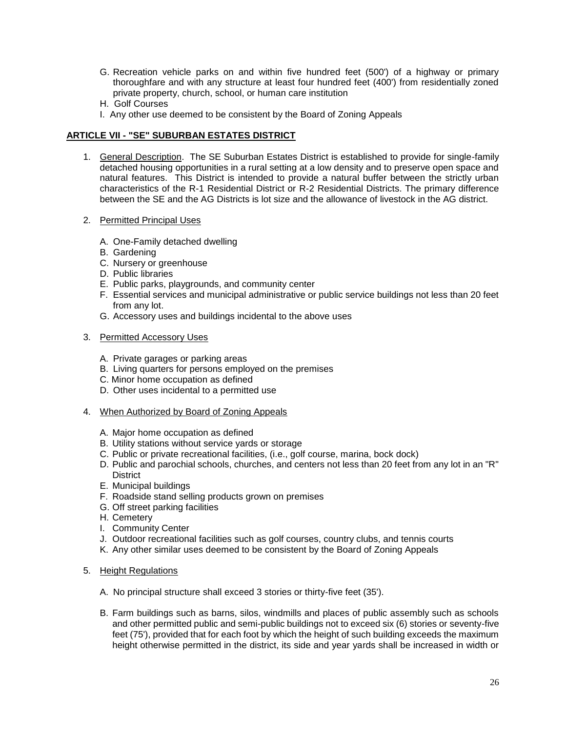- G. Recreation vehicle parks on and within five hundred feet (500') of a highway or primary thoroughfare and with any structure at least four hundred feet (400') from residentially zoned private property, church, school, or human care institution
- H. Golf Courses
- I. Any other use deemed to be consistent by the Board of Zoning Appeals

# <span id="page-26-0"></span>**ARTICLE VII - "SE" SUBURBAN ESTATES DISTRICT**

- 1. General Description. The SE Suburban Estates District is established to provide for single-family detached housing opportunities in a rural setting at a low density and to preserve open space and natural features. This District is intended to provide a natural buffer between the strictly urban characteristics of the R-1 Residential District or R-2 Residential Districts. The primary difference between the SE and the AG Districts is lot size and the allowance of livestock in the AG district.
- 2. Permitted Principal Uses
	- A. One-Family detached dwelling
	- B. Gardening
	- C. Nursery or greenhouse
	- D. Public libraries
	- E. Public parks, playgrounds, and community center
	- F. Essential services and municipal administrative or public service buildings not less than 20 feet from any lot.
	- G. Accessory uses and buildings incidental to the above uses
- 3. Permitted Accessory Uses
	- A. Private garages or parking areas
	- B. Living quarters for persons employed on the premises
	- C. Minor home occupation as defined
	- D. Other uses incidental to a permitted use
- 4. When Authorized by Board of Zoning Appeals
	- A. Major home occupation as defined
	- B. Utility stations without service yards or storage
	- C. Public or private recreational facilities, (i.e., golf course, marina, bock dock)
	- D. Public and parochial schools, churches, and centers not less than 20 feet from any lot in an "R" **District**
	- E. Municipal buildings
	- F. Roadside stand selling products grown on premises
	- G. Off street parking facilities
	- H. Cemetery
	- I. Community Center
	- J. Outdoor recreational facilities such as golf courses, country clubs, and tennis courts
	- K. Any other similar uses deemed to be consistent by the Board of Zoning Appeals
- 5. Height Regulations
	- A. No principal structure shall exceed 3 stories or thirty-five feet (35').
	- B. Farm buildings such as barns, silos, windmills and places of public assembly such as schools and other permitted public and semi-public buildings not to exceed six (6) stories or seventy-five feet (75'), provided that for each foot by which the height of such building exceeds the maximum height otherwise permitted in the district, its side and year yards shall be increased in width or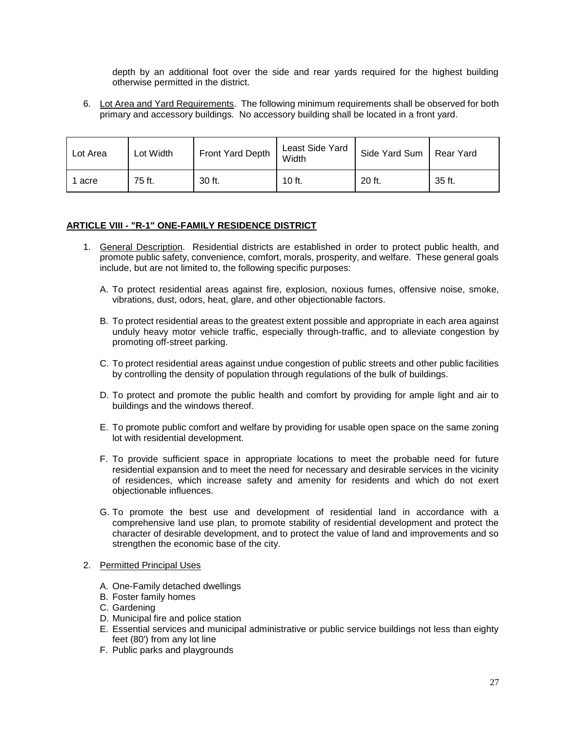depth by an additional foot over the side and rear yards required for the highest building otherwise permitted in the district.

6. Lot Area and Yard Requirements. The following minimum requirements shall be observed for both primary and accessory buildings. No accessory building shall be located in a front yard.

| Lot Area | Lot Width | Front Yard Depth | Least Side Yard<br>Width | Side Yard Sum | Rear Yard |
|----------|-----------|------------------|--------------------------|---------------|-----------|
| 1 acre   | 75 ft.    | 30 ft.           | 10 ft.                   | 20 ft.        | 35 ft.    |

# <span id="page-27-0"></span>**ARTICLE VIII - "R-1" ONE-FAMILY RESIDENCE DISTRICT**

- 1. General Description. Residential districts are established in order to protect public health, and promote public safety, convenience, comfort, morals, prosperity, and welfare. These general goals include, but are not limited to, the following specific purposes:
	- A. To protect residential areas against fire, explosion, noxious fumes, offensive noise, smoke, vibrations, dust, odors, heat, glare, and other objectionable factors.
	- B. To protect residential areas to the greatest extent possible and appropriate in each area against unduly heavy motor vehicle traffic, especially through-traffic, and to alleviate congestion by promoting off-street parking.
	- C. To protect residential areas against undue congestion of public streets and other public facilities by controlling the density of population through regulations of the bulk of buildings.
	- D. To protect and promote the public health and comfort by providing for ample light and air to buildings and the windows thereof.
	- E. To promote public comfort and welfare by providing for usable open space on the same zoning lot with residential development.
	- F. To provide sufficient space in appropriate locations to meet the probable need for future residential expansion and to meet the need for necessary and desirable services in the vicinity of residences, which increase safety and amenity for residents and which do not exert objectionable influences.
	- G. To promote the best use and development of residential land in accordance with a comprehensive land use plan, to promote stability of residential development and protect the character of desirable development, and to protect the value of land and improvements and so strengthen the economic base of the city.

#### 2. Permitted Principal Uses

- A. One-Family detached dwellings
- B. Foster family homes
- C. Gardening
- D. Municipal fire and police station
- E. Essential services and municipal administrative or public service buildings not less than eighty feet (80') from any lot line
- F. Public parks and playgrounds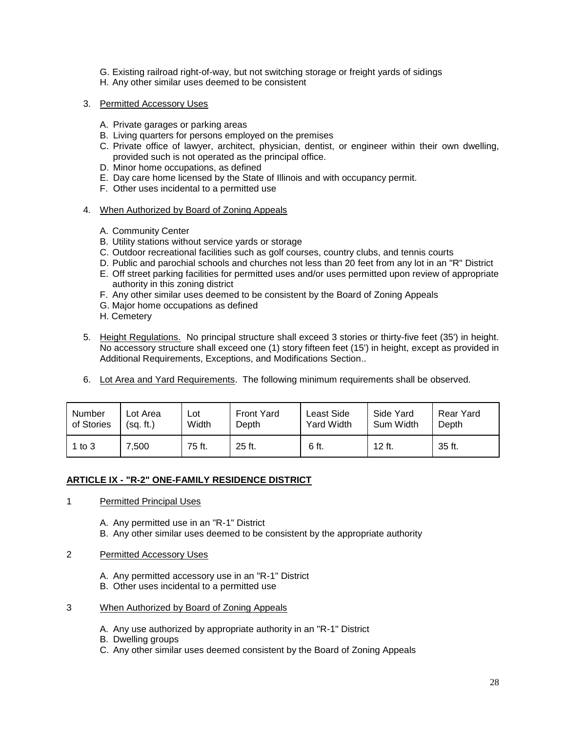- G. Existing railroad right-of-way, but not switching storage or freight yards of sidings
- H. Any other similar uses deemed to be consistent
- 3. Permitted Accessory Uses
	- A. Private garages or parking areas
	- B. Living quarters for persons employed on the premises
	- C. Private office of lawyer, architect, physician, dentist, or engineer within their own dwelling, provided such is not operated as the principal office.
	- D. Minor home occupations, as defined
	- E. Day care home licensed by the State of Illinois and with occupancy permit.
	- F. Other uses incidental to a permitted use
- 4. When Authorized by Board of Zoning Appeals
	- A. Community Center
	- B. Utility stations without service yards or storage
	- C. Outdoor recreational facilities such as golf courses, country clubs, and tennis courts
	- D. Public and parochial schools and churches not less than 20 feet from any lot in an "R" District
	- E. Off street parking facilities for permitted uses and/or uses permitted upon review of appropriate authority in this zoning district
	- F. Any other similar uses deemed to be consistent by the Board of Zoning Appeals
	- G. Major home occupations as defined
	- H. Cemetery
- 5. Height Regulations. No principal structure shall exceed 3 stories or thirty-five feet (35') in height. No accessory structure shall exceed one (1) story fifteen feet (15') in height, except as provided in Additional Requirements, Exceptions, and Modifications Section..
- 6. Lot Area and Yard Requirements. The following minimum requirements shall be observed.

| Number     | ∟ot Area  | ∟ot    | <b>Front Yard</b> | Least Side        | Side Yard | Rear Yard |
|------------|-----------|--------|-------------------|-------------------|-----------|-----------|
| of Stories | (sq. ft.) | Width  | Depth             | <b>Yard Width</b> | Sum Width | Depth     |
| 1 to $3$   | 500.'     | 75 ft. | 25 ft.            | 6 ft.             | 12 ft.    | 35 ft.    |

#### <span id="page-28-0"></span>**ARTICLE IX - "R-2" ONE-FAMILY RESIDENCE DISTRICT**

- 1 Permitted Principal Uses
	- A. Any permitted use in an "R-1" District
	- B. Any other similar uses deemed to be consistent by the appropriate authority
- 2 Permitted Accessory Uses
	- A. Any permitted accessory use in an "R-1" District
	- B. Other uses incidental to a permitted use
- 3 When Authorized by Board of Zoning Appeals
	- A. Any use authorized by appropriate authority in an "R-1" District
	- B. Dwelling groups
	- C. Any other similar uses deemed consistent by the Board of Zoning Appeals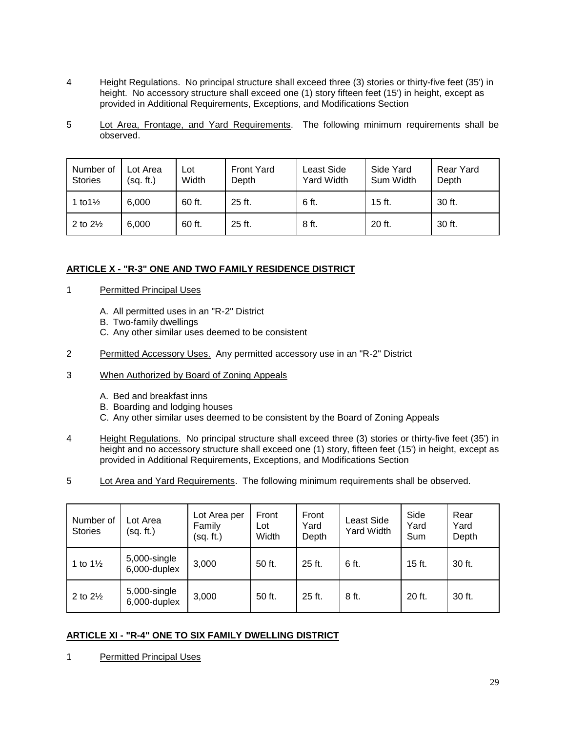- 4 Height Regulations. No principal structure shall exceed three (3) stories or thirty-five feet (35') in height. No accessory structure shall exceed one (1) story fifteen feet (15') in height, except as provided in Additional Requirements, Exceptions, and Modifications Section
- 5 Lot Area, Frontage, and Yard Requirements. The following minimum requirements shall be observed.

| Number of<br><b>Stories</b> | Lot Area<br>(sq. ft.) | Lot<br>Width | <b>Front Yard</b><br>Depth | Least Side<br><b>Yard Width</b> | Side Yard<br>Sum Width | <b>Rear Yard</b><br>Depth |
|-----------------------------|-----------------------|--------------|----------------------------|---------------------------------|------------------------|---------------------------|
| 1 to $1\frac{1}{2}$         | 6.000                 | 60 ft.       | $25$ ft.                   | 6 ft.                           | 15 ft.                 | 30 ft.                    |
| 2 to $2\frac{1}{2}$         | 6,000                 | 60 ft.       | 25 ft.                     | 8 ft.                           | 20 ft.                 | 30 ft.                    |

# <span id="page-29-0"></span>**ARTICLE X - "R-3" ONE AND TWO FAMILY RESIDENCE DISTRICT**

- 1 Permitted Principal Uses
	- A. All permitted uses in an "R-2" District
	- B. Two-family dwellings
	- C. Any other similar uses deemed to be consistent
- 2 Permitted Accessory Uses. Any permitted accessory use in an "R-2" District
- 3 When Authorized by Board of Zoning Appeals
	- A. Bed and breakfast inns
	- B. Boarding and lodging houses
	- C. Any other similar uses deemed to be consistent by the Board of Zoning Appeals
- 4 Height Regulations. No principal structure shall exceed three (3) stories or thirty-five feet (35') in height and no accessory structure shall exceed one (1) story, fifteen feet (15') in height, except as provided in Additional Requirements, Exceptions, and Modifications Section
- 5 Lot Area and Yard Requirements. The following minimum requirements shall be observed.

| Number of<br><b>Stories</b> | Lot Area<br>(sq. ft.)        | Lot Area per<br>Family<br>(sq. ft.) | Front<br>Lot<br>Width | Front<br>Yard<br>Depth | Least Side<br><b>Yard Width</b> | Side<br>Yard<br>Sum | Rear<br>Yard<br>Depth |
|-----------------------------|------------------------------|-------------------------------------|-----------------------|------------------------|---------------------------------|---------------------|-----------------------|
| 1 to $1\frac{1}{2}$         | 5,000-single<br>6,000-duplex | 3,000                               | 50 ft.                | 25 ft.                 | 6 ft.                           | $15$ ft.            | 30 ft.                |
| 2 to $2\frac{1}{2}$         | 5,000-single<br>6,000-duplex | 3,000                               | 50 ft.                | 25 ft.                 | 8 ft.                           | 20 ft.              | 30 ft.                |

#### <span id="page-29-1"></span>**ARTICLE XI - "R-4" ONE TO SIX FAMILY DWELLING DISTRICT**

1 Permitted Principal Uses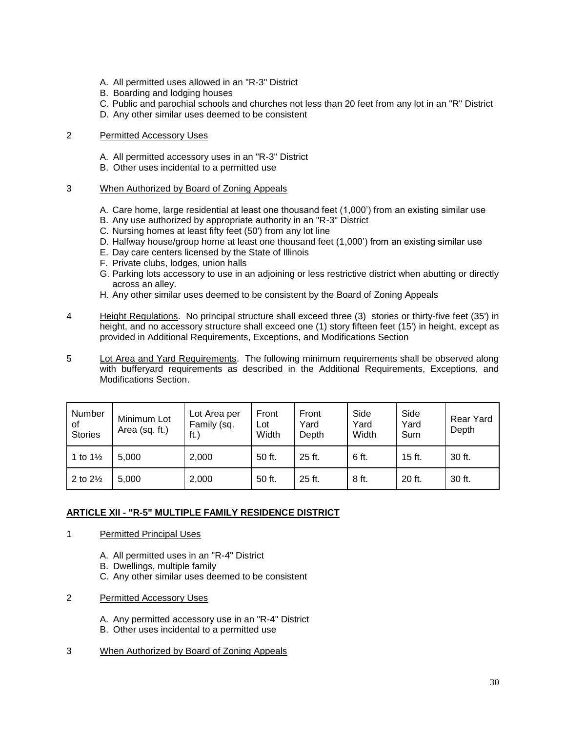- A. All permitted uses allowed in an "R-3" District
- B. Boarding and lodging houses
- C. Public and parochial schools and churches not less than 20 feet from any lot in an "R" District
- D. Any other similar uses deemed to be consistent

# 2 Permitted Accessory Uses

- A. All permitted accessory uses in an "R-3" District
- B. Other uses incidental to a permitted use
- 3 When Authorized by Board of Zoning Appeals
	- A. Care home, large residential at least one thousand feet (1,000') from an existing similar use
	- B. Any use authorized by appropriate authority in an "R-3" District
	- C. Nursing homes at least fifty feet (50') from any lot line
	- D. Halfway house/group home at least one thousand feet (1,000') from an existing similar use
	- E. Day care centers licensed by the State of Illinois
	- F. Private clubs, lodges, union halls
	- G. Parking lots accessory to use in an adjoining or less restrictive district when abutting or directly across an alley.
	- H. Any other similar uses deemed to be consistent by the Board of Zoning Appeals
- 4 Height Regulations. No principal structure shall exceed three (3) stories or thirty-five feet (35') in height, and no accessory structure shall exceed one (1) story fifteen feet (15') in height, except as provided in Additional Requirements, Exceptions, and Modifications Section
- 5 Lot Area and Yard Requirements. The following minimum requirements shall be observed along with bufferyard requirements as described in the Additional Requirements, Exceptions, and Modifications Section.

| Number<br>0f<br><b>Stories</b> | Minimum Lot<br>Area (sq. ft.) | Lot Area per<br>Family (sq.<br>ft.) | Front<br>Lot<br>Width | Front<br>Yard<br>Depth | Side<br>Yard<br>Width | Side<br>Yard<br>Sum | Rear Yard<br>Depth |
|--------------------------------|-------------------------------|-------------------------------------|-----------------------|------------------------|-----------------------|---------------------|--------------------|
| 1 to $1\frac{1}{2}$            | 5,000                         | 2,000                               | 50 ft.                | 25 ft.                 | 6 ft.                 | 15 ft.              | 30 ft.             |
| 2 to $2\frac{1}{2}$            | 5,000                         | 2,000                               | 50 ft.                | 25 ft.                 | 8 ft.                 | 20 ft.              | 30 ft.             |

# <span id="page-30-0"></span>**ARTICLE XII - "R-5" MULTIPLE FAMILY RESIDENCE DISTRICT**

- 1 Permitted Principal Uses
	- A. All permitted uses in an "R-4" District
	- B. Dwellings, multiple family
	- C. Any other similar uses deemed to be consistent
- 2 Permitted Accessory Uses
	- A. Any permitted accessory use in an "R-4" District
	- B. Other uses incidental to a permitted use

#### 3 When Authorized by Board of Zoning Appeals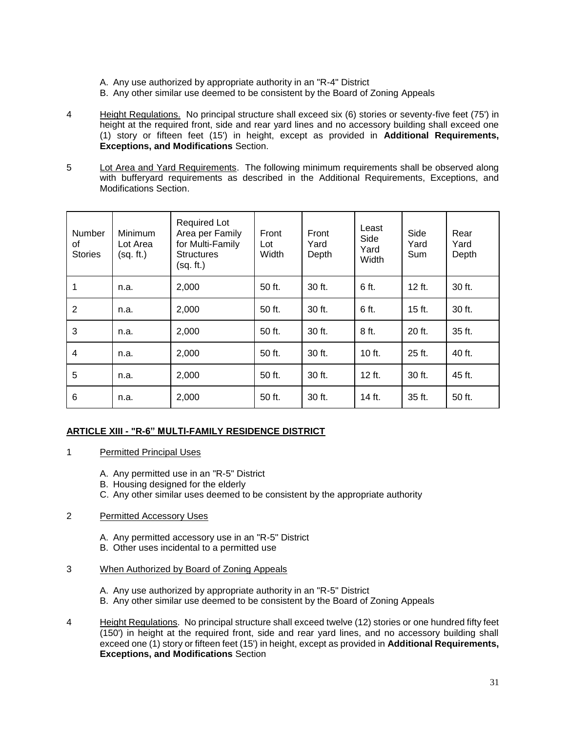- A. Any use authorized by appropriate authority in an "R-4" District
- B. Any other similar use deemed to be consistent by the Board of Zoning Appeals
- 4 Height Regulations. No principal structure shall exceed six (6) stories or seventy-five feet (75') in height at the required front, side and rear yard lines and no accessory building shall exceed one (1) story or fifteen feet (15') in height, except as provided in **Additional Requirements, Exceptions, and Modifications** Section.
- 5 Lot Area and Yard Requirements. The following minimum requirements shall be observed along with bufferyard requirements as described in the Additional Requirements, Exceptions, and Modifications Section.

| Number<br>οf<br><b>Stories</b> | <b>Minimum</b><br>Lot Area<br>(sq. ft.) | <b>Required Lot</b><br>Area per Family<br>for Multi-Family<br><b>Structures</b><br>(sq. ft.) | Front<br>Lot<br>Width | Front<br>Yard<br>Depth | Least<br>Side<br>Yard<br>Width | Side<br>Yard<br>Sum | Rear<br>Yard<br>Depth |
|--------------------------------|-----------------------------------------|----------------------------------------------------------------------------------------------|-----------------------|------------------------|--------------------------------|---------------------|-----------------------|
| 1                              | n.a.                                    | 2,000                                                                                        | 50 ft.                | 30 ft.                 | 6 ft.                          | $12$ ft.            | 30 ft.                |
| 2                              | n.a.                                    | 2,000                                                                                        | 50 ft.                | 30 ft.                 | 6 ft.                          | 15 ft.              | 30 ft.                |
| 3                              | n.a.                                    | 2,000                                                                                        | 50 ft.                | 30 ft.                 | 8 ft.                          | 20 ft.              | 35 ft.                |
| 4                              | n.a.                                    | 2,000                                                                                        | 50 ft.                | 30 ft.                 | 10 ft.                         | 25 ft.              | 40 ft.                |
| 5                              | n.a.                                    | 2,000                                                                                        | 50 ft.                | 30 ft.                 | $12$ ft.                       | 30 ft.              | 45 ft.                |
| 6                              | n.a.                                    | 2,000                                                                                        | 50 ft.                | 30 ft.                 | 14 ft.                         | 35 ft.              | 50 ft.                |

# <span id="page-31-0"></span>**ARTICLE XIII - "R-6" MULTI-FAMILY RESIDENCE DISTRICT**

# 1 Permitted Principal Uses

- A. Any permitted use in an "R-5" District
- B. Housing designed for the elderly
- C. Any other similar uses deemed to be consistent by the appropriate authority

# 2 Permitted Accessory Uses

- A. Any permitted accessory use in an "R-5" District
- B. Other uses incidental to a permitted use

#### 3 When Authorized by Board of Zoning Appeals

- A. Any use authorized by appropriate authority in an "R-5" District
- B. Any other similar use deemed to be consistent by the Board of Zoning Appeals
- 4 Height Regulations. No principal structure shall exceed twelve (12) stories or one hundred fifty feet (150') in height at the required front, side and rear yard lines, and no accessory building shall exceed one (1) story or fifteen feet (15') in height, except as provided in **Additional Requirements, Exceptions, and Modifications** Section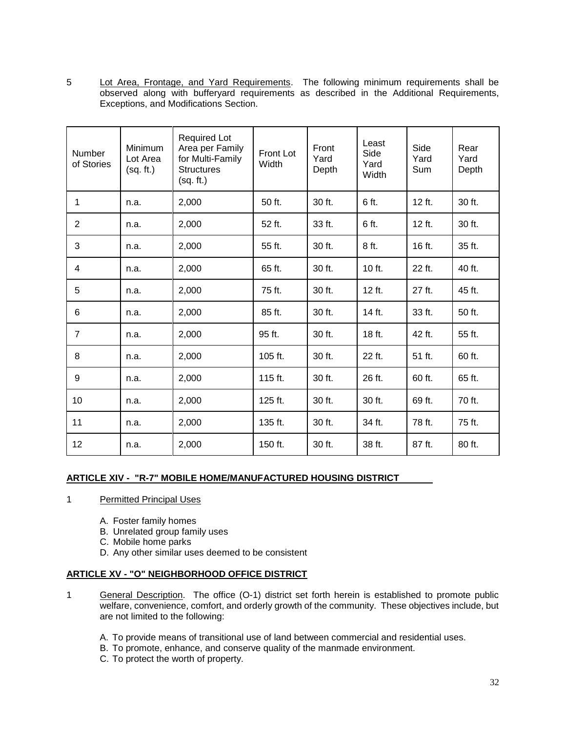5 Lot Area, Frontage, and Yard Requirements. The following minimum requirements shall be observed along with bufferyard requirements as described in the Additional Requirements, Exceptions, and Modifications Section.

| <b>Number</b><br>of Stories | Minimum<br>Lot Area<br>(sq. ft.) | <b>Required Lot</b><br>Area per Family<br>for Multi-Family<br><b>Structures</b><br>(sq. ft.) | <b>Front Lot</b><br>Width | Front<br>Yard<br>Depth | Least<br>Side<br>Yard<br>Width | Side<br>Yard<br>Sum | Rear<br>Yard<br>Depth |
|-----------------------------|----------------------------------|----------------------------------------------------------------------------------------------|---------------------------|------------------------|--------------------------------|---------------------|-----------------------|
| 1                           | n.a.                             | 2,000                                                                                        | 50 ft.                    | 30 ft.                 | 6 ft.                          | 12 ft.              | 30 ft.                |
| $\overline{2}$              | n.a.                             | 2,000                                                                                        | 52 ft.                    | 33 ft.                 | 6 ft.                          | 12 ft.              | 30 ft.                |
| 3                           | n.a.                             | 2,000                                                                                        | 55 ft.                    | 30 ft.                 | 8 ft.                          | 16 ft.              | 35 ft.                |
| 4                           | n.a.                             | 2,000                                                                                        | 65 ft.                    | 30 ft.                 | 10 ft.                         | 22 ft.              | 40 ft.                |
| 5                           | n.a.                             | 2,000                                                                                        | 75 ft.                    | 30 ft.                 | 12 ft.                         | 27 ft.              | 45 ft.                |
| 6                           | n.a.                             | 2,000                                                                                        | 85 ft.                    | 30 ft.                 | 14 ft.                         | 33 ft.              | 50 ft.                |
| 7                           | n.a.                             | 2,000                                                                                        | 95 ft.                    | 30 ft.                 | 18 ft.                         | 42 ft.              | 55 ft.                |
| 8                           | n.a.                             | 2,000                                                                                        | 105 ft.                   | 30 ft.                 | 22 ft.                         | 51 ft.              | 60 ft.                |
| 9                           | n.a.                             | 2,000                                                                                        | 115 ft.                   | 30 ft.                 | 26 ft.                         | 60 ft.              | 65 ft.                |
| 10                          | n.a.                             | 2,000                                                                                        | 125 ft.                   | 30 ft.                 | 30 ft.                         | 69 ft.              | 70 ft.                |
| 11                          | n.a.                             | 2,000                                                                                        | 135 ft.                   | 30 ft.                 | 34 ft.                         | 78 ft.              | 75 ft.                |
| 12                          | n.a.                             | 2,000                                                                                        | 150 ft.                   | 30 ft.                 | 38 ft.                         | 87 ft.              | 80 ft.                |

# <span id="page-32-0"></span>**ARTICLE XIV - "R-7" MOBILE HOME/MANUFACTURED HOUSING DISTRICT**

- 1 Permitted Principal Uses
	- A. Foster family homes
	- B. Unrelated group family uses
	- C. Mobile home parks
	- D. Any other similar uses deemed to be consistent

# <span id="page-32-1"></span>**ARTICLE XV - "O" NEIGHBORHOOD OFFICE DISTRICT**

- 1 General Description. The office (O-1) district set forth herein is established to promote public welfare, convenience, comfort, and orderly growth of the community. These objectives include, but are not limited to the following:
	- A. To provide means of transitional use of land between commercial and residential uses.
	- B. To promote, enhance, and conserve quality of the manmade environment.
	- C. To protect the worth of property.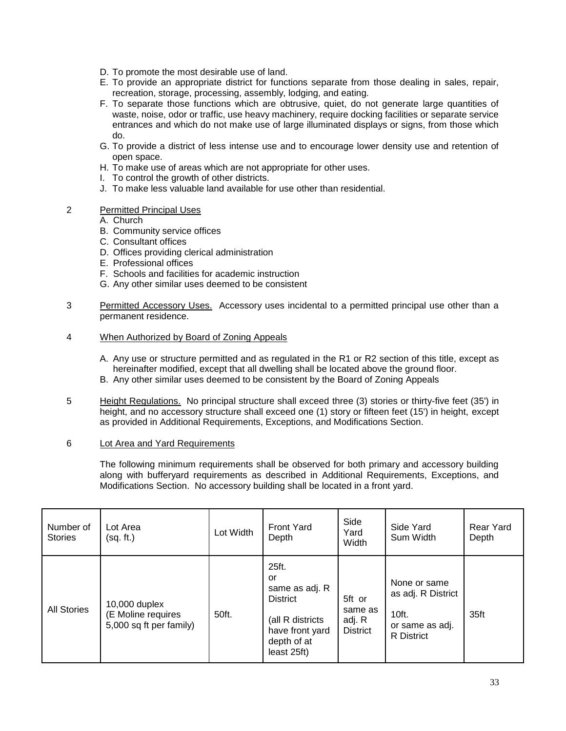- D. To promote the most desirable use of land.
- E. To provide an appropriate district for functions separate from those dealing in sales, repair, recreation, storage, processing, assembly, lodging, and eating.
- F. To separate those functions which are obtrusive, quiet, do not generate large quantities of waste, noise, odor or traffic, use heavy machinery, require docking facilities or separate service entrances and which do not make use of large illuminated displays or signs, from those which do.
- G. To provide a district of less intense use and to encourage lower density use and retention of open space.
- H. To make use of areas which are not appropriate for other uses.
- I. To control the growth of other districts.
- J. To make less valuable land available for use other than residential.

# 2 Permitted Principal Uses

A. Church

- B. Community service offices
- C. Consultant offices
- D. Offices providing clerical administration
- E. Professional offices
- F. Schools and facilities for academic instruction
- G. Any other similar uses deemed to be consistent
- 3 Permitted Accessory Uses. Accessory uses incidental to a permitted principal use other than a permanent residence.

# 4 When Authorized by Board of Zoning Appeals

- A. Any use or structure permitted and as regulated in the R1 or R2 section of this title, except as hereinafter modified, except that all dwelling shall be located above the ground floor.
- B. Any other similar uses deemed to be consistent by the Board of Zoning Appeals
- 5 Height Regulations. No principal structure shall exceed three (3) stories or thirty-five feet (35') in height, and no accessory structure shall exceed one (1) story or fifteen feet (15') in height, except as provided in Additional Requirements, Exceptions, and Modifications Section.

#### 6 Lot Area and Yard Requirements

The following minimum requirements shall be observed for both primary and accessory building along with bufferyard requirements as described in Additional Requirements, Exceptions, and Modifications Section. No accessory building shall be located in a front yard.

| Number of<br><b>Stories</b> | Lot Area<br>(sq. ft.)                                          | Lot Width | <b>Front Yard</b><br>Depth                                                                                            | Side<br>Yard<br>Width                          | Side Yard<br>Sum Width                                                              | Rear Yard<br>Depth |
|-----------------------------|----------------------------------------------------------------|-----------|-----------------------------------------------------------------------------------------------------------------------|------------------------------------------------|-------------------------------------------------------------------------------------|--------------------|
| <b>All Stories</b>          | 10,000 duplex<br>(E Moline requires<br>5,000 sq ft per family) | 50ft.     | 25ft.<br>or<br>same as adj. R<br><b>District</b><br>(all R districts<br>have front yard<br>depth of at<br>least 25ft) | 5ft or<br>same as<br>adj. R<br><b>District</b> | None or same<br>as adj. R District<br>10ft.<br>or same as adj.<br><b>R</b> District | 35ft               |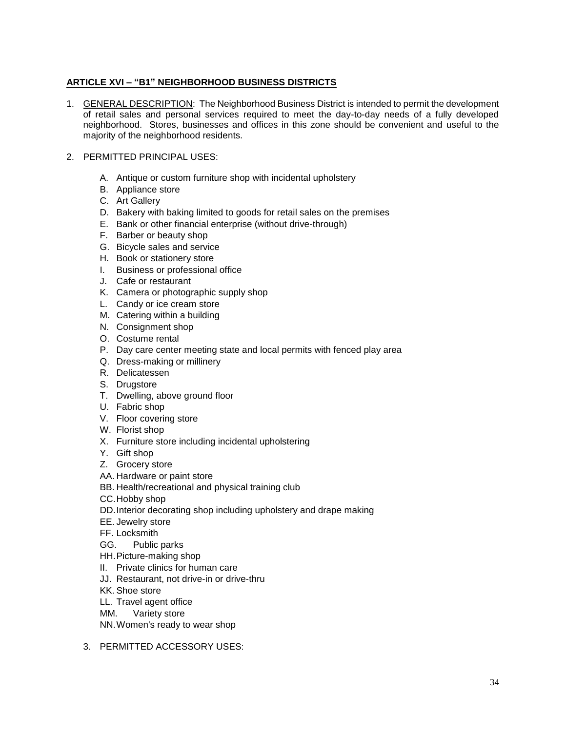# <span id="page-34-0"></span>**ARTICLE XVI – "B1" NEIGHBORHOOD BUSINESS DISTRICTS**

- 1. GENERAL DESCRIPTION: The Neighborhood Business District is intended to permit the development of retail sales and personal services required to meet the day-to-day needs of a fully developed neighborhood. Stores, businesses and offices in this zone should be convenient and useful to the majority of the neighborhood residents.
- 2. PERMITTED PRINCIPAL USES:
	- A. Antique or custom furniture shop with incidental upholstery
	- B. Appliance store
	- C. Art Gallery
	- D. Bakery with baking limited to goods for retail sales on the premises
	- E. Bank or other financial enterprise (without drive-through)
	- F. Barber or beauty shop
	- G. Bicycle sales and service
	- H. Book or stationery store
	- I. Business or professional office
	- J. Cafe or restaurant
	- K. Camera or photographic supply shop
	- L. Candy or ice cream store
	- M. Catering within a building
	- N. Consignment shop
	- O. Costume rental
	- P. Day care center meeting state and local permits with fenced play area
	- Q. Dress-making or millinery
	- R. Delicatessen
	- S. Drugstore
	- T. Dwelling, above ground floor
	- U. Fabric shop
	- V. Floor covering store
	- W. Florist shop
	- X. Furniture store including incidental upholstering
	- Y. Gift shop
	- Z. Grocery store
	- AA. Hardware or paint store
	- BB. Health/recreational and physical training club
	- CC.Hobby shop
	- DD.Interior decorating shop including upholstery and drape making
	- EE. Jewelry store
	- FF. Locksmith
	- GG. Public parks
	- HH.Picture-making shop
	- II. Private clinics for human care
	- JJ. Restaurant, not drive-in or drive-thru
	- KK. Shoe store
	- LL. Travel agent office
	- MM. Variety store
	- NN.Women's ready to wear shop
	- 3. PERMITTED ACCESSORY USES: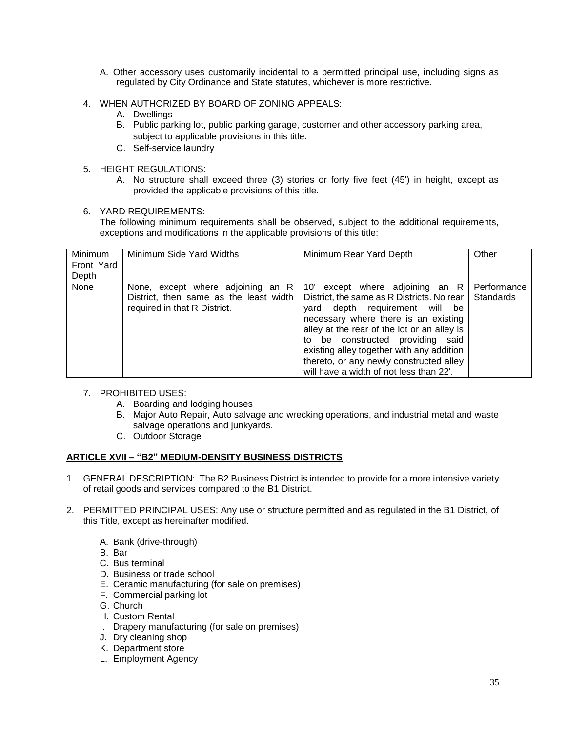- A. Other accessory uses customarily incidental to a permitted principal use, including signs as regulated by City Ordinance and State statutes, whichever is more restrictive.
- 4. WHEN AUTHORIZED BY BOARD OF ZONING APPEALS:
	- A. Dwellings
	- B. Public parking lot, public parking garage, customer and other accessory parking area, subject to applicable provisions in this title.
	- C. Self-service laundry
- 5. HEIGHT REGULATIONS:
	- A. No structure shall exceed three (3) stories or forty five feet (45') in height, except as provided the applicable provisions of this title.
- 6. YARD REQUIREMENTS:

The following minimum requirements shall be observed, subject to the additional requirements, exceptions and modifications in the applicable provisions of this title:

| Minimum    | Minimum Side Yard Widths               | Minimum Rear Yard Depth                     | Other       |
|------------|----------------------------------------|---------------------------------------------|-------------|
| Front Yard |                                        |                                             |             |
| Depth      |                                        |                                             |             |
| None       | None, except where adjoining an R      | 10' except where adjoining an R             | Performance |
|            | District, then same as the least width | District, the same as R Districts. No rear  | Standards   |
|            | required in that R District.           | depth requirement will be<br>vard           |             |
|            |                                        | necessary where there is an existing        |             |
|            |                                        | alley at the rear of the lot or an alley is |             |
|            |                                        | to be constructed providing said            |             |
|            |                                        | existing alley together with any addition   |             |
|            |                                        | thereto, or any newly constructed alley     |             |
|            |                                        | will have a width of not less than 22'.     |             |

- 7. PROHIBITED USES:
	- A. Boarding and lodging houses
	- B. Major Auto Repair, Auto salvage and wrecking operations, and industrial metal and waste salvage operations and junkyards.
	- C. Outdoor Storage

# <span id="page-35-0"></span>**ARTICLE XVII – "B2" MEDIUM-DENSITY BUSINESS DISTRICTS**

- 1. GENERAL DESCRIPTION: The B2 Business District is intended to provide for a more intensive variety of retail goods and services compared to the B1 District.
- 2. PERMITTED PRINCIPAL USES: Any use or structure permitted and as regulated in the B1 District, of this Title, except as hereinafter modified.
	- A. Bank (drive-through)
	- B. Bar
	- C. Bus terminal
	- D. Business or trade school
	- E. Ceramic manufacturing (for sale on premises)
	- F. Commercial parking lot
	- G. Church
	- H. Custom Rental
	- I. Drapery manufacturing (for sale on premises)
	- J. Dry cleaning shop
	- K. Department store
	- L. Employment Agency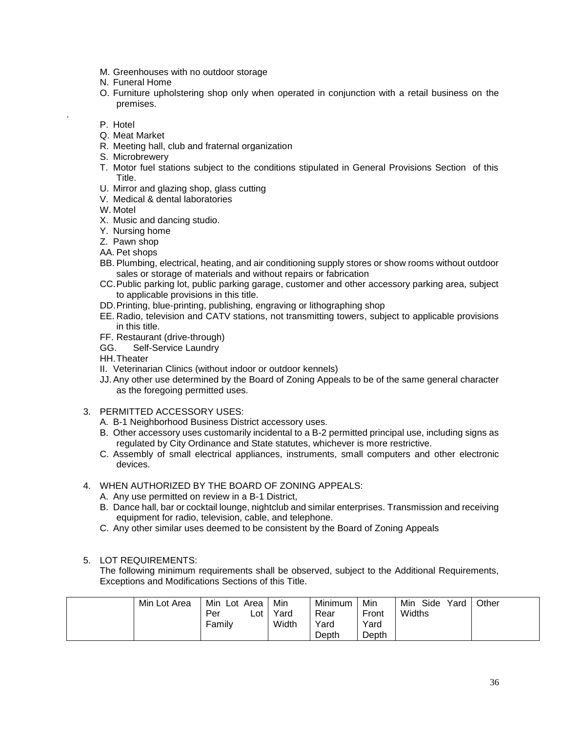- M. Greenhouses with no outdoor storage
- N. Funeral Home
- O. Furniture upholstering shop only when operated in conjunction with a retail business on the premises.
- P. Hotel

.

- Q. Meat Market
- R. Meeting hall, club and fraternal organization
- S. Microbrewery
- T. Motor fuel stations subject to the conditions stipulated in General Provisions Section of this Title.
- U. Mirror and glazing shop, glass cutting
- V. Medical & dental laboratories
- W. Motel
- X. Music and dancing studio.
- Y. Nursing home
- Z. Pawn shop
- AA. Pet shops
- BB. Plumbing, electrical, heating, and air conditioning supply stores or show rooms without outdoor sales or storage of materials and without repairs or fabrication
- CC.Public parking lot, public parking garage, customer and other accessory parking area, subject to applicable provisions in this title.
- DD.Printing, blue-printing, publishing, engraving or lithographing shop
- EE. Radio, television and CATV stations, not transmitting towers, subject to applicable provisions in this title.
- FF. Restaurant (drive-through)
- GG. Self-Service Laundry
- HH.Theater
- II. Veterinarian Clinics (without indoor or outdoor kennels)
- JJ.Any other use determined by the Board of Zoning Appeals to be of the same general character as the foregoing permitted uses.
- 3. PERMITTED ACCESSORY USES:
	- A. B-1 Neighborhood Business District accessory uses.
	- B. Other accessory uses customarily incidental to a B-2 permitted principal use, including signs as regulated by City Ordinance and State statutes, whichever is more restrictive.
	- C. Assembly of small electrical appliances, instruments, small computers and other electronic devices.
- 4. WHEN AUTHORIZED BY THE BOARD OF ZONING APPEALS:
	- A. Any use permitted on review in a B-1 District,
	- B. Dance hall, bar or cocktail lounge, nightclub and similar enterprises. Transmission and receiving equipment for radio, television, cable, and telephone.
	- C. Any other similar uses deemed to be consistent by the Board of Zoning Appeals

## 5. LOT REQUIREMENTS:

The following minimum requirements shall be observed, subject to the Additional Requirements, Exceptions and Modifications Sections of this Title.

| Min Lot Area | Min<br>Lot Area<br>Per<br>Lot | Min<br>Yard | Minimum<br>Rear | Min<br>Front  | Min<br>Side<br>Yard<br>Widths | Other |
|--------------|-------------------------------|-------------|-----------------|---------------|-------------------------------|-------|
|              | Family                        | Width       | Yard<br>Depth   | Yard<br>Depth |                               |       |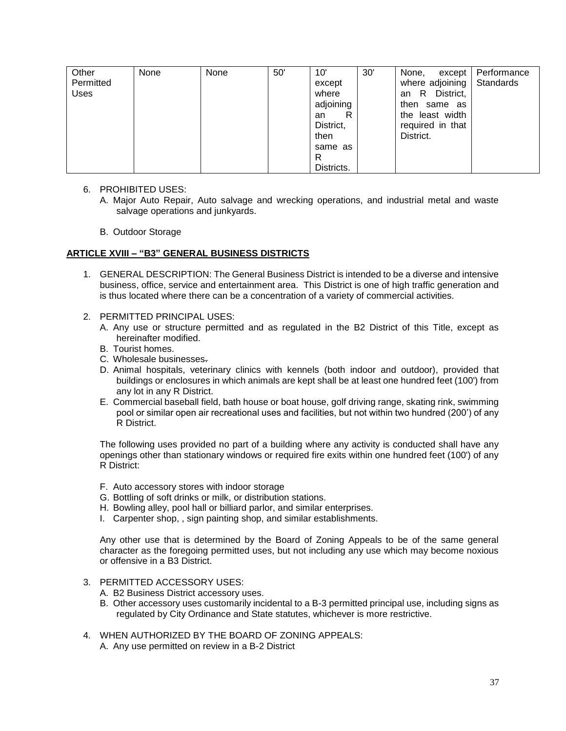| Other<br>Permitted<br>Uses | None | None | 50' | 10'<br>except<br>where<br>adjoining<br>R<br>an<br>District, | 30' | None,<br>except<br>where adjoining<br>District,<br>- R<br>an<br>then same as<br>the least width<br>required in that | Performance<br>Standards |
|----------------------------|------|------|-----|-------------------------------------------------------------|-----|---------------------------------------------------------------------------------------------------------------------|--------------------------|
|                            |      |      |     | then                                                        |     | District.                                                                                                           |                          |
|                            |      |      |     | same as                                                     |     |                                                                                                                     |                          |
|                            |      |      |     | R                                                           |     |                                                                                                                     |                          |
|                            |      |      |     | Districts.                                                  |     |                                                                                                                     |                          |

- 6. PROHIBITED USES:
	- A. Major Auto Repair, Auto salvage and wrecking operations, and industrial metal and waste salvage operations and junkyards.
	- B. Outdoor Storage

#### **ARTICLE XVIII – "B3" GENERAL BUSINESS DISTRICTS**

- 1. GENERAL DESCRIPTION: The General Business District is intended to be a diverse and intensive business, office, service and entertainment area. This District is one of high traffic generation and is thus located where there can be a concentration of a variety of commercial activities.
- 2. PERMITTED PRINCIPAL USES:
	- A. Any use or structure permitted and as regulated in the B2 District of this Title, except as hereinafter modified.
	- B. Tourist homes.
	- C. Wholesale businesses.
	- D. Animal hospitals, veterinary clinics with kennels (both indoor and outdoor), provided that buildings or enclosures in which animals are kept shall be at least one hundred feet (100') from any lot in any R District.
	- E. Commercial baseball field, bath house or boat house, golf driving range, skating rink, swimming pool or similar open air recreational uses and facilities, but not within two hundred (200') of any R District.

The following uses provided no part of a building where any activity is conducted shall have any openings other than stationary windows or required fire exits within one hundred feet (100') of any R District:

- F. Auto accessory stores with indoor storage
- G. Bottling of soft drinks or milk, or distribution stations.
- H. Bowling alley, pool hall or billiard parlor, and similar enterprises.
- I. Carpenter shop, , sign painting shop, and similar establishments.

Any other use that is determined by the Board of Zoning Appeals to be of the same general character as the foregoing permitted uses, but not including any use which may become noxious or offensive in a B3 District.

- 3. PERMITTED ACCESSORY USES:
	- A. B2 Business District accessory uses.
	- B. Other accessory uses customarily incidental to a B-3 permitted principal use, including signs as regulated by City Ordinance and State statutes, whichever is more restrictive.
- 4. WHEN AUTHORIZED BY THE BOARD OF ZONING APPEALS:
	- A. Any use permitted on review in a B-2 District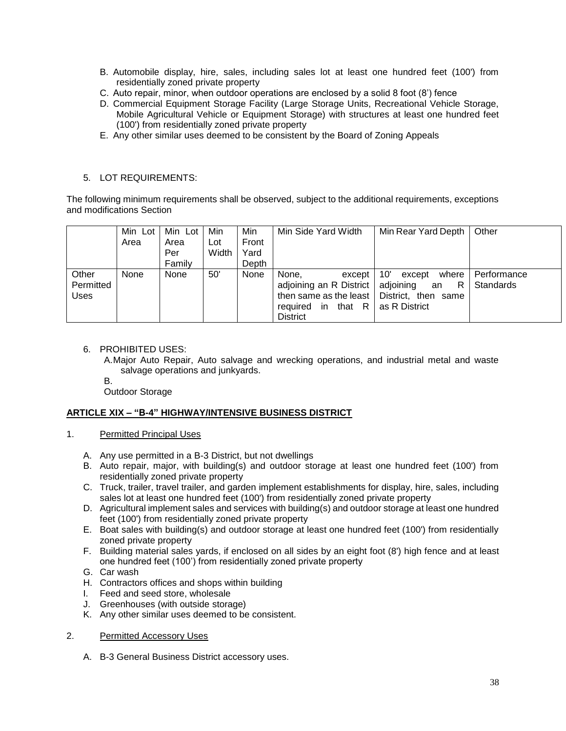- B. Automobile display, hire, sales, including sales lot at least one hundred feet (100') from residentially zoned private property
- C. Auto repair, minor, when outdoor operations are enclosed by a solid 8 foot (8') fence
- D. Commercial Equipment Storage Facility (Large Storage Units, Recreational Vehicle Storage, Mobile Agricultural Vehicle or Equipment Storage) with structures at least one hundred feet (100') from residentially zoned private property
- E. Any other similar uses deemed to be consistent by the Board of Zoning Appeals

# 5. LOT REQUIREMENTS:

The following minimum requirements shall be observed, subject to the additional requirements, exceptions and modifications Section

|                                   | Min Lot<br>Area | Min Lot<br>Area<br>Per<br>Family | Min<br>Lot<br>Width | Min<br>Front<br>Yard<br>Depth | Min Side Yard Width                                                                                                                             | Min Rear Yard Depth                                   | Other                    |
|-----------------------------------|-----------------|----------------------------------|---------------------|-------------------------------|-------------------------------------------------------------------------------------------------------------------------------------------------|-------------------------------------------------------|--------------------------|
| Other<br>Permitted<br><b>Uses</b> | None            | None                             | 50'                 | None                          | None.<br>except<br>adjoining an R District   adjoining<br>then same as the least   District, then same<br>required in that R<br><b>District</b> | 10'<br>where  <br>except<br>R.<br>an<br>as R District | Performance<br>Standards |

## 6. PROHIBITED USES:

- A.Major Auto Repair, Auto salvage and wrecking operations, and industrial metal and waste salvage operations and junkyards.
- B.

Outdoor Storage

## **ARTICLE XIX – "B-4" HIGHWAY/INTENSIVE BUSINESS DISTRICT**

- 1. Permitted Principal Uses
	- A. Any use permitted in a B-3 District, but not dwellings
	- B. Auto repair, major, with building(s) and outdoor storage at least one hundred feet (100') from residentially zoned private property
	- C. Truck, trailer, travel trailer, and garden implement establishments for display, hire, sales, including sales lot at least one hundred feet (100') from residentially zoned private property
	- D. Agricultural implement sales and services with building(s) and outdoor storage at least one hundred feet (100') from residentially zoned private property
	- E. Boat sales with building(s) and outdoor storage at least one hundred feet (100') from residentially zoned private property
	- F. Building material sales yards, if enclosed on all sides by an eight foot (8') high fence and at least one hundred feet (100') from residentially zoned private property
	- G. Car wash
	- H. Contractors offices and shops within building
	- I. Feed and seed store, wholesale
	- J. Greenhouses (with outside storage)
	- K. Any other similar uses deemed to be consistent.

#### 2. Permitted Accessory Uses

A. B-3 General Business District accessory uses.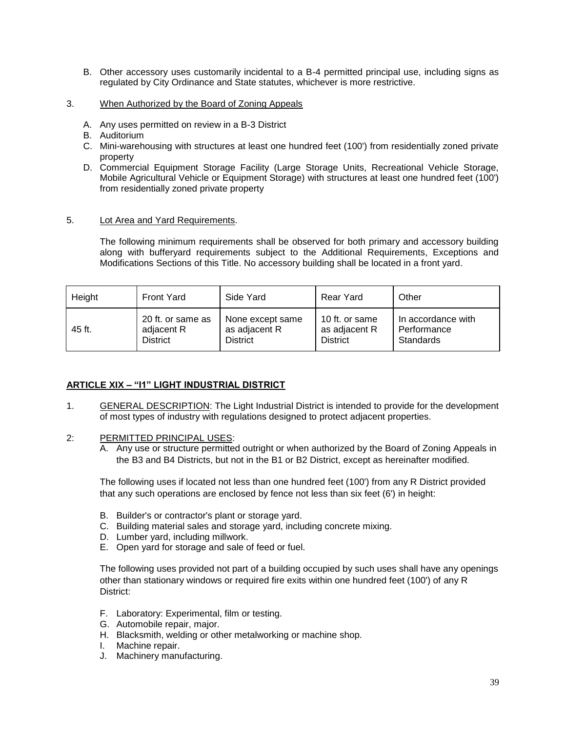- B. Other accessory uses customarily incidental to a B-4 permitted principal use, including signs as regulated by City Ordinance and State statutes, whichever is more restrictive.
- 3. When Authorized by the Board of Zoning Appeals
	- A. Any uses permitted on review in a B-3 District
	- B. Auditorium
	- C. Mini-warehousing with structures at least one hundred feet (100') from residentially zoned private property
	- D. Commercial Equipment Storage Facility (Large Storage Units, Recreational Vehicle Storage, Mobile Agricultural Vehicle or Equipment Storage) with structures at least one hundred feet (100') from residentially zoned private property

#### 5. Lot Area and Yard Requirements.

The following minimum requirements shall be observed for both primary and accessory building along with bufferyard requirements subject to the Additional Requirements, Exceptions and Modifications Sections of this Title. No accessory building shall be located in a front yard.

| Height | <b>Front Yard</b> | Side Yard        | <b>Rear Yard</b> | Other              |
|--------|-------------------|------------------|------------------|--------------------|
| 45 ft. | 20 ft. or same as | None except same | 10 ft. or same   | In accordance with |
|        | adjacent R        | as adjacent R    | as adjacent R    | Performance        |
|        | <b>District</b>   | <b>District</b>  | <b>District</b>  | Standards          |

## **ARTICLE XIX – "I1" LIGHT INDUSTRIAL DISTRICT**

- 1. GENERAL DESCRIPTION: The Light Industrial District is intended to provide for the development of most types of industry with regulations designed to protect adjacent properties.
- 2: PERMITTED PRINCIPAL USES:
	- A. Any use or structure permitted outright or when authorized by the Board of Zoning Appeals in the B3 and B4 Districts, but not in the B1 or B2 District, except as hereinafter modified.

The following uses if located not less than one hundred feet (100') from any R District provided that any such operations are enclosed by fence not less than six feet (6') in height:

- B. Builder's or contractor's plant or storage yard.
- C. Building material sales and storage yard, including concrete mixing.
- D. Lumber yard, including millwork.
- E. Open yard for storage and sale of feed or fuel.

The following uses provided not part of a building occupied by such uses shall have any openings other than stationary windows or required fire exits within one hundred feet (100') of any R District:

- F. Laboratory: Experimental, film or testing.
- G. Automobile repair, major.
- H. Blacksmith, welding or other metalworking or machine shop.
- I. Machine repair.
- J. Machinery manufacturing.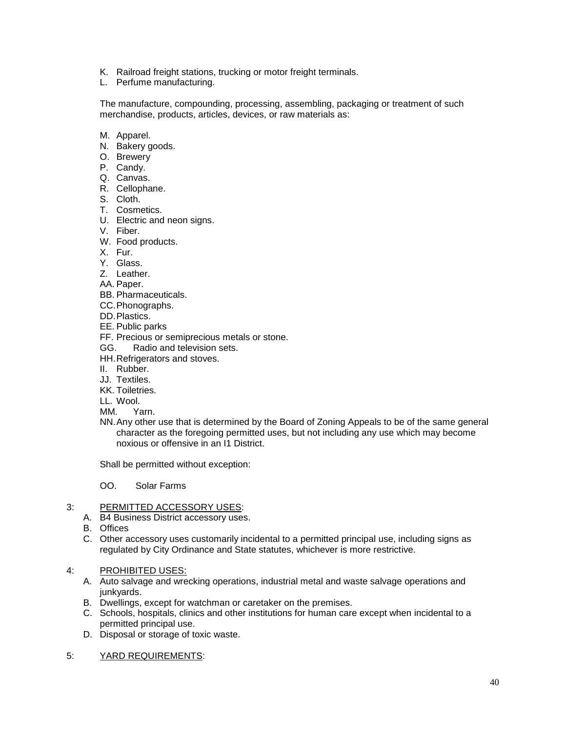- K. Railroad freight stations, trucking or motor freight terminals.
- L. Perfume manufacturing.

The manufacture, compounding, processing, assembling, packaging or treatment of such merchandise, products, articles, devices, or raw materials as:

- M. Apparel.
- N. Bakery goods.
- O. Brewery
- P. Candy.
- Q. Canvas.
- R. Cellophane.
- S. Cloth.
- T. Cosmetics.
- U. Electric and neon signs.
- V. Fiber.
- W. Food products.
- X. Fur.
- Y. Glass.
- Z. Leather.
- AA. Paper.
- BB. Pharmaceuticals.
- CC.Phonographs.
- DD.Plastics.
- EE. Public parks
- FF. Precious or semiprecious metals or stone.
- GG. Radio and television sets.
- HH.Refrigerators and stoves.
- II. Rubber.
- JJ. Textiles.
- KK. Toiletries.
- LL. Wool.
- MM. Yarn.
- NN.Any other use that is determined by the Board of Zoning Appeals to be of the same general character as the foregoing permitted uses, but not including any use which may become noxious or offensive in an I1 District.

Shall be permitted without exception:

OO. Solar Farms

#### 3: PERMITTED ACCESSORY USES:

- A. B4 Business District accessory uses.
- B. Offices
- C. Other accessory uses customarily incidental to a permitted principal use, including signs as regulated by City Ordinance and State statutes, whichever is more restrictive.

# 4: PROHIBITED USES:

- A. Auto salvage and wrecking operations, industrial metal and waste salvage operations and junkvards.
- B. Dwellings, except for watchman or caretaker on the premises.
- C. Schools, hospitals, clinics and other institutions for human care except when incidental to a permitted principal use.
- D. Disposal or storage of toxic waste.
- 5: YARD REQUIREMENTS: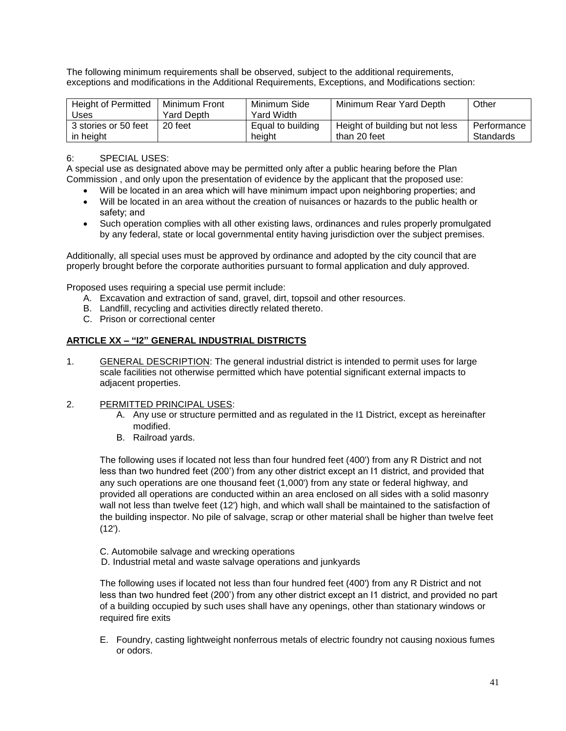The following minimum requirements shall be observed, subject to the additional requirements, exceptions and modifications in the Additional Requirements, Exceptions, and Modifications section:

| <b>Height of Permitted</b> | Minimum Front | Minimum Side      | Minimum Rear Yard Depth         | Other         |
|----------------------------|---------------|-------------------|---------------------------------|---------------|
| Uses                       | Yard Depth    | Yard Width        |                                 |               |
| 3 stories or 50 feet       | 20 feet       | Equal to building | Height of building but not less | Performance I |
| in height                  |               | height            | than 20 feet                    | Standards     |

# 6: SPECIAL USES:

A special use as designated above may be permitted only after a public hearing before the Plan Commission , and only upon the presentation of evidence by the applicant that the proposed use:

- Will be located in an area which will have minimum impact upon neighboring properties; and
- Will be located in an area without the creation of nuisances or hazards to the public health or safety; and
- Such operation complies with all other existing laws, ordinances and rules properly promulgated by any federal, state or local governmental entity having jurisdiction over the subject premises.

Additionally, all special uses must be approved by ordinance and adopted by the city council that are properly brought before the corporate authorities pursuant to formal application and duly approved.

Proposed uses requiring a special use permit include:

- A. Excavation and extraction of sand, gravel, dirt, topsoil and other resources.
- B. Landfill, recycling and activities directly related thereto.
- C. Prison or correctional center

## **ARTICLE XX – "I2" GENERAL INDUSTRIAL DISTRICTS**

1. GENERAL DESCRIPTION: The general industrial district is intended to permit uses for large scale facilities not otherwise permitted which have potential significant external impacts to adjacent properties.

#### 2. PERMITTED PRINCIPAL USES:

- A. Any use or structure permitted and as regulated in the I1 District, except as hereinafter modified.
- B. Railroad yards.

The following uses if located not less than four hundred feet (400') from any R District and not less than two hundred feet (200') from any other district except an I1 district, and provided that any such operations are one thousand feet (1,000') from any state or federal highway, and provided all operations are conducted within an area enclosed on all sides with a solid masonry wall not less than twelve feet (12') high, and which wall shall be maintained to the satisfaction of the building inspector. No pile of salvage, scrap or other material shall be higher than twelve feet (12').

- C. Automobile salvage and wrecking operations
- D. Industrial metal and waste salvage operations and junkyards

The following uses if located not less than four hundred feet (400') from any R District and not less than two hundred feet (200') from any other district except an I1 district, and provided no part of a building occupied by such uses shall have any openings, other than stationary windows or required fire exits

E. Foundry, casting lightweight nonferrous metals of electric foundry not causing noxious fumes or odors.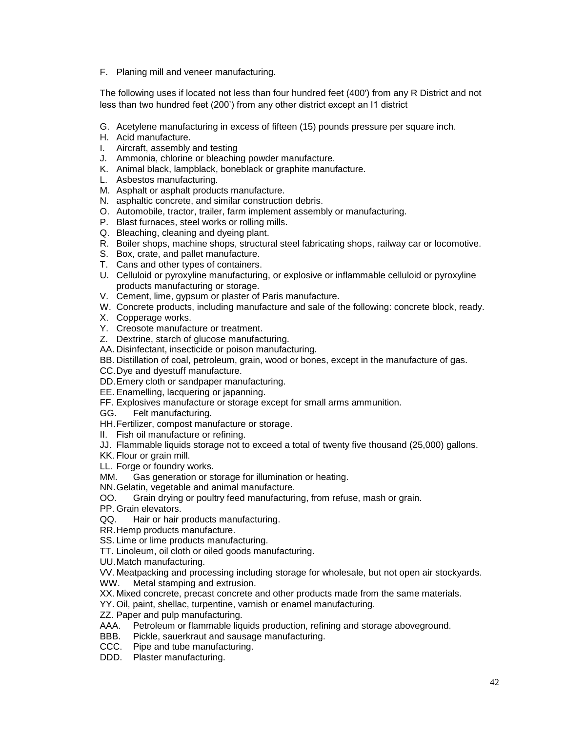F. Planing mill and veneer manufacturing.

The following uses if located not less than four hundred feet (400') from any R District and not less than two hundred feet (200') from any other district except an I1 district

- G. Acetylene manufacturing in excess of fifteen (15) pounds pressure per square inch.
- H. Acid manufacture.
- I. Aircraft, assembly and testing
- J. Ammonia, chlorine or bleaching powder manufacture.
- K. Animal black, lampblack, boneblack or graphite manufacture.
- L. Asbestos manufacturing.
- M. Asphalt or asphalt products manufacture.
- N. asphaltic concrete, and similar construction debris.
- O. Automobile, tractor, trailer, farm implement assembly or manufacturing.
- P. Blast furnaces, steel works or rolling mills.
- Q. Bleaching, cleaning and dyeing plant.
- R. Boiler shops, machine shops, structural steel fabricating shops, railway car or locomotive.
- S. Box, crate, and pallet manufacture.
- T. Cans and other types of containers.
- U. Celluloid or pyroxyline manufacturing, or explosive or inflammable celluloid or pyroxyline products manufacturing or storage.
- V. Cement, lime, gypsum or plaster of Paris manufacture.
- W. Concrete products, including manufacture and sale of the following: concrete block, ready.
- X. Copperage works.
- Y. Creosote manufacture or treatment.
- Z. Dextrine, starch of glucose manufacturing.
- AA. Disinfectant, insecticide or poison manufacturing.
- BB. Distillation of coal, petroleum, grain, wood or bones, except in the manufacture of gas.
- CC.Dye and dyestuff manufacture.
- DD.Emery cloth or sandpaper manufacturing.
- EE. Enamelling, lacquering or japanning.
- FF. Explosives manufacture or storage except for small arms ammunition.
- GG. Felt manufacturing.
- HH.Fertilizer, compost manufacture or storage.
- II. Fish oil manufacture or refining.
- JJ. Flammable liquids storage not to exceed a total of twenty five thousand (25,000) gallons.

KK. Flour or grain mill.

- LL. Forge or foundry works.
- MM. Gas generation or storage for illumination or heating.
- NN.Gelatin, vegetable and animal manufacture.
- OO. Grain drying or poultry feed manufacturing, from refuse, mash or grain.
- PP. Grain elevators.
- QQ. Hair or hair products manufacturing.
- RR.Hemp products manufacture.
- SS. Lime or lime products manufacturing.
- TT. Linoleum, oil cloth or oiled goods manufacturing.
- UU.Match manufacturing.
- VV. Meatpacking and processing including storage for wholesale, but not open air stockyards.
- WW. Metal stamping and extrusion.
- XX. Mixed concrete, precast concrete and other products made from the same materials.
- YY. Oil, paint, shellac, turpentine, varnish or enamel manufacturing.
- ZZ. Paper and pulp manufacturing.
- AAA. Petroleum or flammable liquids production, refining and storage aboveground.
- BBB. Pickle, sauerkraut and sausage manufacturing.
- CCC. Pipe and tube manufacturing.
- DDD. Plaster manufacturing.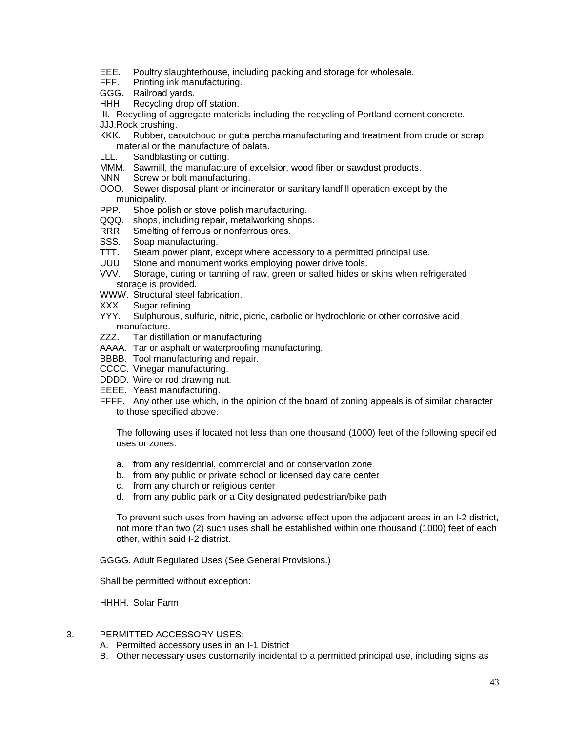- EEE. Poultry slaughterhouse, including packing and storage for wholesale.
- FFF. Printing ink manufacturing.
- GGG. Railroad yards.
- HHH. Recycling drop off station.

III. Recycling of aggregate materials including the recycling of Portland cement concrete.

JJJ.Rock crushing.

- KKK. Rubber, caoutchouc or gutta percha manufacturing and treatment from crude or scrap material or the manufacture of balata.<br>LLL. Sandblasting or cutting.
- Sandblasting or cutting.
- MMM. Sawmill, the manufacture of excelsior, wood fiber or sawdust products.
- NNN. Screw or bolt manufacturing.
- OOO. Sewer disposal plant or incinerator or sanitary landfill operation except by the
- municipality.<br>PPP. Shoe pol Shoe polish or stove polish manufacturing.
- QQQ. shops, including repair, metalworking shops.
- RRR. Smelting of ferrous or nonferrous ores.
- SSS. Soap manufacturing.
- TTT. Steam power plant, except where accessory to a permitted principal use.
- UUU. Stone and monument works employing power drive tools.
- VVV. Storage, curing or tanning of raw, green or salted hides or skins when refrigerated storage is provided.
- WWW. Structural steel fabrication.
- XXX. Sugar refining.
- YYY. Sulphurous, sulfuric, nitric, picric, carbolic or hydrochloric or other corrosive acid manufacture.
- ZZZ. Tar distillation or manufacturing.
- AAAA. Tar or asphalt or waterproofing manufacturing.
- BBBB. Tool manufacturing and repair.
- CCCC. Vinegar manufacturing.
- DDDD. Wire or rod drawing nut.
- EEEE. Yeast manufacturing.
- FFFF. Any other use which, in the opinion of the board of zoning appeals is of similar character to those specified above.

The following uses if located not less than one thousand (1000) feet of the following specified uses or zones:

- a. from any residential, commercial and or conservation zone
- b. from any public or private school or licensed day care center
- c. from any church or religious center
- d. from any public park or a City designated pedestrian/bike path

To prevent such uses from having an adverse effect upon the adjacent areas in an I-2 district, not more than two (2) such uses shall be established within one thousand (1000) feet of each other, within said I-2 district.

GGGG. Adult Regulated Uses (See General Provisions.)

Shall be permitted without exception:

HHHH. Solar Farm

#### 3. PERMITTED ACCESSORY USES:

- A. Permitted accessory uses in an I-1 District
- B. Other necessary uses customarily incidental to a permitted principal use, including signs as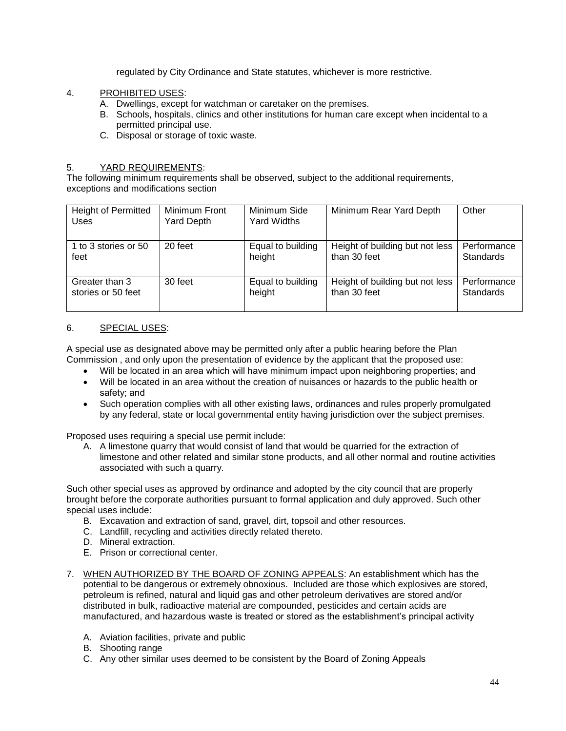regulated by City Ordinance and State statutes, whichever is more restrictive.

- 4. PROHIBITED USES:
	- A. Dwellings, except for watchman or caretaker on the premises.
	- B. Schools, hospitals, clinics and other institutions for human care except when incidental to a permitted principal use.
	- C. Disposal or storage of toxic waste.

# 5. YARD REQUIREMENTS:

The following minimum requirements shall be observed, subject to the additional requirements, exceptions and modifications section

| <b>Height of Permitted</b><br>Uses | Minimum Front<br><b>Yard Depth</b> | Minimum Side<br>Yard Widths | Minimum Rear Yard Depth         | Other       |
|------------------------------------|------------------------------------|-----------------------------|---------------------------------|-------------|
| 1 to 3 stories or 50               | 20 feet                            | Equal to building           | Height of building but not less | Performance |
| feet                               |                                    | height                      | than 30 feet                    | Standards   |
| Greater than 3                     | 30 feet                            | Equal to building           | Height of building but not less | Performance |
| stories or 50 feet                 |                                    | height                      | than 30 feet                    | Standards   |

# 6. SPECIAL USES:

A special use as designated above may be permitted only after a public hearing before the Plan Commission , and only upon the presentation of evidence by the applicant that the proposed use:

- Will be located in an area which will have minimum impact upon neighboring properties; and
- Will be located in an area without the creation of nuisances or hazards to the public health or safety; and
- Such operation complies with all other existing laws, ordinances and rules properly promulgated by any federal, state or local governmental entity having jurisdiction over the subject premises.

Proposed uses requiring a special use permit include:

A. A limestone quarry that would consist of land that would be quarried for the extraction of limestone and other related and similar stone products, and all other normal and routine activities associated with such a quarry.

Such other special uses as approved by ordinance and adopted by the city council that are properly brought before the corporate authorities pursuant to formal application and duly approved. Such other special uses include:

- B. Excavation and extraction of sand, gravel, dirt, topsoil and other resources.
- C. Landfill, recycling and activities directly related thereto.
- D. Mineral extraction.
- E. Prison or correctional center.
- 7. WHEN AUTHORIZED BY THE BOARD OF ZONING APPEALS: An establishment which has the potential to be dangerous or extremely obnoxious. Included are those which explosives are stored, petroleum is refined, natural and liquid gas and other petroleum derivatives are stored and/or distributed in bulk, radioactive material are compounded, pesticides and certain acids are manufactured, and hazardous waste is treated or stored as the establishment's principal activity
	- A. Aviation facilities, private and public
	- B. Shooting range
	- C. Any other similar uses deemed to be consistent by the Board of Zoning Appeals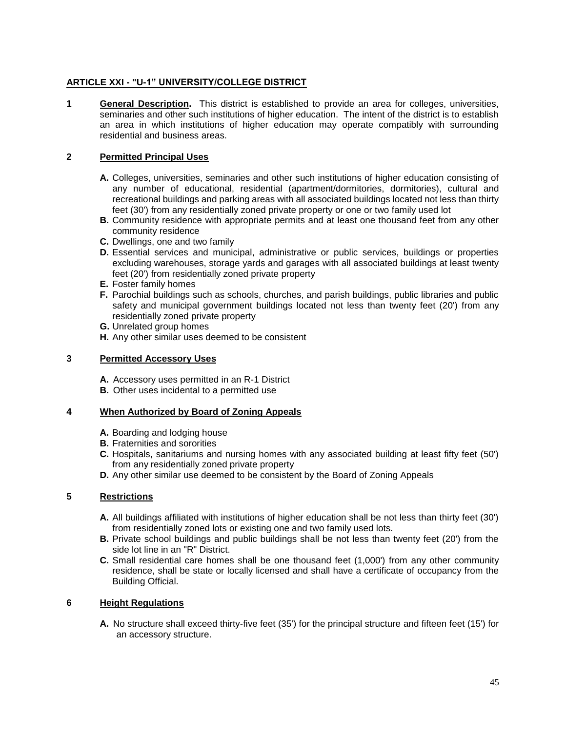# **ARTICLE XXI - "U-1" UNIVERSITY/COLLEGE DISTRICT**

**1 General Description.** This district is established to provide an area for colleges, universities, seminaries and other such institutions of higher education. The intent of the district is to establish an area in which institutions of higher education may operate compatibly with surrounding residential and business areas.

# **2 Permitted Principal Uses**

- **A.** Colleges, universities, seminaries and other such institutions of higher education consisting of any number of educational, residential (apartment/dormitories, dormitories), cultural and recreational buildings and parking areas with all associated buildings located not less than thirty feet (30') from any residentially zoned private property or one or two family used lot
- **B.** Community residence with appropriate permits and at least one thousand feet from any other community residence
- **C.** Dwellings, one and two family
- **D.** Essential services and municipal, administrative or public services, buildings or properties excluding warehouses, storage yards and garages with all associated buildings at least twenty feet (20') from residentially zoned private property
- **E.** Foster family homes
- **F.** Parochial buildings such as schools, churches, and parish buildings, public libraries and public safety and municipal government buildings located not less than twenty feet (20') from any residentially zoned private property
- **G.** Unrelated group homes
- **H.** Any other similar uses deemed to be consistent

#### **3 Permitted Accessory Uses**

- **A.** Accessory uses permitted in an R-1 District
- **B.** Other uses incidental to a permitted use

## **4 When Authorized by Board of Zoning Appeals**

- **A.** Boarding and lodging house
- **B.** Fraternities and sororities
- **C.** Hospitals, sanitariums and nursing homes with any associated building at least fifty feet (50') from any residentially zoned private property
- **D.** Any other similar use deemed to be consistent by the Board of Zoning Appeals

## **5 Restrictions**

- **A.** All buildings affiliated with institutions of higher education shall be not less than thirty feet (30') from residentially zoned lots or existing one and two family used lots.
- **B.** Private school buildings and public buildings shall be not less than twenty feet (20') from the side lot line in an "R" District.
- **C.** Small residential care homes shall be one thousand feet (1,000') from any other community residence, shall be state or locally licensed and shall have a certificate of occupancy from the Building Official.

## **6 Height Regulations**

**A.** No structure shall exceed thirty-five feet (35') for the principal structure and fifteen feet (15') for an accessory structure.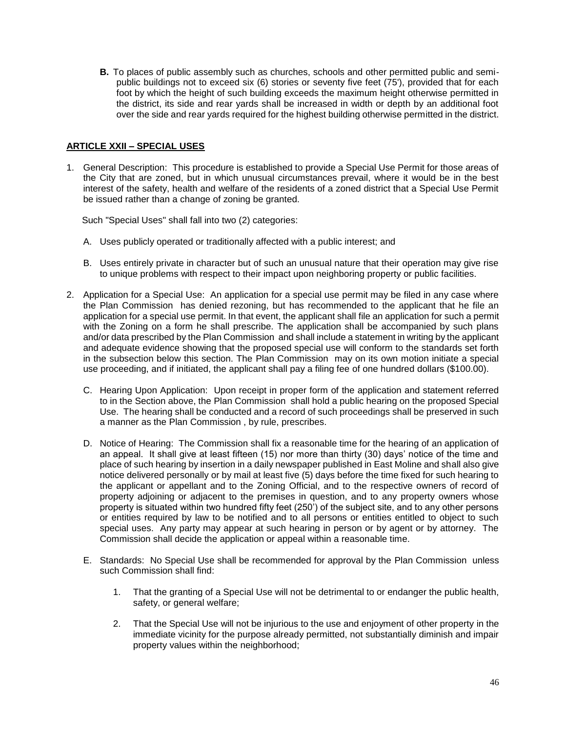**B.** To places of public assembly such as churches, schools and other permitted public and semipublic buildings not to exceed six (6) stories or seventy five feet (75'), provided that for each foot by which the height of such building exceeds the maximum height otherwise permitted in the district, its side and rear yards shall be increased in width or depth by an additional foot over the side and rear yards required for the highest building otherwise permitted in the district.

## **ARTICLE XXII – SPECIAL USES**

1. General Description: This procedure is established to provide a Special Use Permit for those areas of the City that are zoned, but in which unusual circumstances prevail, where it would be in the best interest of the safety, health and welfare of the residents of a zoned district that a Special Use Permit be issued rather than a change of zoning be granted.

Such "Special Uses" shall fall into two (2) categories:

- A. Uses publicly operated or traditionally affected with a public interest; and
- B. Uses entirely private in character but of such an unusual nature that their operation may give rise to unique problems with respect to their impact upon neighboring property or public facilities.
- 2. Application for a Special Use: An application for a special use permit may be filed in any case where the Plan Commission has denied rezoning, but has recommended to the applicant that he file an application for a special use permit. In that event, the applicant shall file an application for such a permit with the Zoning on a form he shall prescribe. The application shall be accompanied by such plans and/or data prescribed by the Plan Commission and shall include a statement in writing by the applicant and adequate evidence showing that the proposed special use will conform to the standards set forth in the subsection below this section. The Plan Commission may on its own motion initiate a special use proceeding, and if initiated, the applicant shall pay a filing fee of one hundred dollars (\$100.00).
	- C. Hearing Upon Application: Upon receipt in proper form of the application and statement referred to in the Section above, the Plan Commission shall hold a public hearing on the proposed Special Use. The hearing shall be conducted and a record of such proceedings shall be preserved in such a manner as the Plan Commission , by rule, prescribes.
	- D. Notice of Hearing: The Commission shall fix a reasonable time for the hearing of an application of an appeal. It shall give at least fifteen (15) nor more than thirty (30) days' notice of the time and place of such hearing by insertion in a daily newspaper published in East Moline and shall also give notice delivered personally or by mail at least five (5) days before the time fixed for such hearing to the applicant or appellant and to the Zoning Official, and to the respective owners of record of property adjoining or adjacent to the premises in question, and to any property owners whose property is situated within two hundred fifty feet (250') of the subject site, and to any other persons or entities required by law to be notified and to all persons or entities entitled to object to such special uses. Any party may appear at such hearing in person or by agent or by attorney. The Commission shall decide the application or appeal within a reasonable time.
	- E. Standards: No Special Use shall be recommended for approval by the Plan Commission unless such Commission shall find:
		- 1. That the granting of a Special Use will not be detrimental to or endanger the public health, safety, or general welfare;
		- 2. That the Special Use will not be injurious to the use and enjoyment of other property in the immediate vicinity for the purpose already permitted, not substantially diminish and impair property values within the neighborhood;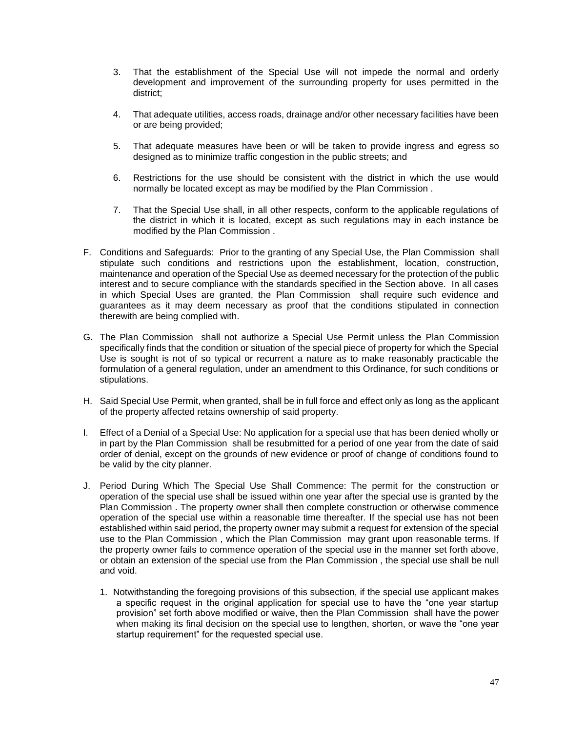- 3. That the establishment of the Special Use will not impede the normal and orderly development and improvement of the surrounding property for uses permitted in the district;
- 4. That adequate utilities, access roads, drainage and/or other necessary facilities have been or are being provided;
- 5. That adequate measures have been or will be taken to provide ingress and egress so designed as to minimize traffic congestion in the public streets; and
- 6. Restrictions for the use should be consistent with the district in which the use would normally be located except as may be modified by the Plan Commission .
- 7. That the Special Use shall, in all other respects, conform to the applicable regulations of the district in which it is located, except as such regulations may in each instance be modified by the Plan Commission .
- F. Conditions and Safeguards: Prior to the granting of any Special Use, the Plan Commission shall stipulate such conditions and restrictions upon the establishment, location, construction, maintenance and operation of the Special Use as deemed necessary for the protection of the public interest and to secure compliance with the standards specified in the Section above. In all cases in which Special Uses are granted, the Plan Commission shall require such evidence and guarantees as it may deem necessary as proof that the conditions stipulated in connection therewith are being complied with.
- G. The Plan Commission shall not authorize a Special Use Permit unless the Plan Commission specifically finds that the condition or situation of the special piece of property for which the Special Use is sought is not of so typical or recurrent a nature as to make reasonably practicable the formulation of a general regulation, under an amendment to this Ordinance, for such conditions or stipulations.
- H. Said Special Use Permit, when granted, shall be in full force and effect only as long as the applicant of the property affected retains ownership of said property.
- I. Effect of a Denial of a Special Use: No application for a special use that has been denied wholly or in part by the Plan Commission shall be resubmitted for a period of one year from the date of said order of denial, except on the grounds of new evidence or proof of change of conditions found to be valid by the city planner.
- J. Period During Which The Special Use Shall Commence: The permit for the construction or operation of the special use shall be issued within one year after the special use is granted by the Plan Commission . The property owner shall then complete construction or otherwise commence operation of the special use within a reasonable time thereafter. If the special use has not been established within said period, the property owner may submit a request for extension of the special use to the Plan Commission , which the Plan Commission may grant upon reasonable terms. If the property owner fails to commence operation of the special use in the manner set forth above, or obtain an extension of the special use from the Plan Commission , the special use shall be null and void.
	- 1. Notwithstanding the foregoing provisions of this subsection, if the special use applicant makes a specific request in the original application for special use to have the "one year startup provision" set forth above modified or waive, then the Plan Commission shall have the power when making its final decision on the special use to lengthen, shorten, or wave the "one year startup requirement" for the requested special use.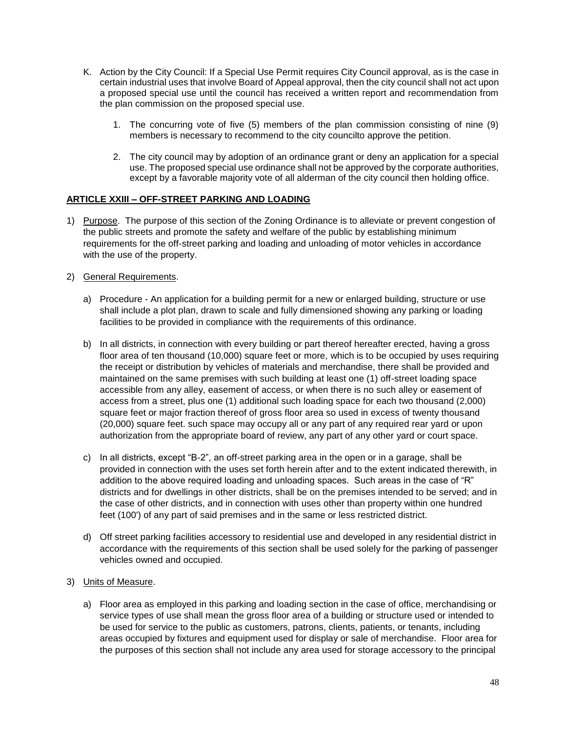- K. Action by the City Council: If a Special Use Permit requires City Council approval, as is the case in certain industrial uses that involve Board of Appeal approval, then the city council shall not act upon a proposed special use until the council has received a written report and recommendation from the plan commission on the proposed special use.
	- 1. The concurring vote of five (5) members of the plan commission consisting of nine (9) members is necessary to recommend to the city councilto approve the petition.
	- 2. The city council may by adoption of an ordinance grant or deny an application for a special use. The proposed special use ordinance shall not be approved by the corporate authorities, except by a favorable majority vote of all alderman of the city council then holding office.

## **ARTICLE XXIII – OFF-STREET PARKING AND LOADING**

- 1) Purpose. The purpose of this section of the Zoning Ordinance is to alleviate or prevent congestion of the public streets and promote the safety and welfare of the public by establishing minimum requirements for the off-street parking and loading and unloading of motor vehicles in accordance with the use of the property.
- 2) General Requirements.
	- a) Procedure An application for a building permit for a new or enlarged building, structure or use shall include a plot plan, drawn to scale and fully dimensioned showing any parking or loading facilities to be provided in compliance with the requirements of this ordinance.
	- b) In all districts, in connection with every building or part thereof hereafter erected, having a gross floor area of ten thousand (10,000) square feet or more, which is to be occupied by uses requiring the receipt or distribution by vehicles of materials and merchandise, there shall be provided and maintained on the same premises with such building at least one (1) off-street loading space accessible from any alley, easement of access, or when there is no such alley or easement of access from a street, plus one (1) additional such loading space for each two thousand (2,000) square feet or major fraction thereof of gross floor area so used in excess of twenty thousand (20,000) square feet. such space may occupy all or any part of any required rear yard or upon authorization from the appropriate board of review, any part of any other yard or court space.
	- c) In all districts, except "B-2", an off-street parking area in the open or in a garage, shall be provided in connection with the uses set forth herein after and to the extent indicated therewith, in addition to the above required loading and unloading spaces. Such areas in the case of "R" districts and for dwellings in other districts, shall be on the premises intended to be served; and in the case of other districts, and in connection with uses other than property within one hundred feet (100') of any part of said premises and in the same or less restricted district.
	- d) Off street parking facilities accessory to residential use and developed in any residential district in accordance with the requirements of this section shall be used solely for the parking of passenger vehicles owned and occupied.
- 3) Units of Measure.
	- a) Floor area as employed in this parking and loading section in the case of office, merchandising or service types of use shall mean the gross floor area of a building or structure used or intended to be used for service to the public as customers, patrons, clients, patients, or tenants, including areas occupied by fixtures and equipment used for display or sale of merchandise. Floor area for the purposes of this section shall not include any area used for storage accessory to the principal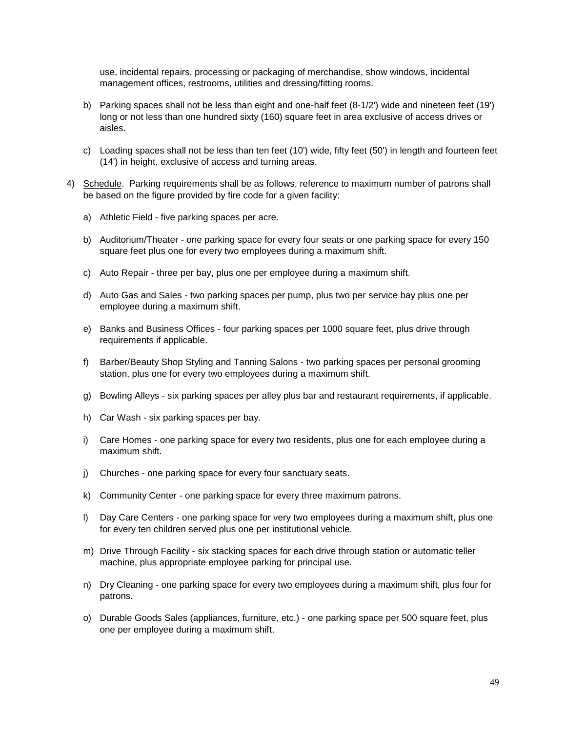use, incidental repairs, processing or packaging of merchandise, show windows, incidental management offices, restrooms, utilities and dressing/fitting rooms.

- b) Parking spaces shall not be less than eight and one-half feet (8-1/2') wide and nineteen feet (19') long or not less than one hundred sixty (160) square feet in area exclusive of access drives or aisles.
- c) Loading spaces shall not be less than ten feet (10') wide, fifty feet (50') in length and fourteen feet (14') in height, exclusive of access and turning areas.
- 4) Schedule. Parking requirements shall be as follows, reference to maximum number of patrons shall be based on the figure provided by fire code for a given facility:
	- a) Athletic Field five parking spaces per acre.
	- b) Auditorium/Theater one parking space for every four seats or one parking space for every 150 square feet plus one for every two employees during a maximum shift.
	- c) Auto Repair three per bay, plus one per employee during a maximum shift.
	- d) Auto Gas and Sales two parking spaces per pump, plus two per service bay plus one per employee during a maximum shift.
	- e) Banks and Business Offices four parking spaces per 1000 square feet, plus drive through requirements if applicable.
	- f) Barber/Beauty Shop Styling and Tanning Salons two parking spaces per personal grooming station, plus one for every two employees during a maximum shift.
	- g) Bowling Alleys six parking spaces per alley plus bar and restaurant requirements, if applicable.
	- h) Car Wash six parking spaces per bay.
	- i) Care Homes one parking space for every two residents, plus one for each employee during a maximum shift.
	- j) Churches one parking space for every four sanctuary seats.
	- k) Community Center one parking space for every three maximum patrons.
	- l) Day Care Centers one parking space for very two employees during a maximum shift, plus one for every ten children served plus one per institutional vehicle.
	- m) Drive Through Facility six stacking spaces for each drive through station or automatic teller machine, plus appropriate employee parking for principal use.
	- n) Dry Cleaning one parking space for every two employees during a maximum shift, plus four for patrons.
	- o) Durable Goods Sales (appliances, furniture, etc.) one parking space per 500 square feet, plus one per employee during a maximum shift.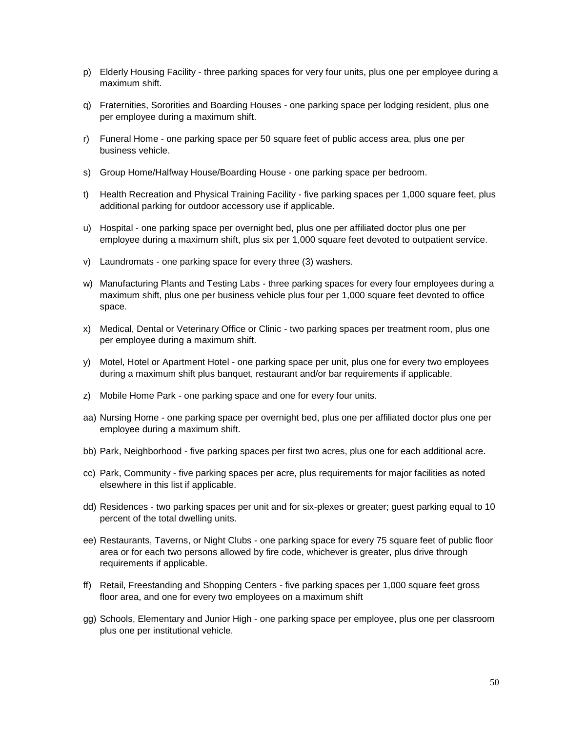- p) Elderly Housing Facility three parking spaces for very four units, plus one per employee during a maximum shift.
- q) Fraternities, Sororities and Boarding Houses one parking space per lodging resident, plus one per employee during a maximum shift.
- r) Funeral Home one parking space per 50 square feet of public access area, plus one per business vehicle.
- s) Group Home/Halfway House/Boarding House one parking space per bedroom.
- t) Health Recreation and Physical Training Facility five parking spaces per 1,000 square feet, plus additional parking for outdoor accessory use if applicable.
- u) Hospital one parking space per overnight bed, plus one per affiliated doctor plus one per employee during a maximum shift, plus six per 1,000 square feet devoted to outpatient service.
- v) Laundromats one parking space for every three (3) washers.
- w) Manufacturing Plants and Testing Labs three parking spaces for every four employees during a maximum shift, plus one per business vehicle plus four per 1,000 square feet devoted to office space.
- x) Medical, Dental or Veterinary Office or Clinic two parking spaces per treatment room, plus one per employee during a maximum shift.
- y) Motel, Hotel or Apartment Hotel one parking space per unit, plus one for every two employees during a maximum shift plus banquet, restaurant and/or bar requirements if applicable.
- z) Mobile Home Park one parking space and one for every four units.
- aa) Nursing Home one parking space per overnight bed, plus one per affiliated doctor plus one per employee during a maximum shift.
- bb) Park, Neighborhood five parking spaces per first two acres, plus one for each additional acre.
- cc) Park, Community five parking spaces per acre, plus requirements for major facilities as noted elsewhere in this list if applicable.
- dd) Residences two parking spaces per unit and for six-plexes or greater; guest parking equal to 10 percent of the total dwelling units.
- ee) Restaurants, Taverns, or Night Clubs one parking space for every 75 square feet of public floor area or for each two persons allowed by fire code, whichever is greater, plus drive through requirements if applicable.
- ff) Retail, Freestanding and Shopping Centers five parking spaces per 1,000 square feet gross floor area, and one for every two employees on a maximum shift
- gg) Schools, Elementary and Junior High one parking space per employee, plus one per classroom plus one per institutional vehicle.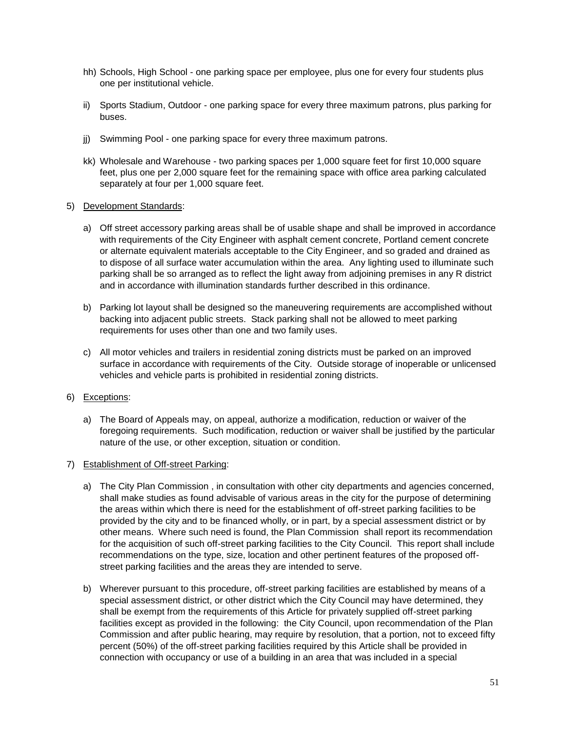- hh) Schools, High School one parking space per employee, plus one for every four students plus one per institutional vehicle.
- ii) Sports Stadium, Outdoor one parking space for every three maximum patrons, plus parking for buses.
- ji) Swimming Pool one parking space for every three maximum patrons.
- kk) Wholesale and Warehouse two parking spaces per 1,000 square feet for first 10,000 square feet, plus one per 2,000 square feet for the remaining space with office area parking calculated separately at four per 1,000 square feet.

#### 5) Development Standards:

- a) Off street accessory parking areas shall be of usable shape and shall be improved in accordance with requirements of the City Engineer with asphalt cement concrete, Portland cement concrete or alternate equivalent materials acceptable to the City Engineer, and so graded and drained as to dispose of all surface water accumulation within the area. Any lighting used to illuminate such parking shall be so arranged as to reflect the light away from adjoining premises in any R district and in accordance with illumination standards further described in this ordinance.
- b) Parking lot layout shall be designed so the maneuvering requirements are accomplished without backing into adjacent public streets. Stack parking shall not be allowed to meet parking requirements for uses other than one and two family uses.
- c) All motor vehicles and trailers in residential zoning districts must be parked on an improved surface in accordance with requirements of the City. Outside storage of inoperable or unlicensed vehicles and vehicle parts is prohibited in residential zoning districts.

## 6) Exceptions:

a) The Board of Appeals may, on appeal, authorize a modification, reduction or waiver of the foregoing requirements. Such modification, reduction or waiver shall be justified by the particular nature of the use, or other exception, situation or condition.

## 7) Establishment of Off-street Parking:

- a) The City Plan Commission , in consultation with other city departments and agencies concerned, shall make studies as found advisable of various areas in the city for the purpose of determining the areas within which there is need for the establishment of off-street parking facilities to be provided by the city and to be financed wholly, or in part, by a special assessment district or by other means. Where such need is found, the Plan Commission shall report its recommendation for the acquisition of such off-street parking facilities to the City Council. This report shall include recommendations on the type, size, location and other pertinent features of the proposed offstreet parking facilities and the areas they are intended to serve.
- b) Wherever pursuant to this procedure, off-street parking facilities are established by means of a special assessment district, or other district which the City Council may have determined, they shall be exempt from the requirements of this Article for privately supplied off-street parking facilities except as provided in the following: the City Council, upon recommendation of the Plan Commission and after public hearing, may require by resolution, that a portion, not to exceed fifty percent (50%) of the off-street parking facilities required by this Article shall be provided in connection with occupancy or use of a building in an area that was included in a special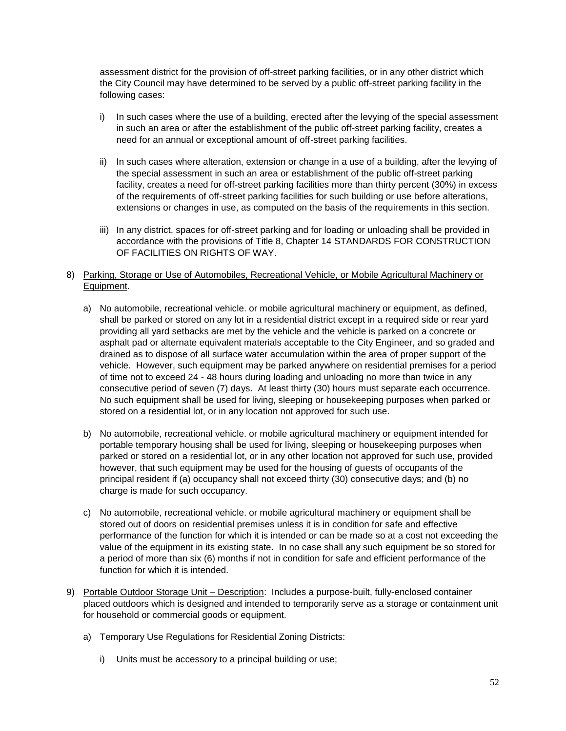assessment district for the provision of off-street parking facilities, or in any other district which the City Council may have determined to be served by a public off-street parking facility in the following cases:

- i) In such cases where the use of a building, erected after the levying of the special assessment in such an area or after the establishment of the public off-street parking facility, creates a need for an annual or exceptional amount of off-street parking facilities.
- ii) In such cases where alteration, extension or change in a use of a building, after the levying of the special assessment in such an area or establishment of the public off-street parking facility, creates a need for off-street parking facilities more than thirty percent (30%) in excess of the requirements of off-street parking facilities for such building or use before alterations, extensions or changes in use, as computed on the basis of the requirements in this section.
- iii) In any district, spaces for off-street parking and for loading or unloading shall be provided in accordance with the provisions of Title 8, Chapter 14 STANDARDS FOR CONSTRUCTION OF FACILITIES ON RIGHTS OF WAY.
- 8) Parking, Storage or Use of Automobiles, Recreational Vehicle, or Mobile Agricultural Machinery or Equipment.
	- a) No automobile, recreational vehicle. or mobile agricultural machinery or equipment, as defined, shall be parked or stored on any lot in a residential district except in a required side or rear yard providing all yard setbacks are met by the vehicle and the vehicle is parked on a concrete or asphalt pad or alternate equivalent materials acceptable to the City Engineer, and so graded and drained as to dispose of all surface water accumulation within the area of proper support of the vehicle. However, such equipment may be parked anywhere on residential premises for a period of time not to exceed 24 - 48 hours during loading and unloading no more than twice in any consecutive period of seven (7) days. At least thirty (30) hours must separate each occurrence. No such equipment shall be used for living, sleeping or housekeeping purposes when parked or stored on a residential lot, or in any location not approved for such use.
	- b) No automobile, recreational vehicle. or mobile agricultural machinery or equipment intended for portable temporary housing shall be used for living, sleeping or housekeeping purposes when parked or stored on a residential lot, or in any other location not approved for such use, provided however, that such equipment may be used for the housing of guests of occupants of the principal resident if (a) occupancy shall not exceed thirty (30) consecutive days; and (b) no charge is made for such occupancy.
	- c) No automobile, recreational vehicle. or mobile agricultural machinery or equipment shall be stored out of doors on residential premises unless it is in condition for safe and effective performance of the function for which it is intended or can be made so at a cost not exceeding the value of the equipment in its existing state. In no case shall any such equipment be so stored for a period of more than six (6) months if not in condition for safe and efficient performance of the function for which it is intended.
- 9) Portable Outdoor Storage Unit Description: Includes a purpose-built, fully-enclosed container placed outdoors which is designed and intended to temporarily serve as a storage or containment unit for household or commercial goods or equipment.
	- a) Temporary Use Regulations for Residential Zoning Districts:
		- i) Units must be accessory to a principal building or use;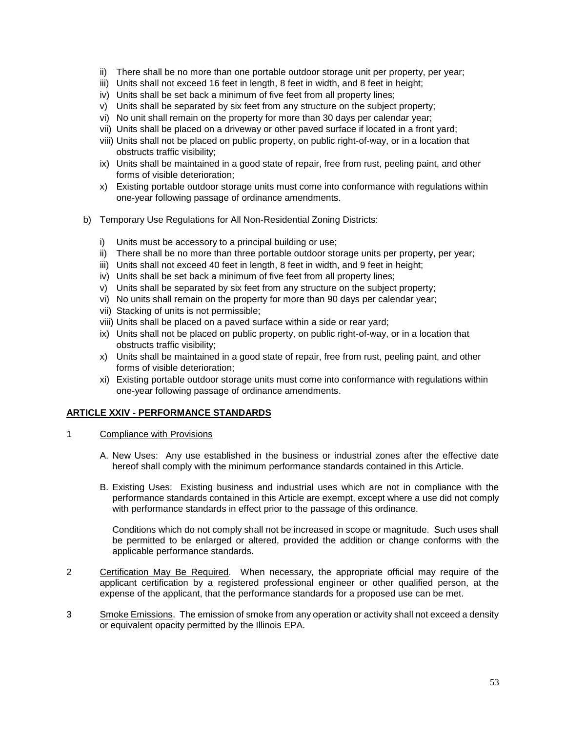- ii) There shall be no more than one portable outdoor storage unit per property, per year;
- iii) Units shall not exceed 16 feet in length, 8 feet in width, and 8 feet in height;
- iv) Units shall be set back a minimum of five feet from all property lines;
- v) Units shall be separated by six feet from any structure on the subject property;
- vi) No unit shall remain on the property for more than 30 days per calendar year;
- vii) Units shall be placed on a driveway or other paved surface if located in a front yard;
- viii) Units shall not be placed on public property, on public right-of-way, or in a location that obstructs traffic visibility;
- ix) Units shall be maintained in a good state of repair, free from rust, peeling paint, and other forms of visible deterioration;
- x) Existing portable outdoor storage units must come into conformance with regulations within one-year following passage of ordinance amendments.
- b) Temporary Use Regulations for All Non-Residential Zoning Districts:
	- i) Units must be accessory to a principal building or use;
	- ii) There shall be no more than three portable outdoor storage units per property, per year;
	- iii) Units shall not exceed 40 feet in length, 8 feet in width, and 9 feet in height;
	- iv) Units shall be set back a minimum of five feet from all property lines;
	- v) Units shall be separated by six feet from any structure on the subject property;
	- vi) No units shall remain on the property for more than 90 days per calendar year;
	- vii) Stacking of units is not permissible;
	- viii) Units shall be placed on a paved surface within a side or rear yard;
	- ix) Units shall not be placed on public property, on public right-of-way, or in a location that obstructs traffic visibility;
	- x) Units shall be maintained in a good state of repair, free from rust, peeling paint, and other forms of visible deterioration;
	- xi) Existing portable outdoor storage units must come into conformance with regulations within one-year following passage of ordinance amendments.

## **ARTICLE XXIV - PERFORMANCE STANDARDS**

- 1 Compliance with Provisions
	- A. New Uses: Any use established in the business or industrial zones after the effective date hereof shall comply with the minimum performance standards contained in this Article.
	- B. Existing Uses: Existing business and industrial uses which are not in compliance with the performance standards contained in this Article are exempt, except where a use did not comply with performance standards in effect prior to the passage of this ordinance.

Conditions which do not comply shall not be increased in scope or magnitude. Such uses shall be permitted to be enlarged or altered, provided the addition or change conforms with the applicable performance standards.

- 2 Certification May Be Required. When necessary, the appropriate official may require of the applicant certification by a registered professional engineer or other qualified person, at the expense of the applicant, that the performance standards for a proposed use can be met.
- 3 Smoke Emissions. The emission of smoke from any operation or activity shall not exceed a density or equivalent opacity permitted by the Illinois EPA.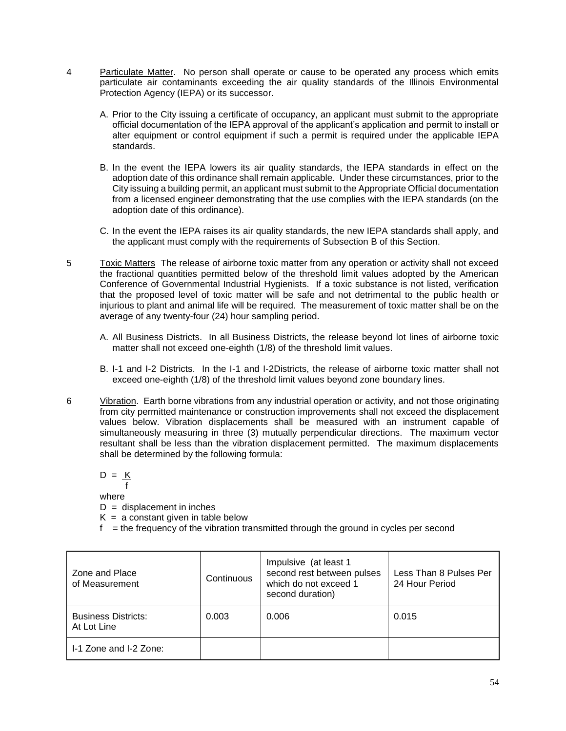- 4 Particulate Matter. No person shall operate or cause to be operated any process which emits particulate air contaminants exceeding the air quality standards of the Illinois Environmental Protection Agency (IEPA) or its successor.
	- A. Prior to the City issuing a certificate of occupancy, an applicant must submit to the appropriate official documentation of the IEPA approval of the applicant's application and permit to install or alter equipment or control equipment if such a permit is required under the applicable IEPA standards.
	- B. In the event the IEPA lowers its air quality standards, the IEPA standards in effect on the adoption date of this ordinance shall remain applicable. Under these circumstances, prior to the City issuing a building permit, an applicant must submit to the Appropriate Official documentation from a licensed engineer demonstrating that the use complies with the IEPA standards (on the adoption date of this ordinance).
	- C. In the event the IEPA raises its air quality standards, the new IEPA standards shall apply, and the applicant must comply with the requirements of Subsection B of this Section.
- 5 Toxic Matters The release of airborne toxic matter from any operation or activity shall not exceed the fractional quantities permitted below of the threshold limit values adopted by the American Conference of Governmental Industrial Hygienists. If a toxic substance is not listed, verification that the proposed level of toxic matter will be safe and not detrimental to the public health or injurious to plant and animal life will be required. The measurement of toxic matter shall be on the average of any twenty-four (24) hour sampling period.
	- A. All Business Districts. In all Business Districts, the release beyond lot lines of airborne toxic matter shall not exceed one-eighth (1/8) of the threshold limit values.
	- B. I-1 and I-2 Districts. In the I-1 and I-2Districts, the release of airborne toxic matter shall not exceed one-eighth (1/8) of the threshold limit values beyond zone boundary lines.
- 6 Vibration. Earth borne vibrations from any industrial operation or activity, and not those originating from city permitted maintenance or construction improvements shall not exceed the displacement values below. Vibration displacements shall be measured with an instrument capable of simultaneously measuring in three (3) mutually perpendicular directions. The maximum vector resultant shall be less than the vibration displacement permitted. The maximum displacements shall be determined by the following formula:

 $D = K$  f where

- $D =$  displacement in inches
- $K = a$  constant given in table below
- $f =$  the frequency of the vibration transmitted through the ground in cycles per second

| Zone and Place<br>of Measurement          | Continuous | Impulsive (at least 1<br>second rest between pulses<br>which do not exceed 1<br>second duration) | Less Than 8 Pulses Per<br>24 Hour Period |
|-------------------------------------------|------------|--------------------------------------------------------------------------------------------------|------------------------------------------|
| <b>Business Districts:</b><br>At Lot Line | 0.003      | 0.006                                                                                            | 0.015                                    |
| I-1 Zone and I-2 Zone:                    |            |                                                                                                  |                                          |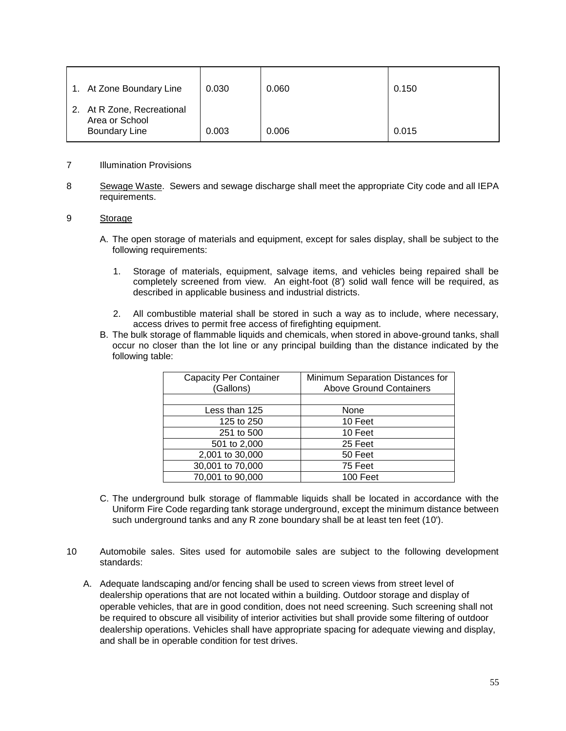| 1. At Zone Boundary Line                                             | 0.030 | 0.060 | 0.150 |
|----------------------------------------------------------------------|-------|-------|-------|
| 2. At R Zone, Recreational<br>Area or School<br><b>Boundary Line</b> | 0.003 | 0.006 | 0.015 |

#### 7 Illumination Provisions

8 Sewage Waste. Sewers and sewage discharge shall meet the appropriate City code and all IEPA requirements.

#### 9 Storage

- A. The open storage of materials and equipment, except for sales display, shall be subject to the following requirements:
	- 1. Storage of materials, equipment, salvage items, and vehicles being repaired shall be completely screened from view. An eight-foot (8') solid wall fence will be required, as described in applicable business and industrial districts.
	- 2. All combustible material shall be stored in such a way as to include, where necessary, access drives to permit free access of firefighting equipment.
- B. The bulk storage of flammable liquids and chemicals, when stored in above-ground tanks, shall occur no closer than the lot line or any principal building than the distance indicated by the following table:

| <b>Capacity Per Container</b><br>(Gallons) | Minimum Separation Distances for<br><b>Above Ground Containers</b> |
|--------------------------------------------|--------------------------------------------------------------------|
|                                            |                                                                    |
| Less than 125                              | None                                                               |
| 125 to 250                                 | 10 Feet                                                            |
| 251 to 500                                 | 10 Feet                                                            |
| 501 to 2,000                               | 25 Feet                                                            |
| 2,001 to 30,000                            | 50 Feet                                                            |
| 30,001 to 70,000                           | 75 Feet                                                            |
| 70,001 to 90,000                           | 100 Feet                                                           |

- C. The underground bulk storage of flammable liquids shall be located in accordance with the Uniform Fire Code regarding tank storage underground, except the minimum distance between such underground tanks and any R zone boundary shall be at least ten feet (10').
- 10 Automobile sales. Sites used for automobile sales are subject to the following development standards:
	- A. Adequate landscaping and/or fencing shall be used to screen views from street level of dealership operations that are not located within a building. Outdoor storage and display of operable vehicles, that are in good condition, does not need screening. Such screening shall not be required to obscure all visibility of interior activities but shall provide some filtering of outdoor dealership operations. Vehicles shall have appropriate spacing for adequate viewing and display, and shall be in operable condition for test drives.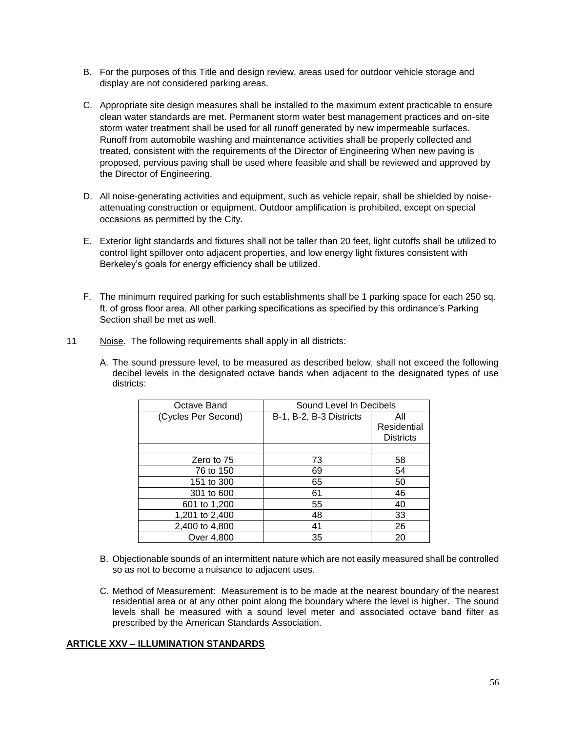- B. For the purposes of this Title and design review, areas used for outdoor vehicle storage and display are not considered parking areas.
- C. Appropriate site design measures shall be installed to the maximum extent practicable to ensure clean water standards are met. Permanent storm water best management practices and on-site storm water treatment shall be used for all runoff generated by new impermeable surfaces. Runoff from automobile washing and maintenance activities shall be properly collected and treated, consistent with the requirements of the Director of Engineering When new paving is proposed, pervious paving shall be used where feasible and shall be reviewed and approved by the Director of Engineering.
- D. All noise-generating activities and equipment, such as vehicle repair, shall be shielded by noiseattenuating construction or equipment. Outdoor amplification is prohibited, except on special occasions as permitted by the City.
- E. Exterior light standards and fixtures shall not be taller than 20 feet, light cutoffs shall be utilized to control light spillover onto adjacent properties, and low energy light fixtures consistent with Berkeley's goals for energy efficiency shall be utilized.
- F. The minimum required parking for such establishments shall be 1 parking space for each 250 sq. ft. of gross floor area. All other parking specifications as specified by this ordinance's Parking Section shall be met as well.
- 11 Noise. The following requirements shall apply in all districts:
	- A. The sound pressure level, to be measured as described below, shall not exceed the following decibel levels in the designated octave bands when adjacent to the designated types of use districts:

| Octave Band         | Sound Level In Decibels |                  |  |
|---------------------|-------------------------|------------------|--|
| (Cycles Per Second) | B-1, B-2, B-3 Districts | All              |  |
|                     |                         | Residential      |  |
|                     |                         | <b>Districts</b> |  |
|                     |                         |                  |  |
| Zero to 75          | 73                      | 58               |  |
| 76 to 150           | 69                      | 54               |  |
| 151 to 300          | 65                      | 50               |  |
| 301 to 600          | 61                      | 46               |  |
| 601 to 1,200        | 55                      | 40               |  |
| 1,201 to 2,400      | 48                      | 33               |  |
| 2,400 to 4,800      | 41                      | 26               |  |
| Over 4,800          | 35                      | 20               |  |

- B. Objectionable sounds of an intermittent nature which are not easily measured shall be controlled so as not to become a nuisance to adjacent uses.
- C. Method of Measurement: Measurement is to be made at the nearest boundary of the nearest residential area or at any other point along the boundary where the level is higher. The sound levels shall be measured with a sound level meter and associated octave band filter as prescribed by the American Standards Association.

## **ARTICLE XXV – ILLUMINATION STANDARDS**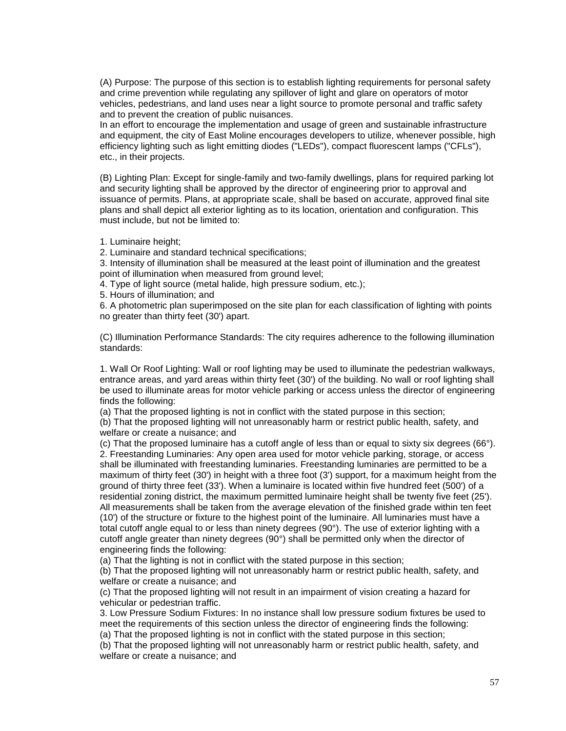(A) Purpose: The purpose of this section is to establish lighting requirements for personal safety and crime prevention while regulating any spillover of light and glare on operators of motor vehicles, pedestrians, and land uses near a light source to promote personal and traffic safety and to prevent the creation of public nuisances.

In an effort to encourage the implementation and usage of green and sustainable infrastructure and equipment, the city of East Moline encourages developers to utilize, whenever possible, high efficiency lighting such as light emitting diodes ("LEDs"), compact fluorescent lamps ("CFLs"), etc., in their projects.

(B) Lighting Plan: Except for single-family and two-family dwellings, plans for required parking lot and security lighting shall be approved by the director of engineering prior to approval and issuance of permits. Plans, at appropriate scale, shall be based on accurate, approved final site plans and shall depict all exterior lighting as to its location, orientation and configuration. This must include, but not be limited to:

1. Luminaire height;

2. Luminaire and standard technical specifications;

3. Intensity of illumination shall be measured at the least point of illumination and the greatest point of illumination when measured from ground level;

4. Type of light source (metal halide, high pressure sodium, etc.);

5. Hours of illumination; and

6. A photometric plan superimposed on the site plan for each classification of lighting with points no greater than thirty feet (30') apart.

(C) Illumination Performance Standards: The city requires adherence to the following illumination standards:

1. Wall Or Roof Lighting: Wall or roof lighting may be used to illuminate the pedestrian walkways, entrance areas, and yard areas within thirty feet (30') of the building. No wall or roof lighting shall be used to illuminate areas for motor vehicle parking or access unless the director of engineering finds the following:

(a) That the proposed lighting is not in conflict with the stated purpose in this section;

(b) That the proposed lighting will not unreasonably harm or restrict public health, safety, and welfare or create a nuisance; and

(c) That the proposed luminaire has a cutoff angle of less than or equal to sixty six degrees (66°). 2. Freestanding Luminaries: Any open area used for motor vehicle parking, storage, or access shall be illuminated with freestanding luminaries. Freestanding luminaries are permitted to be a maximum of thirty feet (30') in height with a three foot (3') support, for a maximum height from the ground of thirty three feet (33'). When a luminaire is located within five hundred feet (500') of a residential zoning district, the maximum permitted luminaire height shall be twenty five feet (25'). All measurements shall be taken from the average elevation of the finished grade within ten feet (10') of the structure or fixture to the highest point of the luminaire. All luminaries must have a total cutoff angle equal to or less than ninety degrees (90°). The use of exterior lighting with a cutoff angle greater than ninety degrees (90°) shall be permitted only when the director of engineering finds the following:

(a) That the lighting is not in conflict with the stated purpose in this section;

(b) That the proposed lighting will not unreasonably harm or restrict public health, safety, and welfare or create a nuisance; and

(c) That the proposed lighting will not result in an impairment of vision creating a hazard for vehicular or pedestrian traffic.

3. Low Pressure Sodium Fixtures: In no instance shall low pressure sodium fixtures be used to meet the requirements of this section unless the director of engineering finds the following: (a) That the proposed lighting is not in conflict with the stated purpose in this section;

(b) That the proposed lighting will not unreasonably harm or restrict public health, safety, and welfare or create a nuisance; and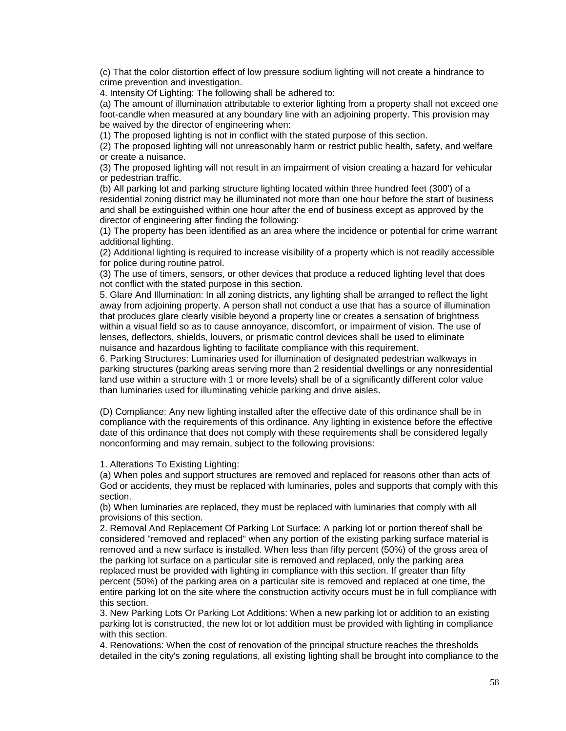(c) That the color distortion effect of low pressure sodium lighting will not create a hindrance to crime prevention and investigation.

4. Intensity Of Lighting: The following shall be adhered to:

(a) The amount of illumination attributable to exterior lighting from a property shall not exceed one foot-candle when measured at any boundary line with an adjoining property. This provision may be waived by the director of engineering when:

(1) The proposed lighting is not in conflict with the stated purpose of this section.

(2) The proposed lighting will not unreasonably harm or restrict public health, safety, and welfare or create a nuisance.

(3) The proposed lighting will not result in an impairment of vision creating a hazard for vehicular or pedestrian traffic.

(b) All parking lot and parking structure lighting located within three hundred feet (300') of a residential zoning district may be illuminated not more than one hour before the start of business and shall be extinguished within one hour after the end of business except as approved by the director of engineering after finding the following:

(1) The property has been identified as an area where the incidence or potential for crime warrant additional lighting.

(2) Additional lighting is required to increase visibility of a property which is not readily accessible for police during routine patrol.

(3) The use of timers, sensors, or other devices that produce a reduced lighting level that does not conflict with the stated purpose in this section.

5. Glare And Illumination: In all zoning districts, any lighting shall be arranged to reflect the light away from adjoining property. A person shall not conduct a use that has a source of illumination that produces glare clearly visible beyond a property line or creates a sensation of brightness within a visual field so as to cause annoyance, discomfort, or impairment of vision. The use of lenses, deflectors, shields, louvers, or prismatic control devices shall be used to eliminate nuisance and hazardous lighting to facilitate compliance with this requirement.

6. Parking Structures: Luminaries used for illumination of designated pedestrian walkways in parking structures (parking areas serving more than 2 residential dwellings or any nonresidential land use within a structure with 1 or more levels) shall be of a significantly different color value than luminaries used for illuminating vehicle parking and drive aisles.

(D) Compliance: Any new lighting installed after the effective date of this ordinance shall be in compliance with the requirements of this ordinance. Any lighting in existence before the effective date of this ordinance that does not comply with these requirements shall be considered legally nonconforming and may remain, subject to the following provisions:

1. Alterations To Existing Lighting:

(a) When poles and support structures are removed and replaced for reasons other than acts of God or accidents, they must be replaced with luminaries, poles and supports that comply with this section.

(b) When luminaries are replaced, they must be replaced with luminaries that comply with all provisions of this section.

2. Removal And Replacement Of Parking Lot Surface: A parking lot or portion thereof shall be considered "removed and replaced" when any portion of the existing parking surface material is removed and a new surface is installed. When less than fifty percent (50%) of the gross area of the parking lot surface on a particular site is removed and replaced, only the parking area replaced must be provided with lighting in compliance with this section. If greater than fifty percent (50%) of the parking area on a particular site is removed and replaced at one time, the entire parking lot on the site where the construction activity occurs must be in full compliance with this section.

3. New Parking Lots Or Parking Lot Additions: When a new parking lot or addition to an existing parking lot is constructed, the new lot or lot addition must be provided with lighting in compliance with this section.

4. Renovations: When the cost of renovation of the principal structure reaches the thresholds detailed in the city's zoning regulations, all existing lighting shall be brought into compliance to the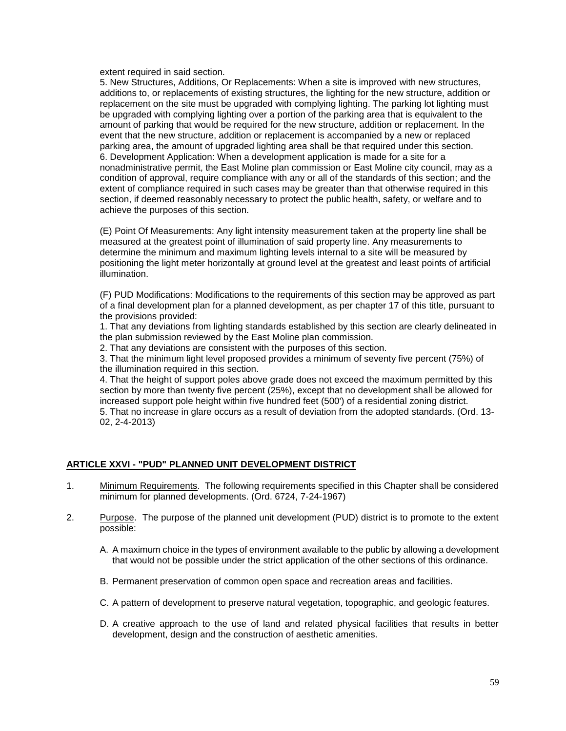extent required in said section.

5. New Structures, Additions, Or Replacements: When a site is improved with new structures, additions to, or replacements of existing structures, the lighting for the new structure, addition or replacement on the site must be upgraded with complying lighting. The parking lot lighting must be upgraded with complying lighting over a portion of the parking area that is equivalent to the amount of parking that would be required for the new structure, addition or replacement. In the event that the new structure, addition or replacement is accompanied by a new or replaced parking area, the amount of upgraded lighting area shall be that required under this section. 6. Development Application: When a development application is made for a site for a nonadministrative permit, the East Moline plan commission or East Moline city council, may as a condition of approval, require compliance with any or all of the standards of this section; and the extent of compliance required in such cases may be greater than that otherwise required in this section, if deemed reasonably necessary to protect the public health, safety, or welfare and to achieve the purposes of this section.

(E) Point Of Measurements: Any light intensity measurement taken at the property line shall be measured at the greatest point of illumination of said property line. Any measurements to determine the minimum and maximum lighting levels internal to a site will be measured by positioning the light meter horizontally at ground level at the greatest and least points of artificial illumination.

(F) PUD Modifications: Modifications to the requirements of this section may be approved as part of a final development plan for a planned development, as per chapter 17 of this title, pursuant to the provisions provided:

1. That any deviations from lighting standards established by this section are clearly delineated in the plan submission reviewed by the East Moline plan commission.

2. That any deviations are consistent with the purposes of this section.

3. That the minimum light level proposed provides a minimum of seventy five percent (75%) of the illumination required in this section.

4. That the height of support poles above grade does not exceed the maximum permitted by this section by more than twenty five percent (25%), except that no development shall be allowed for increased support pole height within five hundred feet (500') of a residential zoning district.

5. That no increase in glare occurs as a result of deviation from the adopted standards. (Ord. 13- 02, 2-4-2013)

## **ARTICLE XXVI - "PUD" PLANNED UNIT DEVELOPMENT DISTRICT**

- 1. Minimum Requirements. The following requirements specified in this Chapter shall be considered minimum for planned developments. (Ord. 6724, 7-24-1967)
- 2. Purpose. The purpose of the planned unit development (PUD) district is to promote to the extent possible:
	- A. A maximum choice in the types of environment available to the public by allowing a development that would not be possible under the strict application of the other sections of this ordinance.
	- B. Permanent preservation of common open space and recreation areas and facilities.
	- C. A pattern of development to preserve natural vegetation, topographic, and geologic features.
	- D. A creative approach to the use of land and related physical facilities that results in better development, design and the construction of aesthetic amenities.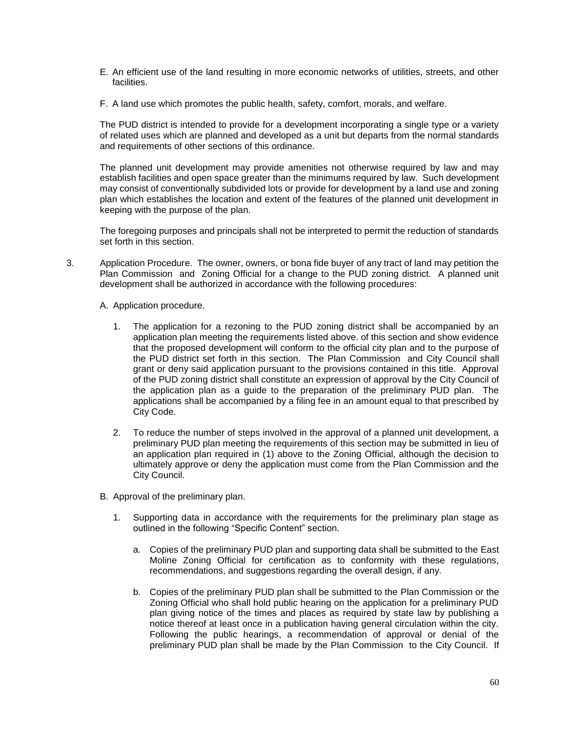- E. An efficient use of the land resulting in more economic networks of utilities, streets, and other facilities.
- F. A land use which promotes the public health, safety, comfort, morals, and welfare.

The PUD district is intended to provide for a development incorporating a single type or a variety of related uses which are planned and developed as a unit but departs from the normal standards and requirements of other sections of this ordinance.

The planned unit development may provide amenities not otherwise required by law and may establish facilities and open space greater than the minimums required by law. Such development may consist of conventionally subdivided lots or provide for development by a land use and zoning plan which establishes the location and extent of the features of the planned unit development in keeping with the purpose of the plan.

The foregoing purposes and principals shall not be interpreted to permit the reduction of standards set forth in this section.

- 3. Application Procedure. The owner, owners, or bona fide buyer of any tract of land may petition the Plan Commission and Zoning Official for a change to the PUD zoning district. A planned unit development shall be authorized in accordance with the following procedures:
	- A. Application procedure.
		- 1. The application for a rezoning to the PUD zoning district shall be accompanied by an application plan meeting the requirements listed above. of this section and show evidence that the proposed development will conform to the official city plan and to the purpose of the PUD district set forth in this section. The Plan Commission and City Council shall grant or deny said application pursuant to the provisions contained in this title. Approval of the PUD zoning district shall constitute an expression of approval by the City Council of the application plan as a guide to the preparation of the preliminary PUD plan. The applications shall be accompanied by a filing fee in an amount equal to that prescribed by City Code.
		- 2. To reduce the number of steps involved in the approval of a planned unit development, a preliminary PUD plan meeting the requirements of this section may be submitted in lieu of an application plan required in (1) above to the Zoning Official, although the decision to ultimately approve or deny the application must come from the Plan Commission and the City Council.
	- B. Approval of the preliminary plan.
		- 1. Supporting data in accordance with the requirements for the preliminary plan stage as outlined in the following "Specific Content" section.
			- a. Copies of the preliminary PUD plan and supporting data shall be submitted to the East Moline Zoning Official for certification as to conformity with these regulations, recommendations, and suggestions regarding the overall design, if any.
			- b. Copies of the preliminary PUD plan shall be submitted to the Plan Commission or the Zoning Official who shall hold public hearing on the application for a preliminary PUD plan giving notice of the times and places as required by state law by publishing a notice thereof at least once in a publication having general circulation within the city. Following the public hearings, a recommendation of approval or denial of the preliminary PUD plan shall be made by the Plan Commission to the City Council. If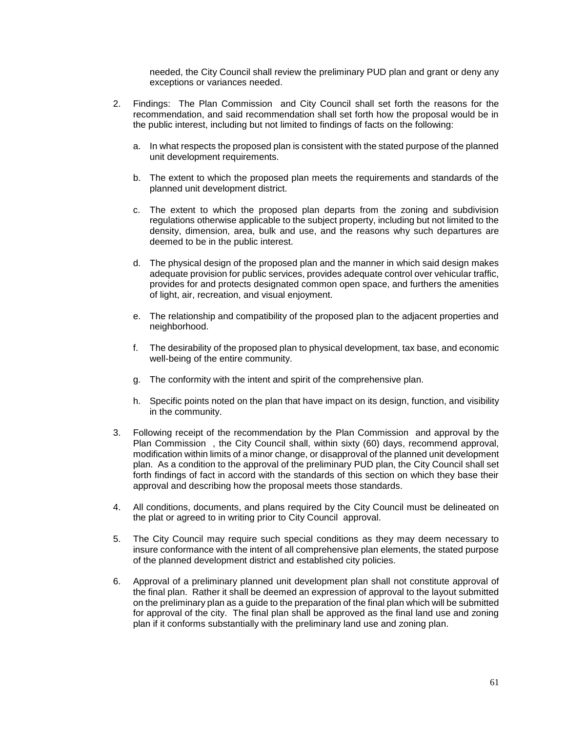needed, the City Council shall review the preliminary PUD plan and grant or deny any exceptions or variances needed.

- 2. Findings: The Plan Commission and City Council shall set forth the reasons for the recommendation, and said recommendation shall set forth how the proposal would be in the public interest, including but not limited to findings of facts on the following:
	- a. In what respects the proposed plan is consistent with the stated purpose of the planned unit development requirements.
	- b. The extent to which the proposed plan meets the requirements and standards of the planned unit development district.
	- c. The extent to which the proposed plan departs from the zoning and subdivision regulations otherwise applicable to the subject property, including but not limited to the density, dimension, area, bulk and use, and the reasons why such departures are deemed to be in the public interest.
	- d. The physical design of the proposed plan and the manner in which said design makes adequate provision for public services, provides adequate control over vehicular traffic, provides for and protects designated common open space, and furthers the amenities of light, air, recreation, and visual enjoyment.
	- e. The relationship and compatibility of the proposed plan to the adjacent properties and neighborhood.
	- f. The desirability of the proposed plan to physical development, tax base, and economic well-being of the entire community.
	- g. The conformity with the intent and spirit of the comprehensive plan.
	- h. Specific points noted on the plan that have impact on its design, function, and visibility in the community.
- 3. Following receipt of the recommendation by the Plan Commission and approval by the Plan Commission , the City Council shall, within sixty (60) days, recommend approval, modification within limits of a minor change, or disapproval of the planned unit development plan. As a condition to the approval of the preliminary PUD plan, the City Council shall set forth findings of fact in accord with the standards of this section on which they base their approval and describing how the proposal meets those standards.
- 4. All conditions, documents, and plans required by the City Council must be delineated on the plat or agreed to in writing prior to City Council approval.
- 5. The City Council may require such special conditions as they may deem necessary to insure conformance with the intent of all comprehensive plan elements, the stated purpose of the planned development district and established city policies.
- 6. Approval of a preliminary planned unit development plan shall not constitute approval of the final plan. Rather it shall be deemed an expression of approval to the layout submitted on the preliminary plan as a guide to the preparation of the final plan which will be submitted for approval of the city. The final plan shall be approved as the final land use and zoning plan if it conforms substantially with the preliminary land use and zoning plan.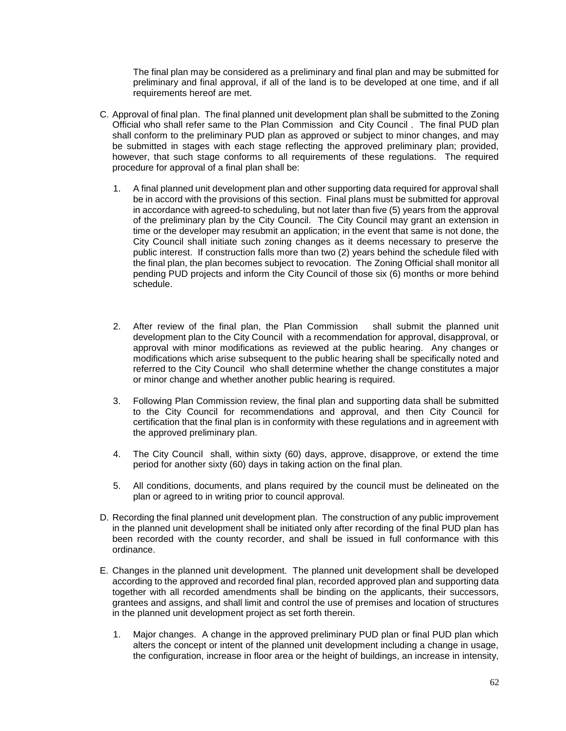The final plan may be considered as a preliminary and final plan and may be submitted for preliminary and final approval, if all of the land is to be developed at one time, and if all requirements hereof are met.

- C. Approval of final plan. The final planned unit development plan shall be submitted to the Zoning Official who shall refer same to the Plan Commission and City Council . The final PUD plan shall conform to the preliminary PUD plan as approved or subject to minor changes, and may be submitted in stages with each stage reflecting the approved preliminary plan; provided, however, that such stage conforms to all requirements of these regulations. The required procedure for approval of a final plan shall be:
	- 1. A final planned unit development plan and other supporting data required for approval shall be in accord with the provisions of this section. Final plans must be submitted for approval in accordance with agreed-to scheduling, but not later than five (5) years from the approval of the preliminary plan by the City Council. The City Council may grant an extension in time or the developer may resubmit an application; in the event that same is not done, the City Council shall initiate such zoning changes as it deems necessary to preserve the public interest. If construction falls more than two (2) years behind the schedule filed with the final plan, the plan becomes subject to revocation. The Zoning Official shall monitor all pending PUD projects and inform the City Council of those six (6) months or more behind schedule.
	- 2. After review of the final plan, the Plan Commission shall submit the planned unit development plan to the City Council with a recommendation for approval, disapproval, or approval with minor modifications as reviewed at the public hearing. Any changes or modifications which arise subsequent to the public hearing shall be specifically noted and referred to the City Council who shall determine whether the change constitutes a major or minor change and whether another public hearing is required.
	- 3. Following Plan Commission review, the final plan and supporting data shall be submitted to the City Council for recommendations and approval, and then City Council for certification that the final plan is in conformity with these regulations and in agreement with the approved preliminary plan.
	- 4. The City Council shall, within sixty (60) days, approve, disapprove, or extend the time period for another sixty (60) days in taking action on the final plan.
	- 5. All conditions, documents, and plans required by the council must be delineated on the plan or agreed to in writing prior to council approval.
- D. Recording the final planned unit development plan. The construction of any public improvement in the planned unit development shall be initiated only after recording of the final PUD plan has been recorded with the county recorder, and shall be issued in full conformance with this ordinance.
- E. Changes in the planned unit development. The planned unit development shall be developed according to the approved and recorded final plan, recorded approved plan and supporting data together with all recorded amendments shall be binding on the applicants, their successors, grantees and assigns, and shall limit and control the use of premises and location of structures in the planned unit development project as set forth therein.
	- 1. Major changes. A change in the approved preliminary PUD plan or final PUD plan which alters the concept or intent of the planned unit development including a change in usage, the configuration, increase in floor area or the height of buildings, an increase in intensity,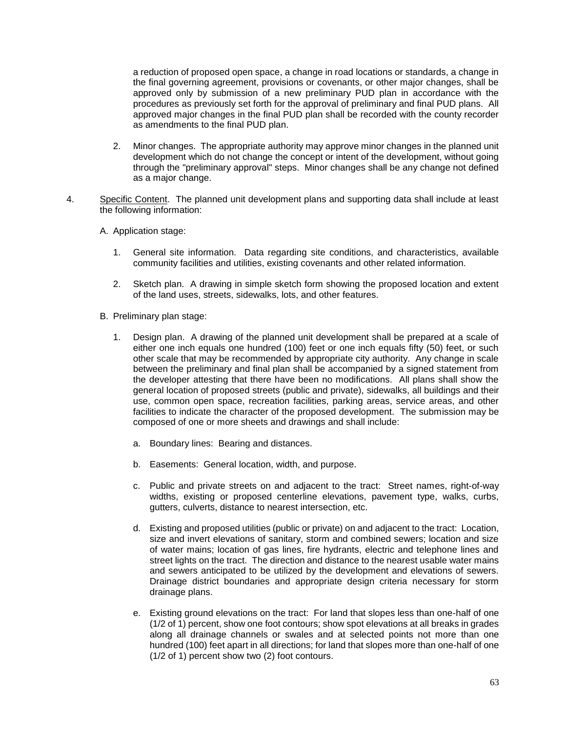a reduction of proposed open space, a change in road locations or standards, a change in the final governing agreement, provisions or covenants, or other major changes, shall be approved only by submission of a new preliminary PUD plan in accordance with the procedures as previously set forth for the approval of preliminary and final PUD plans. All approved major changes in the final PUD plan shall be recorded with the county recorder as amendments to the final PUD plan.

- 2. Minor changes. The appropriate authority may approve minor changes in the planned unit development which do not change the concept or intent of the development, without going through the "preliminary approval" steps. Minor changes shall be any change not defined as a major change.
- 4. Specific Content. The planned unit development plans and supporting data shall include at least the following information:
	- A. Application stage:
		- 1. General site information. Data regarding site conditions, and characteristics, available community facilities and utilities, existing covenants and other related information.
		- 2. Sketch plan. A drawing in simple sketch form showing the proposed location and extent of the land uses, streets, sidewalks, lots, and other features.
	- B. Preliminary plan stage:
		- 1. Design plan. A drawing of the planned unit development shall be prepared at a scale of either one inch equals one hundred (100) feet or one inch equals fifty (50) feet, or such other scale that may be recommended by appropriate city authority. Any change in scale between the preliminary and final plan shall be accompanied by a signed statement from the developer attesting that there have been no modifications. All plans shall show the general location of proposed streets (public and private), sidewalks, all buildings and their use, common open space, recreation facilities, parking areas, service areas, and other facilities to indicate the character of the proposed development. The submission may be composed of one or more sheets and drawings and shall include:
			- a. Boundary lines: Bearing and distances.
			- b. Easements: General location, width, and purpose.
			- c. Public and private streets on and adjacent to the tract: Street names, right-of-way widths, existing or proposed centerline elevations, pavement type, walks, curbs, gutters, culverts, distance to nearest intersection, etc.
			- d. Existing and proposed utilities (public or private) on and adjacent to the tract: Location, size and invert elevations of sanitary, storm and combined sewers; location and size of water mains; location of gas lines, fire hydrants, electric and telephone lines and street lights on the tract. The direction and distance to the nearest usable water mains and sewers anticipated to be utilized by the development and elevations of sewers. Drainage district boundaries and appropriate design criteria necessary for storm drainage plans.
			- e. Existing ground elevations on the tract: For land that slopes less than one-half of one (1/2 of 1) percent, show one foot contours; show spot elevations at all breaks in grades along all drainage channels or swales and at selected points not more than one hundred (100) feet apart in all directions; for land that slopes more than one-half of one (1/2 of 1) percent show two (2) foot contours.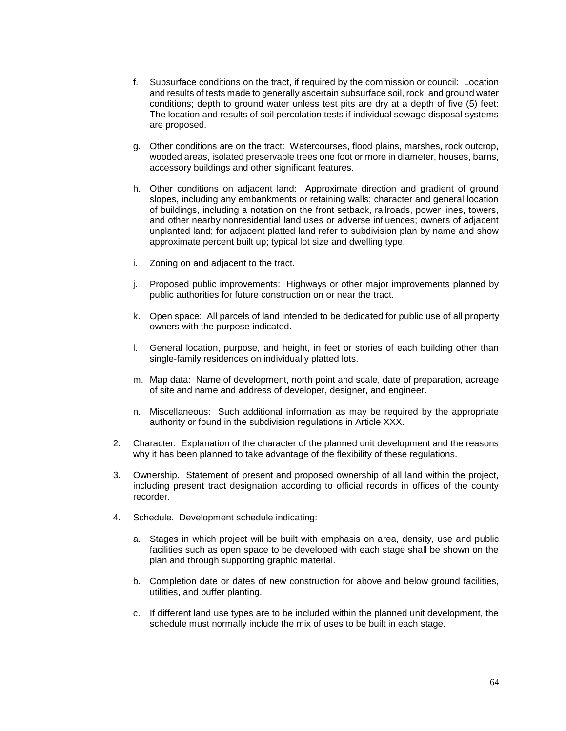- f. Subsurface conditions on the tract, if required by the commission or council: Location and results of tests made to generally ascertain subsurface soil, rock, and ground water conditions; depth to ground water unless test pits are dry at a depth of five (5) feet: The location and results of soil percolation tests if individual sewage disposal systems are proposed.
- g. Other conditions are on the tract: Watercourses, flood plains, marshes, rock outcrop, wooded areas, isolated preservable trees one foot or more in diameter, houses, barns, accessory buildings and other significant features.
- h. Other conditions on adjacent land: Approximate direction and gradient of ground slopes, including any embankments or retaining walls; character and general location of buildings, including a notation on the front setback, railroads, power lines, towers, and other nearby nonresidential land uses or adverse influences; owners of adjacent unplanted land; for adjacent platted land refer to subdivision plan by name and show approximate percent built up; typical lot size and dwelling type.
- i. Zoning on and adjacent to the tract.
- j. Proposed public improvements: Highways or other major improvements planned by public authorities for future construction on or near the tract.
- k. Open space: All parcels of land intended to be dedicated for public use of all property owners with the purpose indicated.
- l. General location, purpose, and height, in feet or stories of each building other than single-family residences on individually platted lots.
- m. Map data: Name of development, north point and scale, date of preparation, acreage of site and name and address of developer, designer, and engineer.
- n. Miscellaneous: Such additional information as may be required by the appropriate authority or found in the subdivision regulations in Article XXX.
- 2. Character. Explanation of the character of the planned unit development and the reasons why it has been planned to take advantage of the flexibility of these regulations.
- 3. Ownership. Statement of present and proposed ownership of all land within the project, including present tract designation according to official records in offices of the county recorder.
- 4. Schedule. Development schedule indicating:
	- a. Stages in which project will be built with emphasis on area, density, use and public facilities such as open space to be developed with each stage shall be shown on the plan and through supporting graphic material.
	- b. Completion date or dates of new construction for above and below ground facilities, utilities, and buffer planting.
	- c. If different land use types are to be included within the planned unit development, the schedule must normally include the mix of uses to be built in each stage.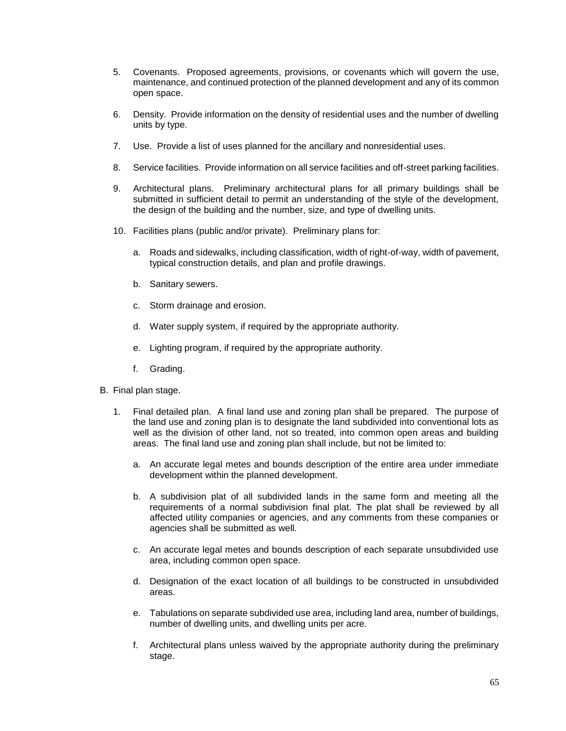- 5. Covenants. Proposed agreements, provisions, or covenants which will govern the use, maintenance, and continued protection of the planned development and any of its common open space.
- 6. Density. Provide information on the density of residential uses and the number of dwelling units by type.
- 7. Use. Provide a list of uses planned for the ancillary and nonresidential uses.
- 8. Service facilities. Provide information on all service facilities and off-street parking facilities.
- 9. Architectural plans. Preliminary architectural plans for all primary buildings shall be submitted in sufficient detail to permit an understanding of the style of the development, the design of the building and the number, size, and type of dwelling units.
- 10. Facilities plans (public and/or private). Preliminary plans for:
	- a. Roads and sidewalks, including classification, width of right-of-way, width of pavement, typical construction details, and plan and profile drawings.
	- b. Sanitary sewers.
	- c. Storm drainage and erosion.
	- d. Water supply system, if required by the appropriate authority.
	- e. Lighting program, if required by the appropriate authority.
	- f. Grading.
- B. Final plan stage.
	- 1. Final detailed plan. A final land use and zoning plan shall be prepared. The purpose of the land use and zoning plan is to designate the land subdivided into conventional lots as well as the division of other land, not so treated, into common open areas and building areas. The final land use and zoning plan shall include, but not be limited to:
		- a. An accurate legal metes and bounds description of the entire area under immediate development within the planned development.
		- b. A subdivision plat of all subdivided lands in the same form and meeting all the requirements of a normal subdivision final plat. The plat shall be reviewed by all affected utility companies or agencies, and any comments from these companies or agencies shall be submitted as well.
		- c. An accurate legal metes and bounds description of each separate unsubdivided use area, including common open space.
		- d. Designation of the exact location of all buildings to be constructed in unsubdivided areas.
		- e. Tabulations on separate subdivided use area, including land area, number of buildings, number of dwelling units, and dwelling units per acre.
		- f. Architectural plans unless waived by the appropriate authority during the preliminary stage.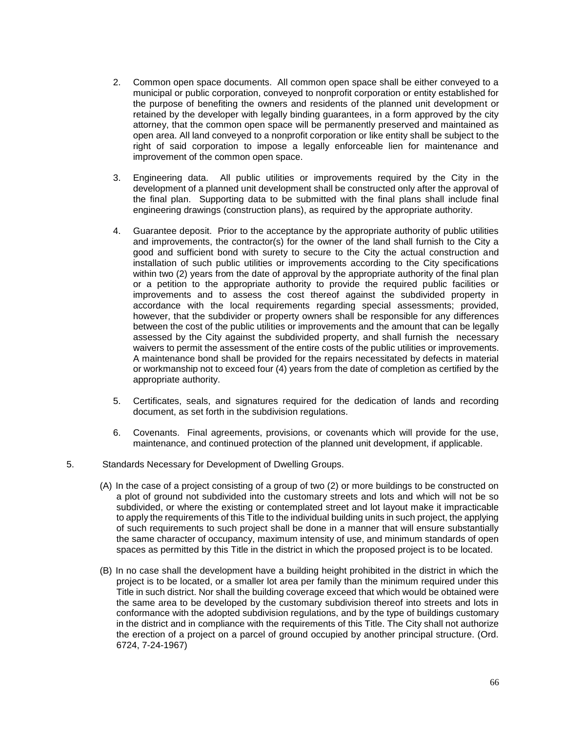- 2. Common open space documents. All common open space shall be either conveyed to a municipal or public corporation, conveyed to nonprofit corporation or entity established for the purpose of benefiting the owners and residents of the planned unit development or retained by the developer with legally binding guarantees, in a form approved by the city attorney, that the common open space will be permanently preserved and maintained as open area. All land conveyed to a nonprofit corporation or like entity shall be subject to the right of said corporation to impose a legally enforceable lien for maintenance and improvement of the common open space.
- 3. Engineering data. All public utilities or improvements required by the City in the development of a planned unit development shall be constructed only after the approval of the final plan. Supporting data to be submitted with the final plans shall include final engineering drawings (construction plans), as required by the appropriate authority.
- 4. Guarantee deposit. Prior to the acceptance by the appropriate authority of public utilities and improvements, the contractor(s) for the owner of the land shall furnish to the City a good and sufficient bond with surety to secure to the City the actual construction and installation of such public utilities or improvements according to the City specifications within two (2) years from the date of approval by the appropriate authority of the final plan or a petition to the appropriate authority to provide the required public facilities or improvements and to assess the cost thereof against the subdivided property in accordance with the local requirements regarding special assessments; provided, however, that the subdivider or property owners shall be responsible for any differences between the cost of the public utilities or improvements and the amount that can be legally assessed by the City against the subdivided property, and shall furnish the necessary waivers to permit the assessment of the entire costs of the public utilities or improvements. A maintenance bond shall be provided for the repairs necessitated by defects in material or workmanship not to exceed four (4) years from the date of completion as certified by the appropriate authority.
- 5. Certificates, seals, and signatures required for the dedication of lands and recording document, as set forth in the subdivision regulations.
- 6. Covenants. Final agreements, provisions, or covenants which will provide for the use, maintenance, and continued protection of the planned unit development, if applicable.
- 5. Standards Necessary for Development of Dwelling Groups.
	- (A) In the case of a project consisting of a group of two (2) or more buildings to be constructed on a plot of ground not subdivided into the customary streets and lots and which will not be so subdivided, or where the existing or contemplated street and lot layout make it impracticable to apply the requirements of this Title to the individual building units in such project, the applying of such requirements to such project shall be done in a manner that will ensure substantially the same character of occupancy, maximum intensity of use, and minimum standards of open spaces as permitted by this Title in the district in which the proposed project is to be located.
	- (B) In no case shall the development have a building height prohibited in the district in which the project is to be located, or a smaller lot area per family than the minimum required under this Title in such district. Nor shall the building coverage exceed that which would be obtained were the same area to be developed by the customary subdivision thereof into streets and lots in conformance with the adopted subdivision regulations, and by the type of buildings customary in the district and in compliance with the requirements of this Title. The City shall not authorize the erection of a project on a parcel of ground occupied by another principal structure. (Ord. 6724, 7-24-1967)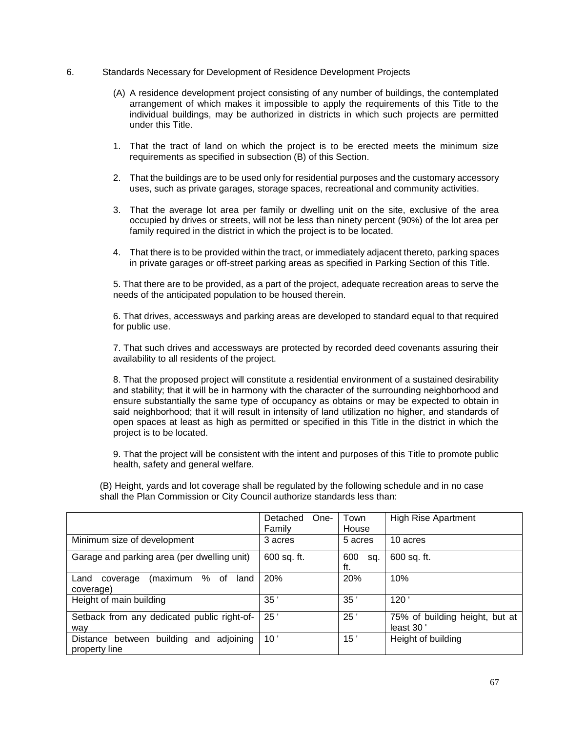- 6. Standards Necessary for Development of Residence Development Projects
	- (A) A residence development project consisting of any number of buildings, the contemplated arrangement of which makes it impossible to apply the requirements of this Title to the individual buildings, may be authorized in districts in which such projects are permitted under this Title.
	- 1. That the tract of land on which the project is to be erected meets the minimum size requirements as specified in subsection (B) of this Section.
	- 2. That the buildings are to be used only for residential purposes and the customary accessory uses, such as private garages, storage spaces, recreational and community activities.
	- 3. That the average lot area per family or dwelling unit on the site, exclusive of the area occupied by drives or streets, will not be less than ninety percent (90%) of the lot area per family required in the district in which the project is to be located.
	- 4. That there is to be provided within the tract, or immediately adjacent thereto, parking spaces in private garages or off-street parking areas as specified in Parking Section of this Title.

5. That there are to be provided, as a part of the project, adequate recreation areas to serve the needs of the anticipated population to be housed therein.

6. That drives, accessways and parking areas are developed to standard equal to that required for public use.

7. That such drives and accessways are protected by recorded deed covenants assuring their availability to all residents of the project.

8. That the proposed project will constitute a residential environment of a sustained desirability and stability; that it will be in harmony with the character of the surrounding neighborhood and ensure substantially the same type of occupancy as obtains or may be expected to obtain in said neighborhood; that it will result in intensity of land utilization no higher, and standards of open spaces at least as high as permitted or specified in this Title in the district in which the project is to be located.

9. That the project will be consistent with the intent and purposes of this Title to promote public health, safety and general welfare.

(B) Height, yards and lot coverage shall be regulated by the following schedule and in no case shall the Plan Commission or City Council authorize standards less than:

|                                                                | Detached<br>One- | Town              | <b>High Rise Apartment</b>                    |
|----------------------------------------------------------------|------------------|-------------------|-----------------------------------------------|
|                                                                | Family           | House             |                                               |
| Minimum size of development                                    | 3 acres          | 5 acres           | 10 acres                                      |
| Garage and parking area (per dwelling unit)                    | 600 sq. ft.      | 600<br>sq.<br>ft. | 600 sq. ft.                                   |
| ℅<br>οf<br>(maximum<br>land<br>Land<br>coverage<br>coverage)   | 20%              | 20%               | 10%                                           |
| Height of main building                                        | 35'              | 35                | 120'                                          |
| Setback from any dedicated public right-of-<br>way             | 25'              | 25                | 75% of building height, but at<br>least $30'$ |
| adjoining<br>building and<br>Distance between<br>property line | 10'              | 15'               | Height of building                            |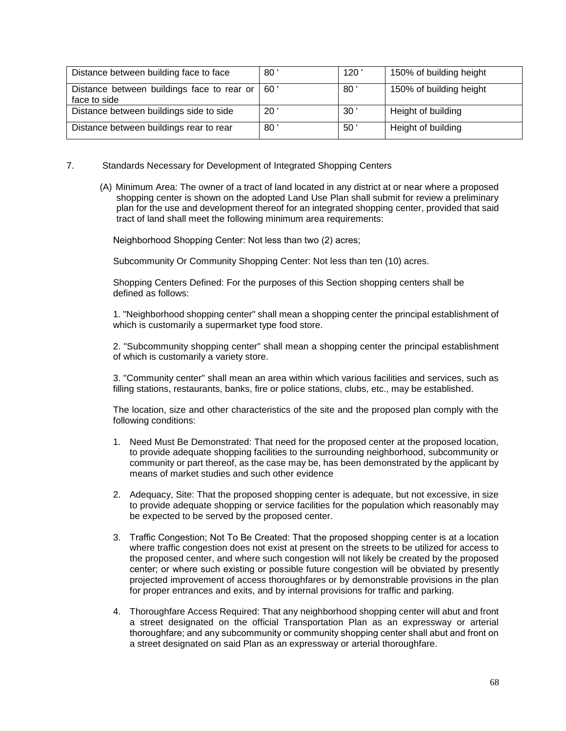| Distance between building face to face                           | 80              | 120             | 150% of building height |
|------------------------------------------------------------------|-----------------|-----------------|-------------------------|
| Distance between buildings face to rear or   60'<br>face to side |                 | 80              | 150% of building height |
| Distance between buildings side to side                          | 20              | 30 <sup>°</sup> | Height of building      |
| Distance between buildings rear to rear                          | 80 <sup>1</sup> | 50              | Height of building      |

- 7. Standards Necessary for Development of Integrated Shopping Centers
	- (A) Minimum Area: The owner of a tract of land located in any district at or near where a proposed shopping center is shown on the adopted Land Use Plan shall submit for review a preliminary plan for the use and development thereof for an integrated shopping center, provided that said tract of land shall meet the following minimum area requirements:

Neighborhood Shopping Center: Not less than two (2) acres;

Subcommunity Or Community Shopping Center: Not less than ten (10) acres.

Shopping Centers Defined: For the purposes of this Section shopping centers shall be defined as follows:

1. "Neighborhood shopping center" shall mean a shopping center the principal establishment of which is customarily a supermarket type food store.

2. "Subcommunity shopping center" shall mean a shopping center the principal establishment of which is customarily a variety store.

3. "Community center" shall mean an area within which various facilities and services, such as filling stations, restaurants, banks, fire or police stations, clubs, etc., may be established.

The location, size and other characteristics of the site and the proposed plan comply with the following conditions:

- 1. Need Must Be Demonstrated: That need for the proposed center at the proposed location, to provide adequate shopping facilities to the surrounding neighborhood, subcommunity or community or part thereof, as the case may be, has been demonstrated by the applicant by means of market studies and such other evidence
- 2. Adequacy, Site: That the proposed shopping center is adequate, but not excessive, in size to provide adequate shopping or service facilities for the population which reasonably may be expected to be served by the proposed center.
- 3. Traffic Congestion; Not To Be Created: That the proposed shopping center is at a location where traffic congestion does not exist at present on the streets to be utilized for access to the proposed center, and where such congestion will not likely be created by the proposed center; or where such existing or possible future congestion will be obviated by presently projected improvement of access thoroughfares or by demonstrable provisions in the plan for proper entrances and exits, and by internal provisions for traffic and parking.
- 4. Thoroughfare Access Required: That any neighborhood shopping center will abut and front a street designated on the official Transportation Plan as an expressway or arterial thoroughfare; and any subcommunity or community shopping center shall abut and front on a street designated on said Plan as an expressway or arterial thoroughfare.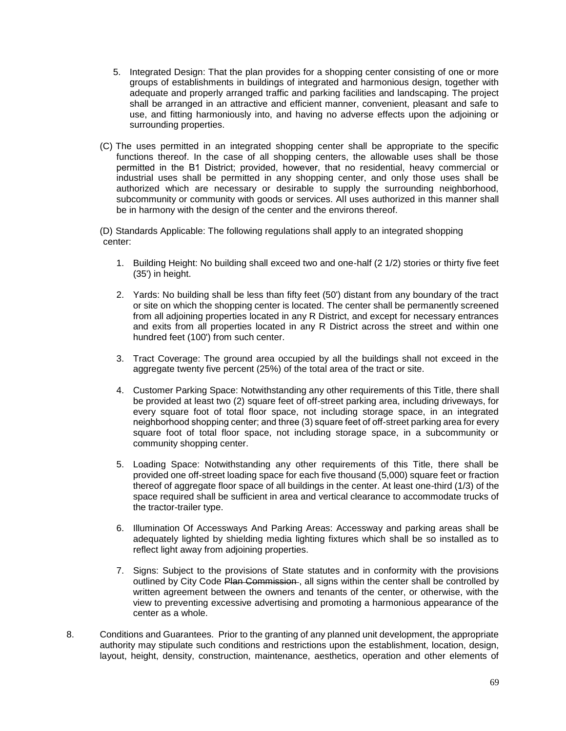- 5. Integrated Design: That the plan provides for a shopping center consisting of one or more groups of establishments in buildings of integrated and harmonious design, together with adequate and properly arranged traffic and parking facilities and landscaping. The project shall be arranged in an attractive and efficient manner, convenient, pleasant and safe to use, and fitting harmoniously into, and having no adverse effects upon the adjoining or surrounding properties.
- (C) The uses permitted in an integrated shopping center shall be appropriate to the specific functions thereof. In the case of all shopping centers, the allowable uses shall be those permitted in the B1 District; provided, however, that no residential, heavy commercial or industrial uses shall be permitted in any shopping center, and only those uses shall be authorized which are necessary or desirable to supply the surrounding neighborhood, subcommunity or community with goods or services. All uses authorized in this manner shall be in harmony with the design of the center and the environs thereof.

(D) Standards Applicable: The following regulations shall apply to an integrated shopping center:

- 1. Building Height: No building shall exceed two and one-half (2 1/2) stories or thirty five feet (35') in height.
- 2. Yards: No building shall be less than fifty feet (50') distant from any boundary of the tract or site on which the shopping center is located. The center shall be permanently screened from all adjoining properties located in any R District, and except for necessary entrances and exits from all properties located in any R District across the street and within one hundred feet (100') from such center.
- 3. Tract Coverage: The ground area occupied by all the buildings shall not exceed in the aggregate twenty five percent (25%) of the total area of the tract or site.
- 4. Customer Parking Space: Notwithstanding any other requirements of this Title, there shall be provided at least two (2) square feet of off-street parking area, including driveways, for every square foot of total floor space, not including storage space, in an integrated neighborhood shopping center; and three (3) square feet of off-street parking area for every square foot of total floor space, not including storage space, in a subcommunity or community shopping center.
- 5. Loading Space: Notwithstanding any other requirements of this Title, there shall be provided one off-street loading space for each five thousand (5,000) square feet or fraction thereof of aggregate floor space of all buildings in the center. At least one-third (1/3) of the space required shall be sufficient in area and vertical clearance to accommodate trucks of the tractor-trailer type.
- 6. Illumination Of Accessways And Parking Areas: Accessway and parking areas shall be adequately lighted by shielding media lighting fixtures which shall be so installed as to reflect light away from adjoining properties.
- 7. Signs: Subject to the provisions of State statutes and in conformity with the provisions outlined by City Code Plan Commission. all signs within the center shall be controlled by written agreement between the owners and tenants of the center, or otherwise, with the view to preventing excessive advertising and promoting a harmonious appearance of the center as a whole.
- 8. Conditions and Guarantees. Prior to the granting of any planned unit development, the appropriate authority may stipulate such conditions and restrictions upon the establishment, location, design, layout, height, density, construction, maintenance, aesthetics, operation and other elements of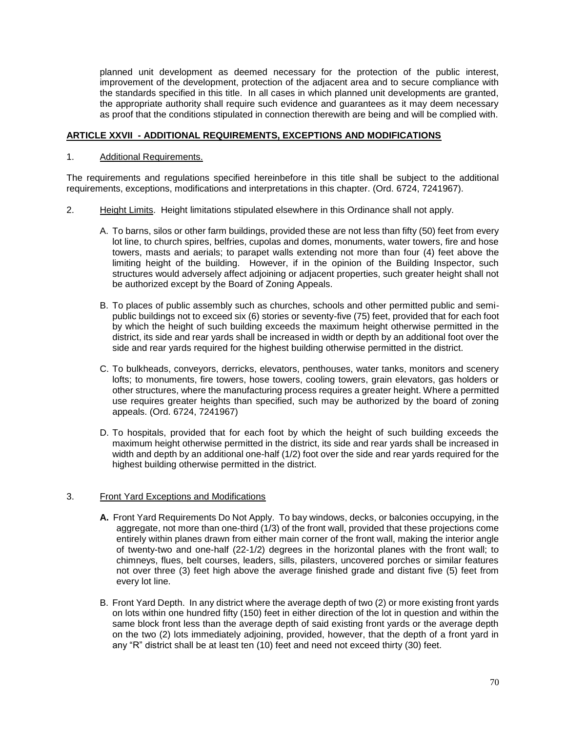planned unit development as deemed necessary for the protection of the public interest, improvement of the development, protection of the adjacent area and to secure compliance with the standards specified in this title. In all cases in which planned unit developments are granted, the appropriate authority shall require such evidence and guarantees as it may deem necessary as proof that the conditions stipulated in connection therewith are being and will be complied with.

#### **ARTICLE XXVII - ADDITIONAL REQUIREMENTS, EXCEPTIONS AND MODIFICATIONS**

#### 1. Additional Requirements.

The requirements and regulations specified hereinbefore in this title shall be subject to the additional requirements, exceptions, modifications and interpretations in this chapter. (Ord. 6724, 7241967).

- 2. Height Limits. Height limitations stipulated elsewhere in this Ordinance shall not apply.
	- A. To barns, silos or other farm buildings, provided these are not less than fifty (50) feet from every lot line, to church spires, belfries, cupolas and domes, monuments, water towers, fire and hose towers, masts and aerials; to parapet walls extending not more than four (4) feet above the limiting height of the building. However, if in the opinion of the Building Inspector, such structures would adversely affect adjoining or adjacent properties, such greater height shall not be authorized except by the Board of Zoning Appeals.
	- B. To places of public assembly such as churches, schools and other permitted public and semipublic buildings not to exceed six (6) stories or seventy-five (75) feet, provided that for each foot by which the height of such building exceeds the maximum height otherwise permitted in the district, its side and rear yards shall be increased in width or depth by an additional foot over the side and rear yards required for the highest building otherwise permitted in the district.
	- C. To bulkheads, conveyors, derricks, elevators, penthouses, water tanks, monitors and scenery lofts; to monuments, fire towers, hose towers, cooling towers, grain elevators, gas holders or other structures, where the manufacturing process requires a greater height. Where a permitted use requires greater heights than specified, such may be authorized by the board of zoning appeals. (Ord. 6724, 7241967)
	- D. To hospitals, provided that for each foot by which the height of such building exceeds the maximum height otherwise permitted in the district, its side and rear yards shall be increased in width and depth by an additional one-half (1/2) foot over the side and rear yards required for the highest building otherwise permitted in the district.

## 3. Front Yard Exceptions and Modifications

- **A.** Front Yard Requirements Do Not Apply. To bay windows, decks, or balconies occupying, in the aggregate, not more than one-third (1/3) of the front wall, provided that these projections come entirely within planes drawn from either main corner of the front wall, making the interior angle of twenty-two and one-half (22-1/2) degrees in the horizontal planes with the front wall; to chimneys, flues, belt courses, leaders, sills, pilasters, uncovered porches or similar features not over three (3) feet high above the average finished grade and distant five (5) feet from every lot line.
- B. Front Yard Depth. In any district where the average depth of two (2) or more existing front yards on lots within one hundred fifty (150) feet in either direction of the lot in question and within the same block front less than the average depth of said existing front yards or the average depth on the two (2) lots immediately adjoining, provided, however, that the depth of a front yard in any "R" district shall be at least ten (10) feet and need not exceed thirty (30) feet.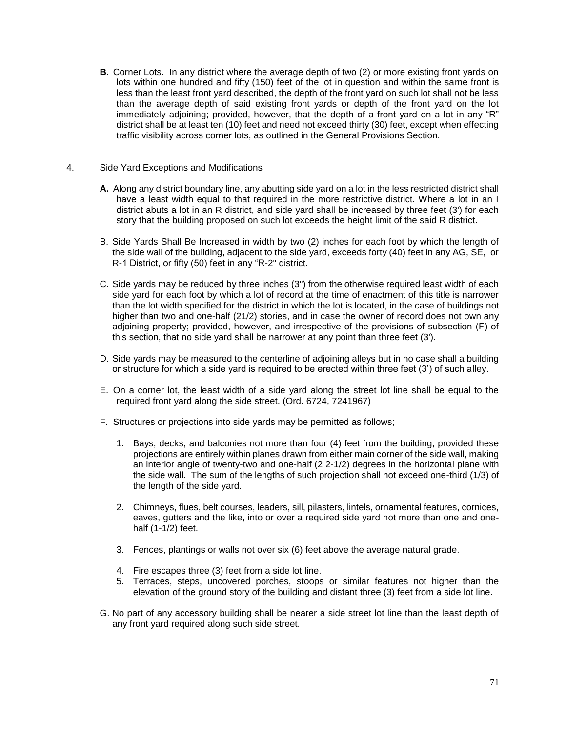**B.** Corner Lots. In any district where the average depth of two (2) or more existing front yards on lots within one hundred and fifty (150) feet of the lot in question and within the same front is less than the least front yard described, the depth of the front yard on such lot shall not be less than the average depth of said existing front yards or depth of the front yard on the lot immediately adjoining; provided, however, that the depth of a front yard on a lot in any "R" district shall be at least ten (10) feet and need not exceed thirty (30) feet, except when effecting traffic visibility across corner lots, as outlined in the General Provisions Section.

#### 4. Side Yard Exceptions and Modifications

- **A.** Along any district boundary line, any abutting side yard on a lot in the less restricted district shall have a least width equal to that required in the more restrictive district. Where a lot in an I district abuts a lot in an R district, and side yard shall be increased by three feet (3') for each story that the building proposed on such lot exceeds the height limit of the said R district.
- B. Side Yards Shall Be Increased in width by two (2) inches for each foot by which the length of the side wall of the building, adjacent to the side yard, exceeds forty (40) feet in any AG, SE, or R-1 District, or fifty (50) feet in any "R-2" district.
- C. Side yards may be reduced by three inches (3") from the otherwise required least width of each side yard for each foot by which a lot of record at the time of enactment of this title is narrower than the lot width specified for the district in which the lot is located, in the case of buildings not higher than two and one-half (21/2) stories, and in case the owner of record does not own any adjoining property; provided, however, and irrespective of the provisions of subsection (F) of this section, that no side yard shall be narrower at any point than three feet (3').
- D. Side yards may be measured to the centerline of adjoining alleys but in no case shall a building or structure for which a side yard is required to be erected within three feet (3') of such alley.
- E. On a corner lot, the least width of a side yard along the street lot line shall be equal to the required front yard along the side street. (Ord. 6724, 7241967)
- F. Structures or projections into side yards may be permitted as follows;
	- 1. Bays, decks, and balconies not more than four (4) feet from the building, provided these projections are entirely within planes drawn from either main corner of the side wall, making an interior angle of twenty-two and one-half (2 2-1/2) degrees in the horizontal plane with the side wall. The sum of the lengths of such projection shall not exceed one-third (1/3) of the length of the side yard.
	- 2. Chimneys, flues, belt courses, leaders, sill, pilasters, lintels, ornamental features, cornices, eaves, gutters and the like, into or over a required side yard not more than one and onehalf (1-1/2) feet.
	- 3. Fences, plantings or walls not over six (6) feet above the average natural grade.
	- 4. Fire escapes three (3) feet from a side lot line.
	- 5. Terraces, steps, uncovered porches, stoops or similar features not higher than the elevation of the ground story of the building and distant three (3) feet from a side lot line.
- G. No part of any accessory building shall be nearer a side street lot line than the least depth of any front yard required along such side street.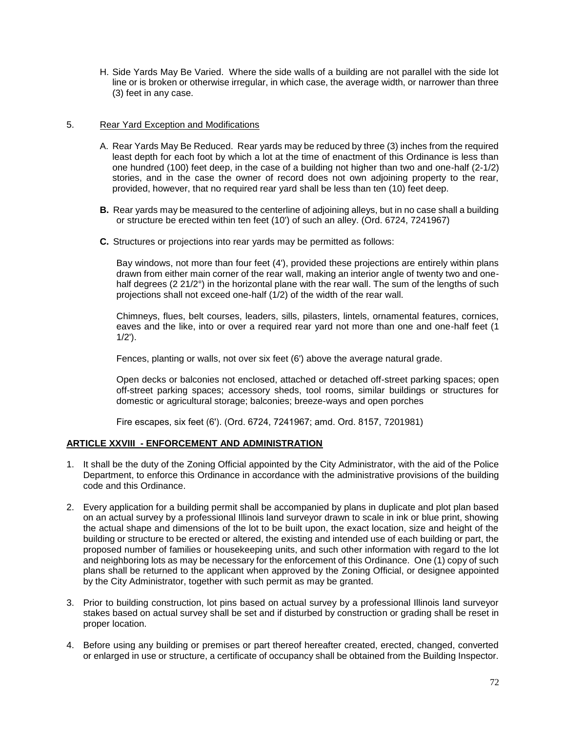H. Side Yards May Be Varied. Where the side walls of a building are not parallel with the side lot line or is broken or otherwise irregular, in which case, the average width, or narrower than three (3) feet in any case.

## 5. Rear Yard Exception and Modifications

- A. Rear Yards May Be Reduced. Rear yards may be reduced by three (3) inches from the required least depth for each foot by which a lot at the time of enactment of this Ordinance is less than one hundred (100) feet deep, in the case of a building not higher than two and one-half (2-1/2) stories, and in the case the owner of record does not own adjoining property to the rear, provided, however, that no required rear yard shall be less than ten (10) feet deep.
- **B.** Rear yards may be measured to the centerline of adjoining alleys, but in no case shall a building or structure be erected within ten feet (10') of such an alley. (Ord. 6724, 7241967)
- **C.** Structures or projections into rear yards may be permitted as follows:

Bay windows, not more than four feet (4'), provided these projections are entirely within plans drawn from either main corner of the rear wall, making an interior angle of twenty two and onehalf degrees (2 21/2°) in the horizontal plane with the rear wall. The sum of the lengths of such projections shall not exceed one-half (1/2) of the width of the rear wall.

Chimneys, flues, belt courses, leaders, sills, pilasters, lintels, ornamental features, cornices, eaves and the like, into or over a required rear yard not more than one and one-half feet (1 1/2').

Fences, planting or walls, not over six feet (6') above the average natural grade.

Open decks or balconies not enclosed, attached or detached off-street parking spaces; open off-street parking spaces; accessory sheds, tool rooms, similar buildings or structures for domestic or agricultural storage; balconies; breeze-ways and open porches

Fire escapes, six feet (6'). (Ord. 6724, 7241967; amd. Ord. 8157, 7201981)

## **ARTICLE XXVIII - ENFORCEMENT AND ADMINISTRATION**

- 1. It shall be the duty of the Zoning Official appointed by the City Administrator, with the aid of the Police Department, to enforce this Ordinance in accordance with the administrative provisions of the building code and this Ordinance.
- 2. Every application for a building permit shall be accompanied by plans in duplicate and plot plan based on an actual survey by a professional Illinois land surveyor drawn to scale in ink or blue print, showing the actual shape and dimensions of the lot to be built upon, the exact location, size and height of the building or structure to be erected or altered, the existing and intended use of each building or part, the proposed number of families or housekeeping units, and such other information with regard to the lot and neighboring lots as may be necessary for the enforcement of this Ordinance. One (1) copy of such plans shall be returned to the applicant when approved by the Zoning Official, or designee appointed by the City Administrator, together with such permit as may be granted.
- 3. Prior to building construction, lot pins based on actual survey by a professional Illinois land surveyor stakes based on actual survey shall be set and if disturbed by construction or grading shall be reset in proper location.
- 4. Before using any building or premises or part thereof hereafter created, erected, changed, converted or enlarged in use or structure, a certificate of occupancy shall be obtained from the Building Inspector.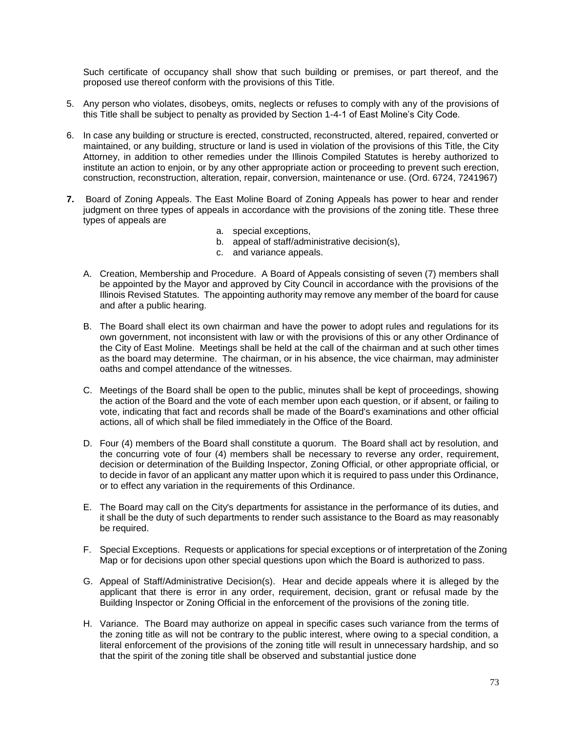Such certificate of occupancy shall show that such building or premises, or part thereof, and the proposed use thereof conform with the provisions of this Title.

- 5. Any person who violates, disobeys, omits, neglects or refuses to comply with any of the provisions of this Title shall be subject to penalty as provided by Section 1-4-1 of East Moline's City Code.
- 6. In case any building or structure is erected, constructed, reconstructed, altered, repaired, converted or maintained, or any building, structure or land is used in violation of the provisions of this Title, the City Attorney, in addition to other remedies under the Illinois Compiled Statutes is hereby authorized to institute an action to enjoin, or by any other appropriate action or proceeding to prevent such erection, construction, reconstruction, alteration, repair, conversion, maintenance or use. (Ord. 6724, 7241967)
- **7.** Board of Zoning Appeals. The East Moline Board of Zoning Appeals has power to hear and render judgment on three types of appeals in accordance with the provisions of the zoning title. These three types of appeals are
	- a. special exceptions,
	- b. appeal of staff/administrative decision(s),
	- c. and variance appeals.
	- A. Creation, Membership and Procedure. A Board of Appeals consisting of seven (7) members shall be appointed by the Mayor and approved by City Council in accordance with the provisions of the Illinois Revised Statutes. The appointing authority may remove any member of the board for cause and after a public hearing.
	- B. The Board shall elect its own chairman and have the power to adopt rules and regulations for its own government, not inconsistent with law or with the provisions of this or any other Ordinance of the City of East Moline. Meetings shall be held at the call of the chairman and at such other times as the board may determine. The chairman, or in his absence, the vice chairman, may administer oaths and compel attendance of the witnesses.
	- C. Meetings of the Board shall be open to the public, minutes shall be kept of proceedings, showing the action of the Board and the vote of each member upon each question, or if absent, or failing to vote, indicating that fact and records shall be made of the Board's examinations and other official actions, all of which shall be filed immediately in the Office of the Board.
	- D. Four (4) members of the Board shall constitute a quorum. The Board shall act by resolution, and the concurring vote of four (4) members shall be necessary to reverse any order, requirement, decision or determination of the Building Inspector, Zoning Official, or other appropriate official, or to decide in favor of an applicant any matter upon which it is required to pass under this Ordinance, or to effect any variation in the requirements of this Ordinance.
	- E. The Board may call on the City's departments for assistance in the performance of its duties, and it shall be the duty of such departments to render such assistance to the Board as may reasonably be required.
	- F. Special Exceptions. Requests or applications for special exceptions or of interpretation of the Zoning Map or for decisions upon other special questions upon which the Board is authorized to pass.
	- G. Appeal of Staff/Administrative Decision(s). Hear and decide appeals where it is alleged by the applicant that there is error in any order, requirement, decision, grant or refusal made by the Building Inspector or Zoning Official in the enforcement of the provisions of the zoning title.
	- H. Variance. The Board may authorize on appeal in specific cases such variance from the terms of the zoning title as will not be contrary to the public interest, where owing to a special condition, a literal enforcement of the provisions of the zoning title will result in unnecessary hardship, and so that the spirit of the zoning title shall be observed and substantial justice done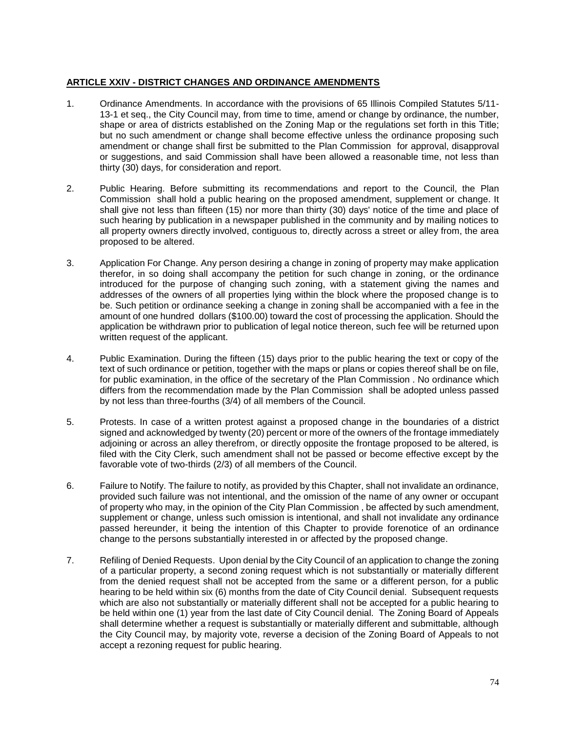## **ARTICLE XXIV - DISTRICT CHANGES AND ORDINANCE AMENDMENTS**

- 1. Ordinance Amendments. In accordance with the provisions of 65 Illinois Compiled Statutes 5/11- 13-1 et seq., the City Council may, from time to time, amend or change by ordinance, the number, shape or area of districts established on the Zoning Map or the regulations set forth in this Title; but no such amendment or change shall become effective unless the ordinance proposing such amendment or change shall first be submitted to the Plan Commission for approval, disapproval or suggestions, and said Commission shall have been allowed a reasonable time, not less than thirty (30) days, for consideration and report.
- 2. Public Hearing. Before submitting its recommendations and report to the Council, the Plan Commission shall hold a public hearing on the proposed amendment, supplement or change. It shall give not less than fifteen (15) nor more than thirty (30) days' notice of the time and place of such hearing by publication in a newspaper published in the community and by mailing notices to all property owners directly involved, contiguous to, directly across a street or alley from, the area proposed to be altered.
- 3. Application For Change. Any person desiring a change in zoning of property may make application therefor, in so doing shall accompany the petition for such change in zoning, or the ordinance introduced for the purpose of changing such zoning, with a statement giving the names and addresses of the owners of all properties lying within the block where the proposed change is to be. Such petition or ordinance seeking a change in zoning shall be accompanied with a fee in the amount of one hundred dollars (\$100.00) toward the cost of processing the application. Should the application be withdrawn prior to publication of legal notice thereon, such fee will be returned upon written request of the applicant.
- 4. Public Examination. During the fifteen (15) days prior to the public hearing the text or copy of the text of such ordinance or petition, together with the maps or plans or copies thereof shall be on file, for public examination, in the office of the secretary of the Plan Commission . No ordinance which differs from the recommendation made by the Plan Commission shall be adopted unless passed by not less than three-fourths (3/4) of all members of the Council.
- 5. Protests. In case of a written protest against a proposed change in the boundaries of a district signed and acknowledged by twenty (20) percent or more of the owners of the frontage immediately adjoining or across an alley therefrom, or directly opposite the frontage proposed to be altered, is filed with the City Clerk, such amendment shall not be passed or become effective except by the favorable vote of two-thirds (2/3) of all members of the Council.
- 6. Failure to Notify. The failure to notify, as provided by this Chapter, shall not invalidate an ordinance, provided such failure was not intentional, and the omission of the name of any owner or occupant of property who may, in the opinion of the City Plan Commission , be affected by such amendment, supplement or change, unless such omission is intentional, and shall not invalidate any ordinance passed hereunder, it being the intention of this Chapter to provide forenotice of an ordinance change to the persons substantially interested in or affected by the proposed change.
- 7. Refiling of Denied Requests. Upon denial by the City Council of an application to change the zoning of a particular property, a second zoning request which is not substantially or materially different from the denied request shall not be accepted from the same or a different person, for a public hearing to be held within six (6) months from the date of City Council denial. Subsequent requests which are also not substantially or materially different shall not be accepted for a public hearing to be held within one (1) year from the last date of City Council denial. The Zoning Board of Appeals shall determine whether a request is substantially or materially different and submittable, although the City Council may, by majority vote, reverse a decision of the Zoning Board of Appeals to not accept a rezoning request for public hearing.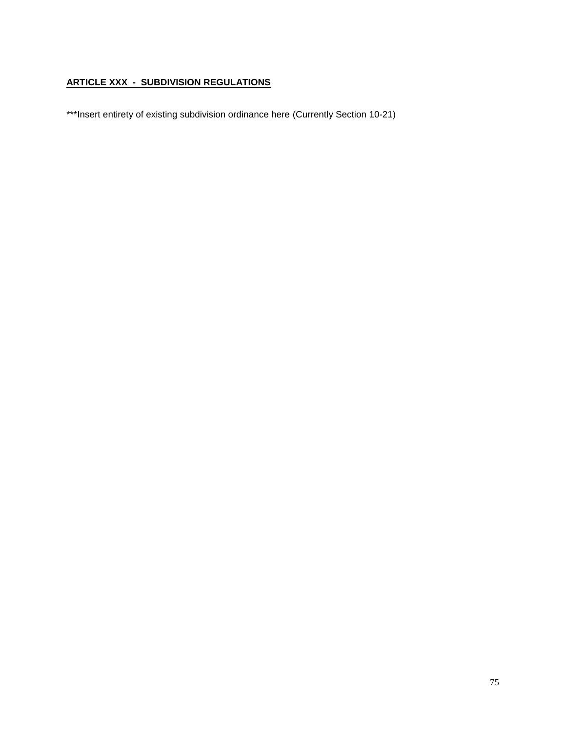## **ARTICLE XXX - SUBDIVISION REGULATIONS**

\*\*\*Insert entirety of existing subdivision ordinance here (Currently Section 10-21)